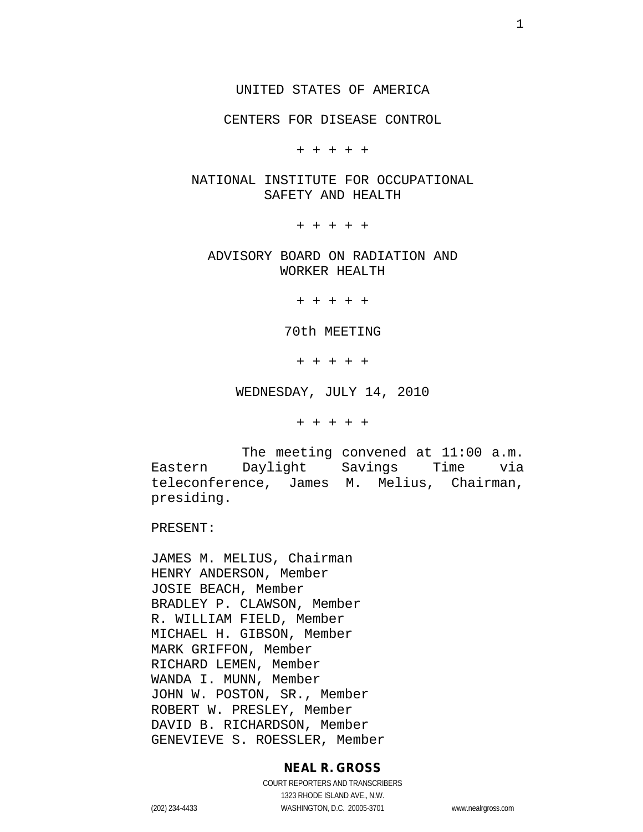#### UNITED STATES OF AMERICA

CENTERS FOR DISEASE CONTROL

+ + + + +

## NATIONAL INSTITUTE FOR OCCUPATIONAL SAFETY AND HEALTH

+ + + + +

## ADVISORY BOARD ON RADIATION AND WORKER HEALTH

+ + + + +

70th MEETING

+ + + + +

WEDNESDAY, JULY 14, 2010

+ + + + +

The meeting convened at 11:00 a.m. Eastern Daylight Savings Time via teleconference, James M. Melius, Chairman, presiding.

PRESENT:

JAMES M. MELIUS, Chairman HENRY ANDERSON, Member JOSIE BEACH, Member BRADLEY P. CLAWSON, Member R. WILLIAM FIELD, Member MICHAEL H. GIBSON, Member MARK GRIFFON, Member RICHARD LEMEN, Member WANDA I. MUNN, Member JOHN W. POSTON, SR., Member ROBERT W. PRESLEY, Member DAVID B. RICHARDSON, Member GENEVIEVE S. ROESSLER, Member

#### **NEAL R. GROSS**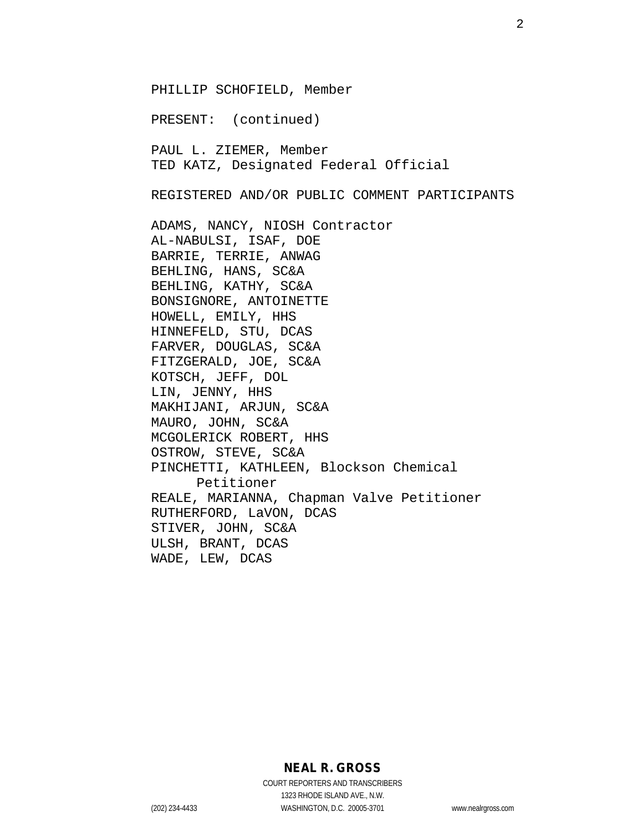PHILLIP SCHOFIELD, Member PRESENT: (continued) PAUL L. ZIEMER, Member TED KATZ, Designated Federal Official REGISTERED AND/OR PUBLIC COMMENT PARTICIPANTS ADAMS, NANCY, NIOSH Contractor AL-NABULSI, ISAF, DOE BARRIE, TERRIE, ANWAG BEHLING, HANS, SC&A BEHLING, KATHY, SC&A BONSIGNORE, ANTOINETTE HOWELL, EMILY, HHS HINNEFELD, STU, DCAS FARVER, DOUGLAS, SC&A FITZGERALD, JOE, SC&A KOTSCH, JEFF, DOL LIN, JENNY, HHS MAKHIJANI, ARJUN, SC&A MAURO, JOHN, SC&A MCGOLERICK ROBERT, HHS OSTROW, STEVE, SC&A PINCHETTI, KATHLEEN, Blockson Chemical Petitioner REALE, MARIANNA, Chapman Valve Petitioner RUTHERFORD, LaVON, DCAS STIVER, JOHN, SC&A ULSH, BRANT, DCAS WADE, LEW, DCAS

**NEAL R. GROSS**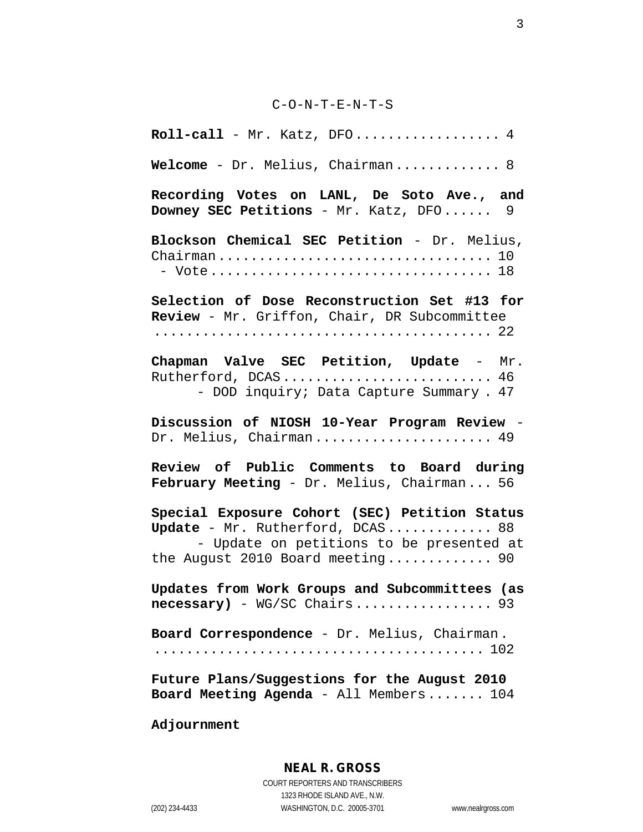#### C-O-N-T-E-N-T-S

**Roll-call** - Mr. Katz, DFO.................. 4 **Welcome** - Dr. Melius, Chairman............. 8 **Recording Votes on LANL, De Soto Ave., and Downey SEC Petitions** - Mr. Katz, DFO...... 9 **Blockson Chemical SEC Petition** - Dr. Melius, Chairman.................................. 10 - Vote................................... 18 **Selection of Dose Reconstruction Set #13 for Review** - Mr. Griffon, Chair, DR Subcommittee .......................................... 22 **Chapman Valve SEC Petition, Update** - Mr. Rutherford, DCAS............................ 46 - DOD inquiry; Data Capture Summary . 47 **Discussion of NIOSH 10-Year Program Review** - Dr. Melius, Chairman....................... 49 **Review of Public Comments to Board during February Meeting** - Dr. Melius, Chairman... 56 **Special Exposure Cohort (SEC) Petition Status Update** - Mr. Rutherford, DCAS............. 88 - Update on petitions to be presented at the August 2010 Board meeting............. 90 **Updates from Work Groups and Subcommittees (as necessary)** - WG/SC Chairs................. 93 **Board Correspondence** - Dr. Melius, Chairman. ......................................... 102 **Future Plans/Suggestions for the August 2010 Board Meeting Agenda** - All Members....... 104

**Adjournment**

## **NEAL R. GROSS**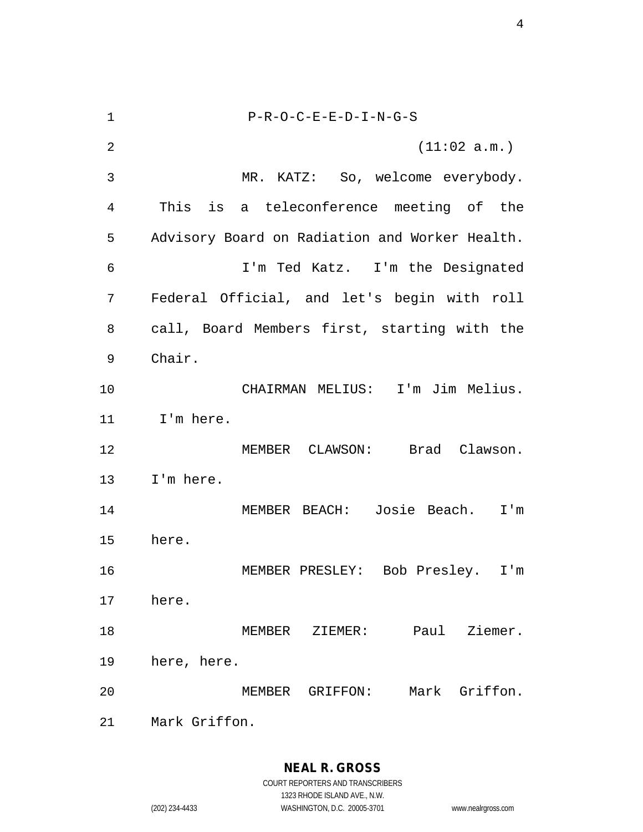P-R-O-C-E-E-D-I-N-G-S (11:02 a.m.) MR. KATZ: So, welcome everybody. This is a teleconference meeting of the Advisory Board on Radiation and Worker Health. I'm Ted Katz. I'm the Designated Federal Official, and let's begin with roll call, Board Members first, starting with the Chair. CHAIRMAN MELIUS: I'm Jim Melius. I'm here. MEMBER CLAWSON: Brad Clawson. I'm here. MEMBER BEACH: Josie Beach. I'm here. MEMBER PRESLEY: Bob Presley. I'm here. MEMBER ZIEMER: Paul Ziemer. here, here. MEMBER GRIFFON: Mark Griffon. Mark Griffon.

**NEAL R. GROSS**

COURT REPORTERS AND TRANSCRIBERS 1323 RHODE ISLAND AVE., N.W. (202) 234-4433 WASHINGTON, D.C. 20005-3701 www.nealrgross.com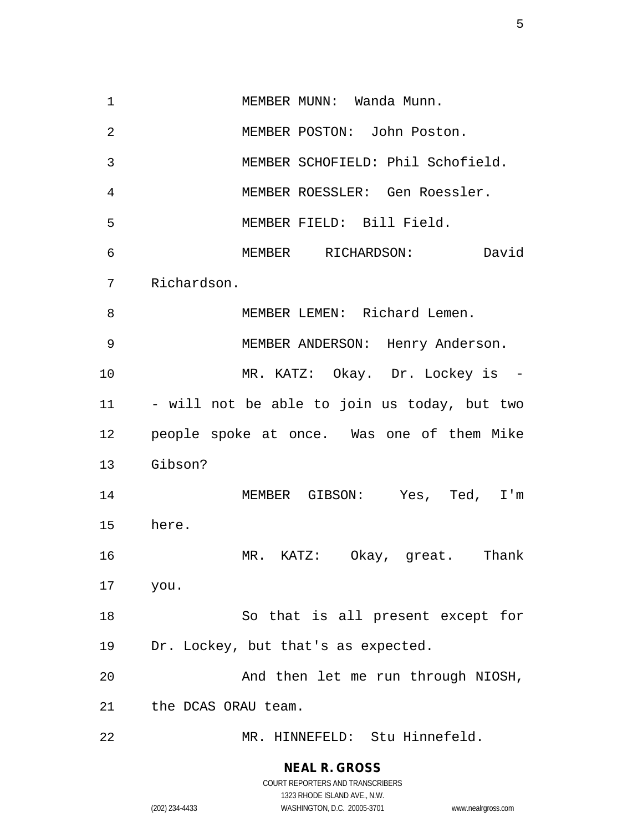1 MEMBER MUNN: Wanda Munn. MEMBER POSTON: John Poston. MEMBER SCHOFIELD: Phil Schofield. MEMBER ROESSLER: Gen Roessler. MEMBER FIELD: Bill Field. MEMBER RICHARDSON: David Richardson. MEMBER LEMEN: Richard Lemen. MEMBER ANDERSON: Henry Anderson. MR. KATZ: Okay. Dr. Lockey is - - will not be able to join us today, but two people spoke at once. Was one of them Mike Gibson? MEMBER GIBSON: Yes, Ted, I'm here. MR. KATZ: Okay, great. Thank you. So that is all present except for Dr. Lockey, but that's as expected. And then let me run through NIOSH, the DCAS ORAU team. MR. HINNEFELD: Stu Hinnefeld.

> **NEAL R. GROSS** COURT REPORTERS AND TRANSCRIBERS

> > 1323 RHODE ISLAND AVE., N.W.

(202) 234-4433 WASHINGTON, D.C. 20005-3701 www.nealrgross.com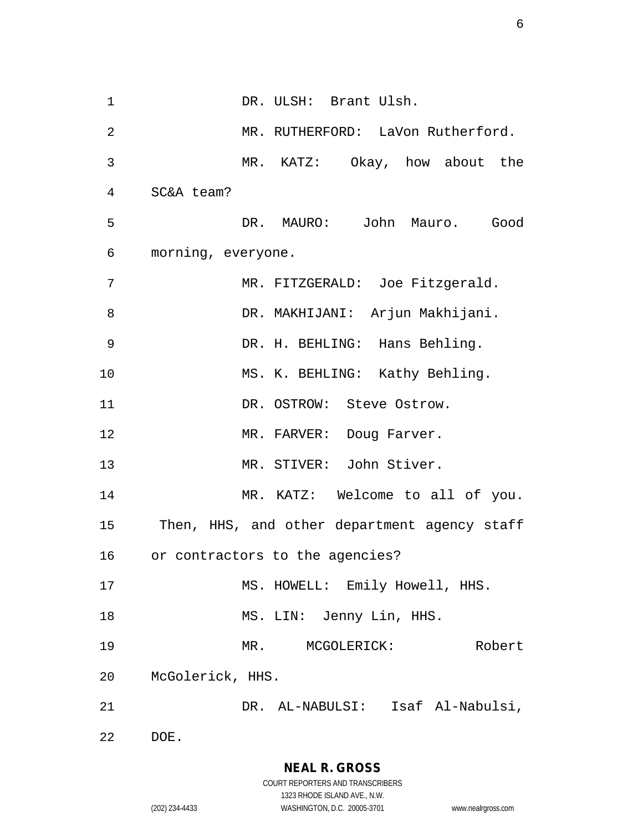1 DR. ULSH: Brant Ulsh. MR. RUTHERFORD: LaVon Rutherford. MR. KATZ: Okay, how about the SC&A team? DR. MAURO: John Mauro. Good morning, everyone. MR. FITZGERALD: Joe Fitzgerald. DR. MAKHIJANI: Arjun Makhijani. DR. H. BEHLING: Hans Behling. MS. K. BEHLING: Kathy Behling. 11 DR. OSTROW: Steve Ostrow. 12 MR. FARVER: Doug Farver. MR. STIVER: John Stiver. 14 MR. KATZ: Welcome to all of you. Then, HHS, and other department agency staff or contractors to the agencies? 17 MS. HOWELL: Emily Howell, HHS. 18 MS. LIN: Jenny Lin, HHS. MR. MCGOLERICK: Robert McGolerick, HHS. DR. AL-NABULSI: Isaf Al-Nabulsi, DOE.

> **NEAL R. GROSS** COURT REPORTERS AND TRANSCRIBERS

1323 RHODE ISLAND AVE., N.W. (202) 234-4433 WASHINGTON, D.C. 20005-3701 www.nealrgross.com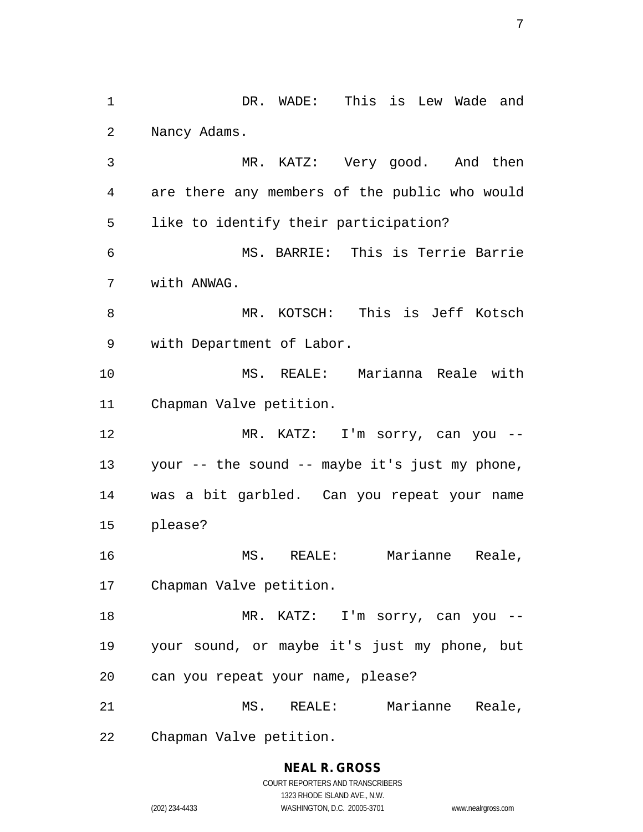DR. WADE: This is Lew Wade and Nancy Adams. MR. KATZ: Very good. And then are there any members of the public who would like to identify their participation? MS. BARRIE: This is Terrie Barrie with ANWAG. MR. KOTSCH: This is Jeff Kotsch with Department of Labor. MS. REALE: Marianna Reale with Chapman Valve petition. MR. KATZ: I'm sorry, can you -- your -- the sound -- maybe it's just my phone, was a bit garbled. Can you repeat your name please? MS. REALE: Marianne Reale, Chapman Valve petition. 18 MR. KATZ: I'm sorry, can you -- your sound, or maybe it's just my phone, but can you repeat your name, please? MS. REALE: Marianne Reale, Chapman Valve petition.

> **NEAL R. GROSS** COURT REPORTERS AND TRANSCRIBERS 1323 RHODE ISLAND AVE., N.W. (202) 234-4433 WASHINGTON, D.C. 20005-3701 www.nealrgross.com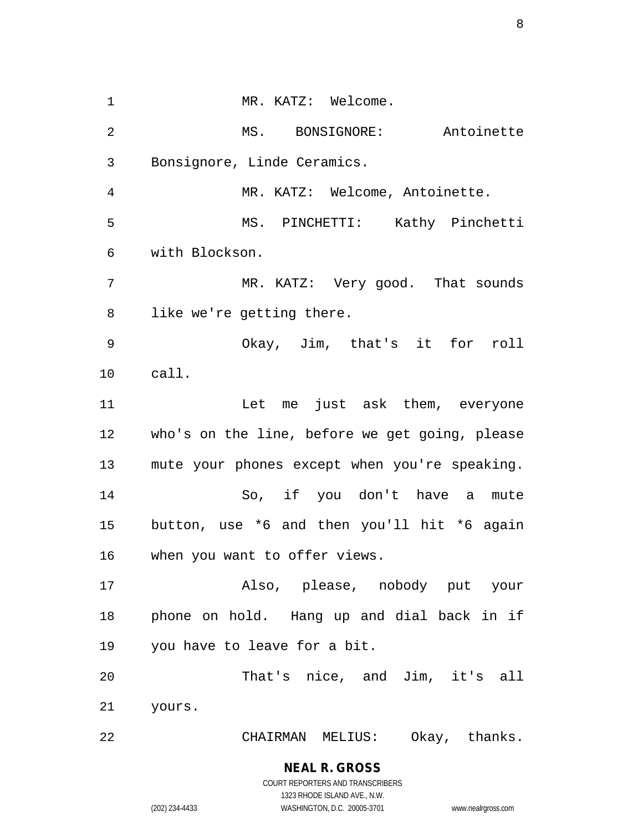1 MR. KATZ: Welcome. MS. BONSIGNORE: Antoinette Bonsignore, Linde Ceramics. MR. KATZ: Welcome, Antoinette. MS. PINCHETTI: Kathy Pinchetti with Blockson. MR. KATZ: Very good. That sounds like we're getting there. Okay, Jim, that's it for roll call. Let me just ask them, everyone who's on the line, before we get going, please mute your phones except when you're speaking. So, if you don't have a mute button, use \*6 and then you'll hit \*6 again when you want to offer views. Also, please, nobody put your phone on hold. Hang up and dial back in if you have to leave for a bit. That's nice, and Jim, it's all yours. CHAIRMAN MELIUS: Okay, thanks.

**NEAL R. GROSS**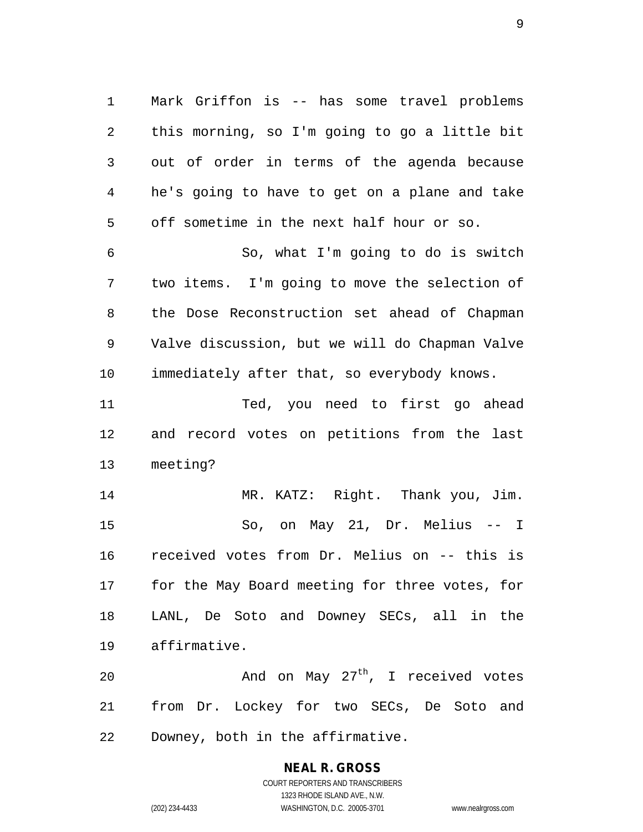Mark Griffon is -- has some travel problems this morning, so I'm going to go a little bit out of order in terms of the agenda because he's going to have to get on a plane and take off sometime in the next half hour or so.

 So, what I'm going to do is switch two items. I'm going to move the selection of the Dose Reconstruction set ahead of Chapman Valve discussion, but we will do Chapman Valve immediately after that, so everybody knows.

 Ted, you need to first go ahead and record votes on petitions from the last meeting?

 MR. KATZ: Right. Thank you, Jim. So, on May 21, Dr. Melius -- I received votes from Dr. Melius on -- this is for the May Board meeting for three votes, for LANL, De Soto and Downey SECs, all in the affirmative.

20  $\mu$  And on May 27<sup>th</sup>, I received votes from Dr. Lockey for two SECs, De Soto and Downey, both in the affirmative.

# **NEAL R. GROSS**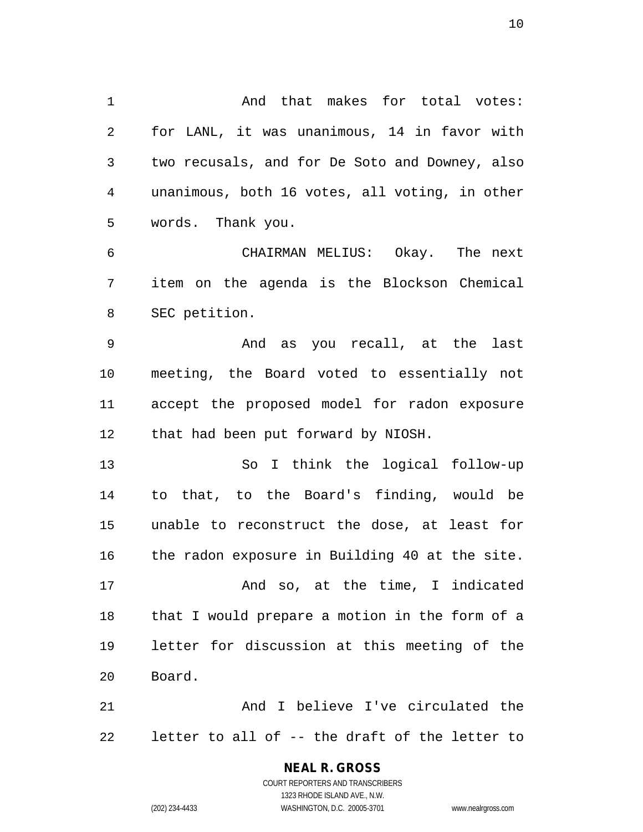And that makes for total votes: for LANL, it was unanimous, 14 in favor with two recusals, and for De Soto and Downey, also unanimous, both 16 votes, all voting, in other words. Thank you.

 CHAIRMAN MELIUS: Okay. The next item on the agenda is the Blockson Chemical SEC petition.

 And as you recall, at the last meeting, the Board voted to essentially not accept the proposed model for radon exposure that had been put forward by NIOSH.

 So I think the logical follow-up to that, to the Board's finding, would be unable to reconstruct the dose, at least for the radon exposure in Building 40 at the site. 17 And so, at the time, I indicated

 that I would prepare a motion in the form of a letter for discussion at this meeting of the Board.

 And I believe I've circulated the letter to all of -- the draft of the letter to

## **NEAL R. GROSS**

COURT REPORTERS AND TRANSCRIBERS 1323 RHODE ISLAND AVE., N.W. (202) 234-4433 WASHINGTON, D.C. 20005-3701 www.nealrgross.com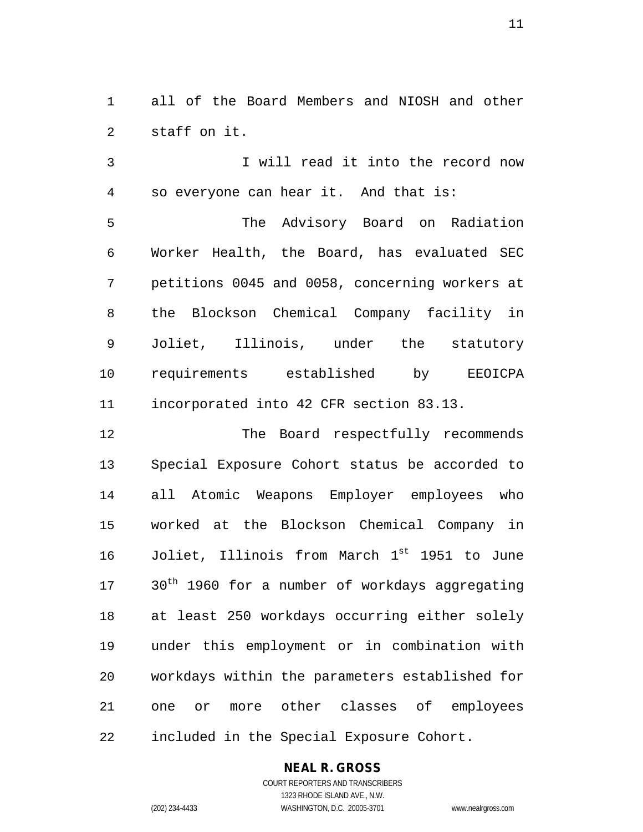all of the Board Members and NIOSH and other staff on it.

 I will read it into the record now so everyone can hear it. And that is:

 The Advisory Board on Radiation Worker Health, the Board, has evaluated SEC petitions 0045 and 0058, concerning workers at the Blockson Chemical Company facility in Joliet, Illinois, under the statutory requirements established by EEOICPA incorporated into 42 CFR section 83.13.

12 The Board respectfully recommends Special Exposure Cohort status be accorded to all Atomic Weapons Employer employees who worked at the Blockson Chemical Company in 16 Joliet, Illinois from March 1<sup>st</sup> 1951 to June 17 30<sup>th</sup> 1960 for a number of workdays aggregating at least 250 workdays occurring either solely under this employment or in combination with workdays within the parameters established for one or more other classes of employees included in the Special Exposure Cohort.

## **NEAL R. GROSS**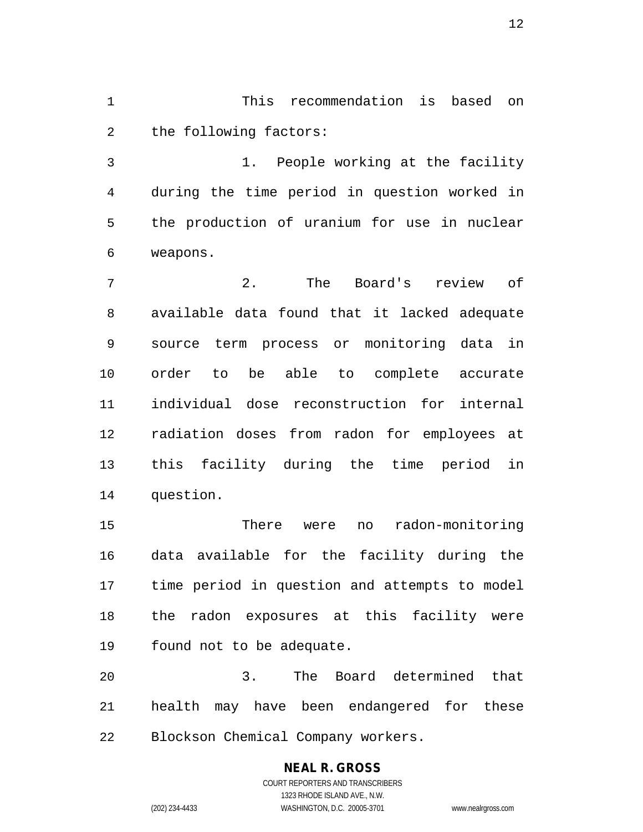This recommendation is based on the following factors:

 1. People working at the facility during the time period in question worked in the production of uranium for use in nuclear weapons.

 2. The Board's review of available data found that it lacked adequate source term process or monitoring data in order to be able to complete accurate individual dose reconstruction for internal radiation doses from radon for employees at this facility during the time period in question.

 There were no radon-monitoring data available for the facility during the time period in question and attempts to model the radon exposures at this facility were found not to be adequate.

 3. The Board determined that health may have been endangered for these Blockson Chemical Company workers.

# **NEAL R. GROSS**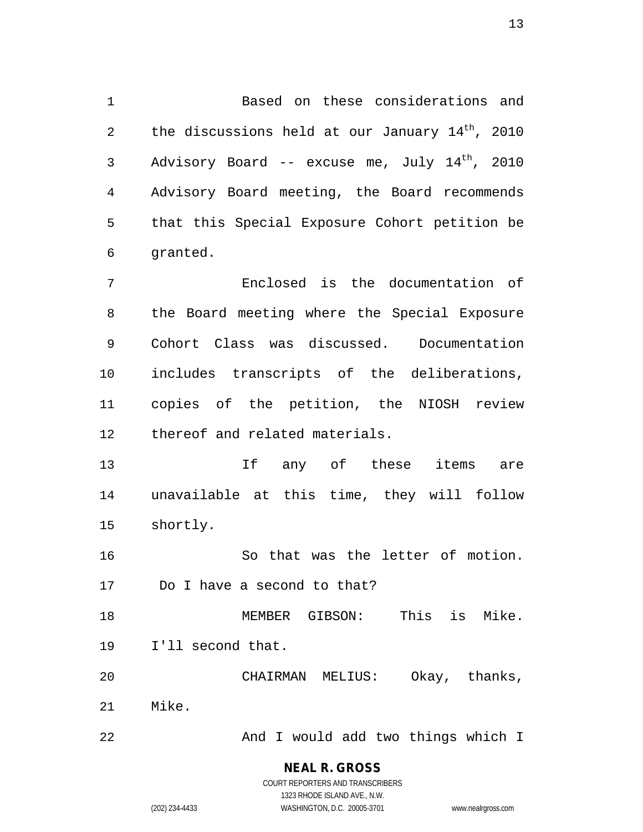Based on these considerations and 2 the discussions held at our January  $14^{th}$ , 2010  $\lambda$  Advisory Board -- excuse me, July  $14^{th}$ , 2010 Advisory Board meeting, the Board recommends that this Special Exposure Cohort petition be granted.

 Enclosed is the documentation of the Board meeting where the Special Exposure Cohort Class was discussed. Documentation includes transcripts of the deliberations, copies of the petition, the NIOSH review thereof and related materials.

13 13 If any of these items are unavailable at this time, they will follow shortly.

 So that was the letter of motion. Do I have a second to that?

 MEMBER GIBSON: This is Mike. I'll second that.

 CHAIRMAN MELIUS: Okay, thanks, Mike.

22 And I would add two things which I

**NEAL R. GROSS** COURT REPORTERS AND TRANSCRIBERS

1323 RHODE ISLAND AVE., N.W. (202) 234-4433 WASHINGTON, D.C. 20005-3701 www.nealrgross.com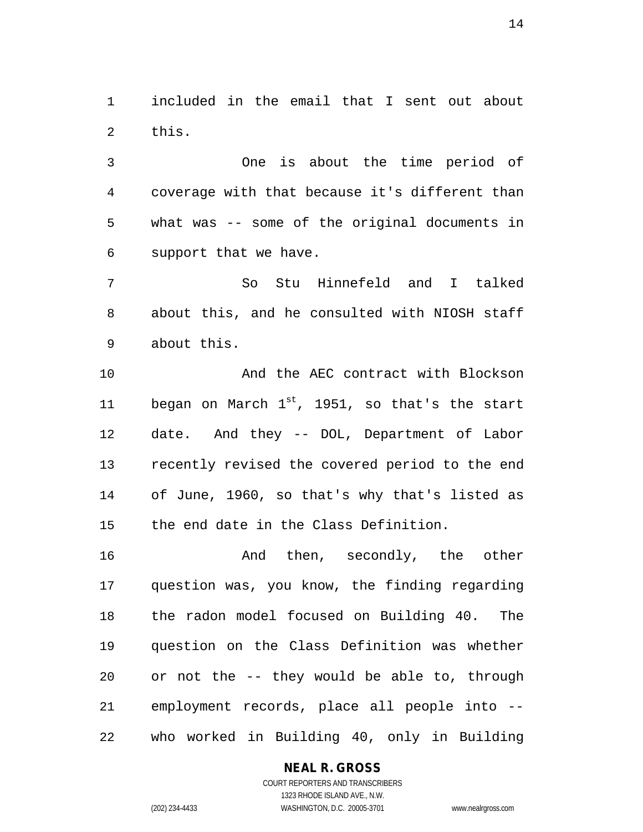included in the email that I sent out about this.

 One is about the time period of coverage with that because it's different than what was -- some of the original documents in support that we have.

 So Stu Hinnefeld and I talked about this, and he consulted with NIOSH staff about this.

10 And the AEC contract with Blockson 11 began on March  $1^{st}$ , 1951, so that's the start date. And they -- DOL, Department of Labor recently revised the covered period to the end of June, 1960, so that's why that's listed as the end date in the Class Definition.

**And then, secondly, the other**  question was, you know, the finding regarding the radon model focused on Building 40. The question on the Class Definition was whether or not the -- they would be able to, through employment records, place all people into -- who worked in Building 40, only in Building

## **NEAL R. GROSS**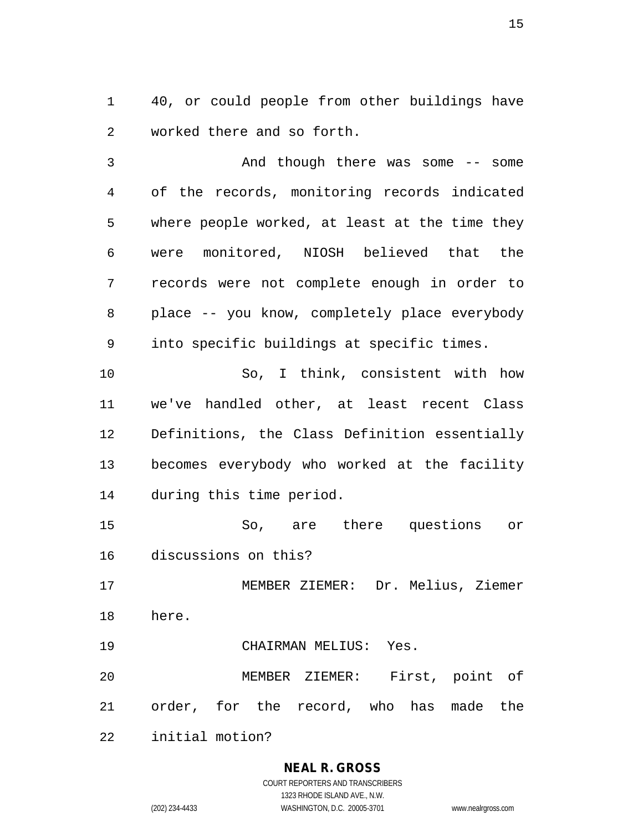40, or could people from other buildings have worked there and so forth.

 And though there was some -- some of the records, monitoring records indicated where people worked, at least at the time they were monitored, NIOSH believed that the records were not complete enough in order to place -- you know, completely place everybody into specific buildings at specific times. So, I think, consistent with how we've handled other, at least recent Class Definitions, the Class Definition essentially becomes everybody who worked at the facility during this time period. So, are there questions or discussions on this? MEMBER ZIEMER: Dr. Melius, Ziemer here. CHAIRMAN MELIUS: Yes. MEMBER ZIEMER: First, point of

order, for the record, who has made the

initial motion?

## **NEAL R. GROSS**

COURT REPORTERS AND TRANSCRIBERS 1323 RHODE ISLAND AVE., N.W. (202) 234-4433 WASHINGTON, D.C. 20005-3701 www.nealrgross.com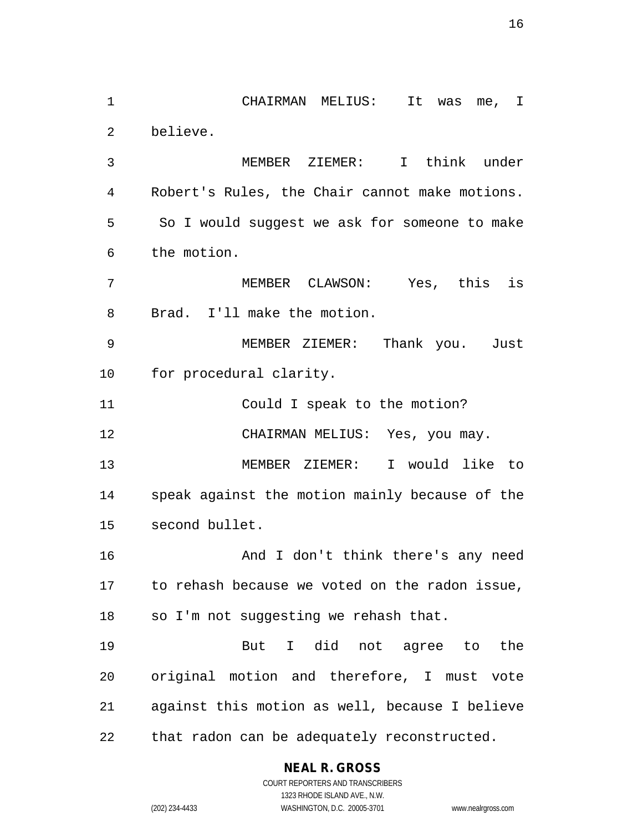CHAIRMAN MELIUS: It was me, I believe.

 MEMBER ZIEMER: I think under Robert's Rules, the Chair cannot make motions. So I would suggest we ask for someone to make the motion.

 MEMBER CLAWSON: Yes, this is Brad. I'll make the motion.

 MEMBER ZIEMER: Thank you. Just for procedural clarity.

Could I speak to the motion?

12 CHAIRMAN MELIUS: Yes, you may.

 MEMBER ZIEMER: I would like to speak against the motion mainly because of the second bullet.

 And I don't think there's any need to rehash because we voted on the radon issue, so I'm not suggesting we rehash that.

 But I did not agree to the original motion and therefore, I must vote against this motion as well, because I believe that radon can be adequately reconstructed.

## **NEAL R. GROSS**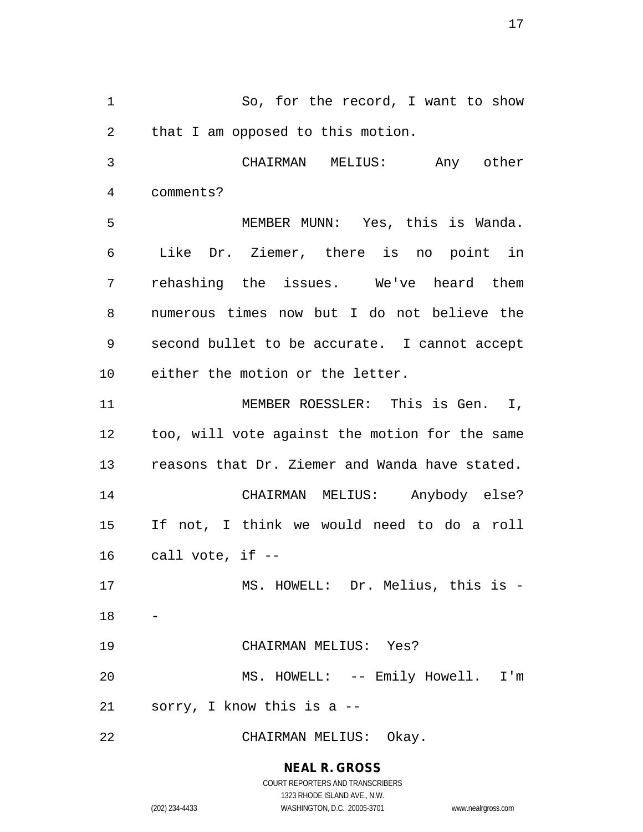1 So, for the record, I want to show that I am opposed to this motion. CHAIRMAN MELIUS: Any other comments? MEMBER MUNN: Yes, this is Wanda. Like Dr. Ziemer, there is no point in rehashing the issues. We've heard them numerous times now but I do not believe the second bullet to be accurate. I cannot accept either the motion or the letter. MEMBER ROESSLER: This is Gen. I, too, will vote against the motion for the same reasons that Dr. Ziemer and Wanda have stated. CHAIRMAN MELIUS: Anybody else? If not, I think we would need to do a roll call vote, if  $-$  MS. HOWELL: Dr. Melius, this is - CHAIRMAN MELIUS: Yes? MS. HOWELL: -- Emily Howell. I'm sorry, I know this is a -- CHAIRMAN MELIUS: Okay.

> **NEAL R. GROSS** COURT REPORTERS AND TRANSCRIBERS

> > 1323 RHODE ISLAND AVE., N.W.

(202) 234-4433 WASHINGTON, D.C. 20005-3701 www.nealrgross.com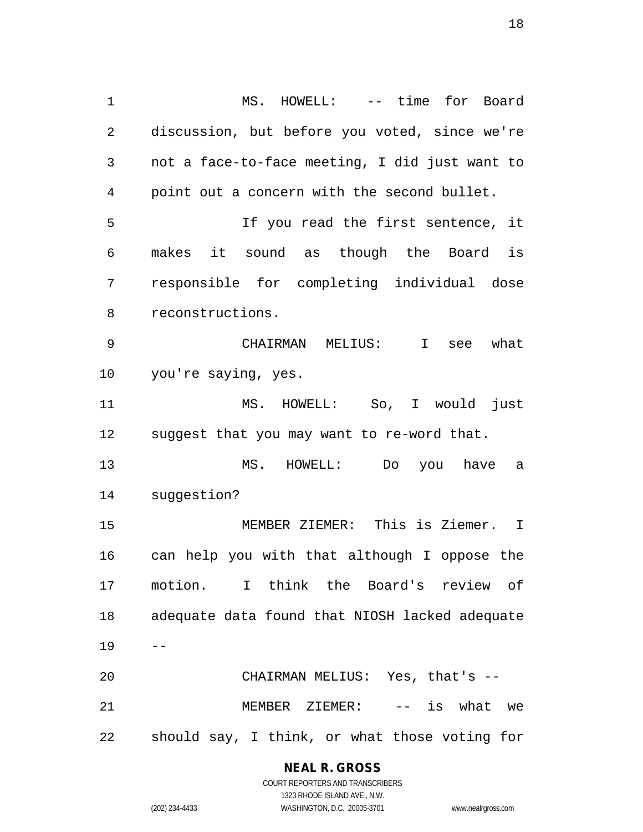MS. HOWELL: -- time for Board discussion, but before you voted, since we're not a face-to-face meeting, I did just want to point out a concern with the second bullet. If you read the first sentence, it makes it sound as though the Board is responsible for completing individual dose reconstructions. CHAIRMAN MELIUS: I see what you're saying, yes. MS. HOWELL: So, I would just suggest that you may want to re-word that. MS. HOWELL: Do you have a suggestion? MEMBER ZIEMER: This is Ziemer. I can help you with that although I oppose the motion. I think the Board's review of adequate data found that NIOSH lacked adequate  $19 - -$  CHAIRMAN MELIUS: Yes, that's -- MEMBER ZIEMER: -- is what we should say, I think, or what those voting for

#### **NEAL R. GROSS**

COURT REPORTERS AND TRANSCRIBERS 1323 RHODE ISLAND AVE., N.W. (202) 234-4433 WASHINGTON, D.C. 20005-3701 www.nealrgross.com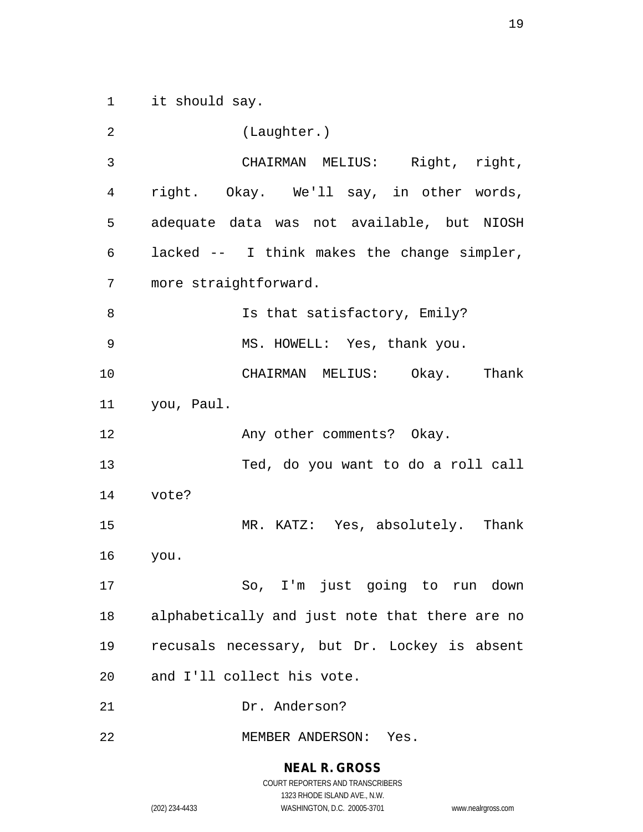it should say.

 (Laughter.) CHAIRMAN MELIUS: Right, right, right. Okay. We'll say, in other words, adequate data was not available, but NIOSH lacked -- I think makes the change simpler, more straightforward. 8 Is that satisfactory, Emily? MS. HOWELL: Yes, thank you. CHAIRMAN MELIUS: Okay. Thank you, Paul. 12 Any other comments? Okay. Ted, do you want to do a roll call vote? MR. KATZ: Yes, absolutely. Thank you. So, I'm just going to run down alphabetically and just note that there are no recusals necessary, but Dr. Lockey is absent and I'll collect his vote. Dr. Anderson? MEMBER ANDERSON: Yes.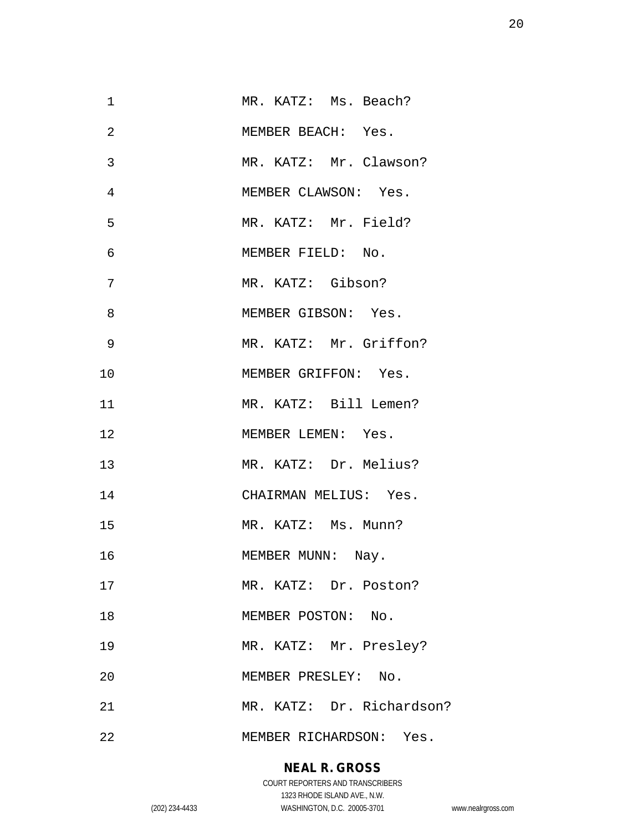| $\mathbf 1$ | MR. KATZ: Ms. Beach?      |
|-------------|---------------------------|
| 2           | MEMBER BEACH: Yes.        |
| 3           | MR. KATZ: Mr. Clawson?    |
| 4           | MEMBER CLAWSON: Yes.      |
| 5           | MR. KATZ: Mr. Field?      |
| 6           | MEMBER FIELD: No.         |
| 7           | MR. KATZ: Gibson?         |
| 8           | MEMBER GIBSON: Yes.       |
| 9           | MR. KATZ: Mr. Griffon?    |
| 10          | MEMBER GRIFFON: Yes.      |
| 11          | MR. KATZ: Bill Lemen?     |
| 12          | MEMBER LEMEN: Yes.        |
| 13          | MR. KATZ: Dr. Melius?     |
| 14          | CHAIRMAN MELIUS: Yes.     |
| 15          | MR. KATZ: Ms. Munn?       |
| 16          | MEMBER MUNN: Nay.         |
| 17          | MR. KATZ: Dr. Poston?     |
| 18          | MEMBER POSTON: No.        |
| 19          | MR. KATZ: Mr. Presley?    |
| 20          | MEMBER PRESLEY: No.       |
| 21          | MR. KATZ: Dr. Richardson? |
| 22          | MEMBER RICHARDSON: Yes.   |

# **NEAL R. GROSS**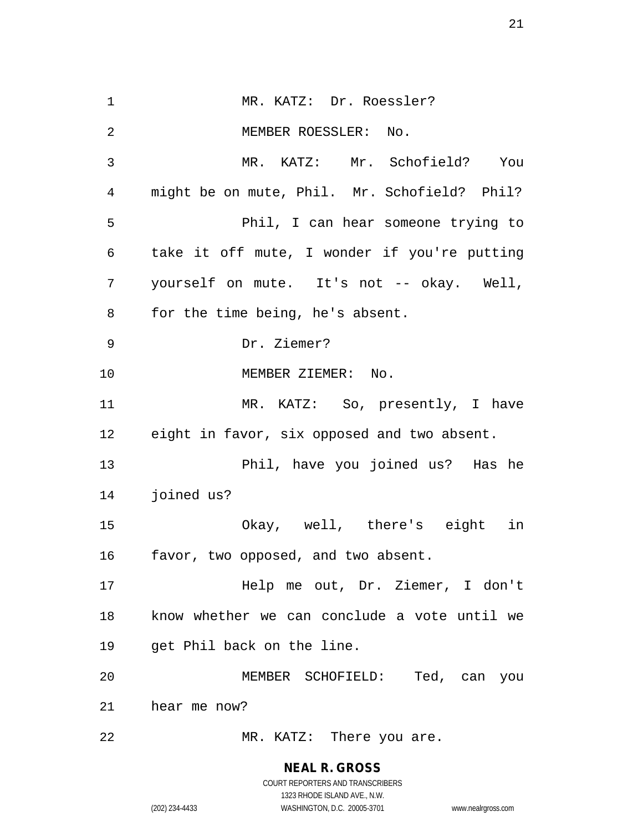1 MR. KATZ: Dr. Roessler? MEMBER ROESSLER: No. MR. KATZ: Mr. Schofield? You might be on mute, Phil. Mr. Schofield? Phil? Phil, I can hear someone trying to take it off mute, I wonder if you're putting yourself on mute. It's not -- okay. Well, for the time being, he's absent. Dr. Ziemer? 10 MEMBER ZIEMER: No. MR. KATZ: So, presently, I have eight in favor, six opposed and two absent. Phil, have you joined us? Has he joined us? Okay, well, there's eight in favor, two opposed, and two absent. Help me out, Dr. Ziemer, I don't know whether we can conclude a vote until we get Phil back on the line. MEMBER SCHOFIELD: Ted, can you hear me now? 22 MR. KATZ: There you are.

> **NEAL R. GROSS** COURT REPORTERS AND TRANSCRIBERS

> > 1323 RHODE ISLAND AVE., N.W.

(202) 234-4433 WASHINGTON, D.C. 20005-3701 www.nealrgross.com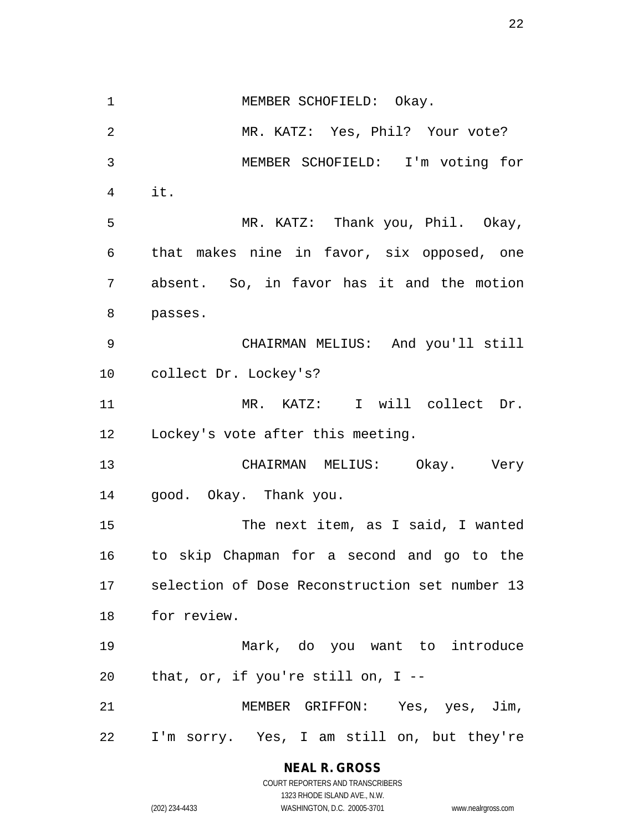1 MEMBER SCHOFIELD: Okay. MR. KATZ: Yes, Phil? Your vote? MEMBER SCHOFIELD: I'm voting for it. MR. KATZ: Thank you, Phil. Okay, that makes nine in favor, six opposed, one absent. So, in favor has it and the motion passes. CHAIRMAN MELIUS: And you'll still collect Dr. Lockey's? MR. KATZ: I will collect Dr. Lockey's vote after this meeting. CHAIRMAN MELIUS: Okay. Very good. Okay. Thank you. The next item, as I said, I wanted to skip Chapman for a second and go to the selection of Dose Reconstruction set number 13 for review. Mark, do you want to introduce that, or, if you're still on, I -- MEMBER GRIFFON: Yes, yes, Jim, I'm sorry. Yes, I am still on, but they're

**NEAL R. GROSS**

COURT REPORTERS AND TRANSCRIBERS 1323 RHODE ISLAND AVE., N.W. (202) 234-4433 WASHINGTON, D.C. 20005-3701 www.nealrgross.com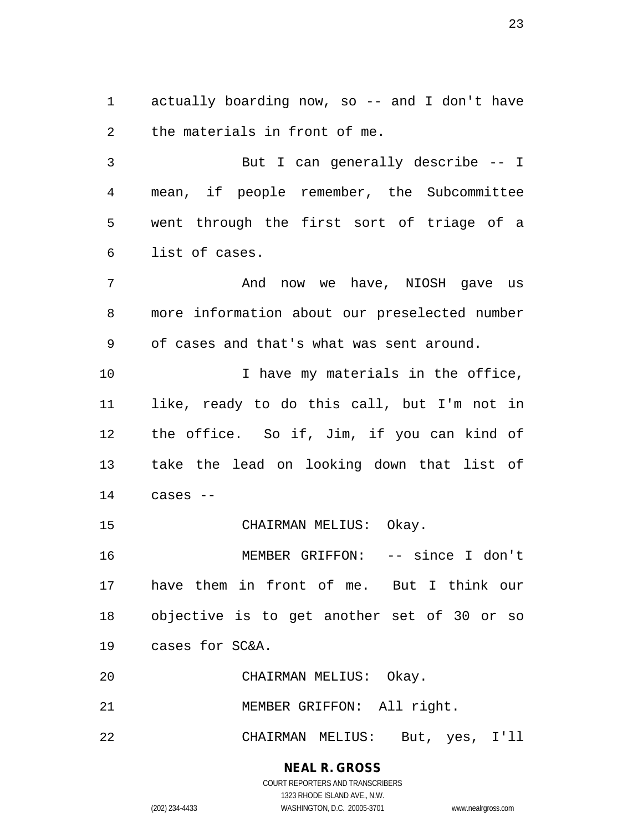actually boarding now, so -- and I don't have the materials in front of me.

 But I can generally describe -- I mean, if people remember, the Subcommittee went through the first sort of triage of a list of cases.

 And now we have, NIOSH gave us more information about our preselected number of cases and that's what was sent around. 10 10 I have my materials in the office, like, ready to do this call, but I'm not in

 the office. So if, Jim, if you can kind of take the lead on looking down that list of cases --

CHAIRMAN MELIUS: Okay.

 MEMBER GRIFFON: -- since I don't have them in front of me. But I think our objective is to get another set of 30 or so cases for SC&A.

CHAIRMAN MELIUS: Okay.

21 MEMBER GRIFFON: All right.

CHAIRMAN MELIUS: But, yes, I'll

#### **NEAL R. GROSS** COURT REPORTERS AND TRANSCRIBERS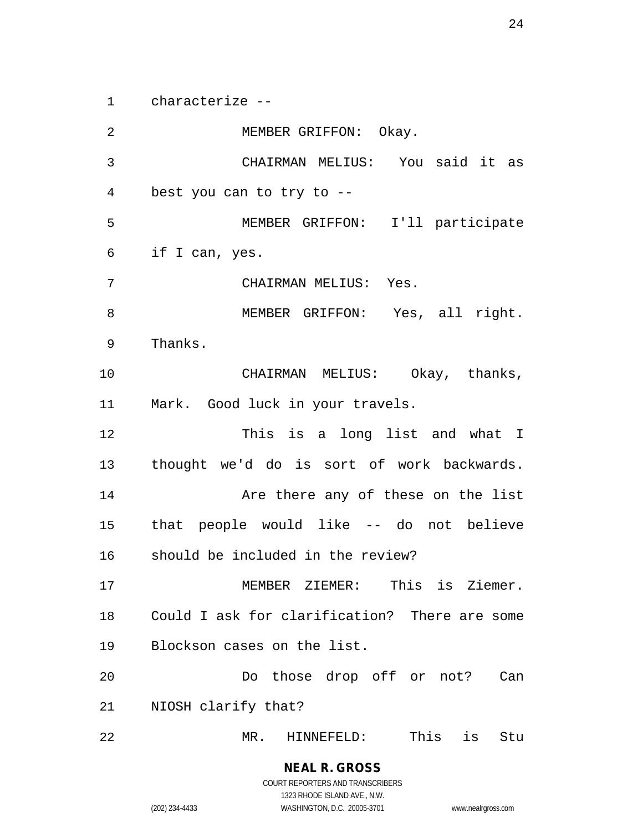characterize --

 MEMBER GRIFFON: Okay. CHAIRMAN MELIUS: You said it as best you can to try to -- MEMBER GRIFFON: I'll participate if I can, yes. CHAIRMAN MELIUS: Yes. MEMBER GRIFFON: Yes, all right. Thanks. CHAIRMAN MELIUS: Okay, thanks, Mark. Good luck in your travels. This is a long list and what I thought we'd do is sort of work backwards. **Are there any of these on the list**  that people would like -- do not believe should be included in the review? MEMBER ZIEMER: This is Ziemer. Could I ask for clarification? There are some Blockson cases on the list. Do those drop off or not? Can NIOSH clarify that? MR. HINNEFELD: This is Stu

COURT REPORTERS AND TRANSCRIBERS 1323 RHODE ISLAND AVE., N.W. (202) 234-4433 WASHINGTON, D.C. 20005-3701 www.nealrgross.com

**NEAL R. GROSS**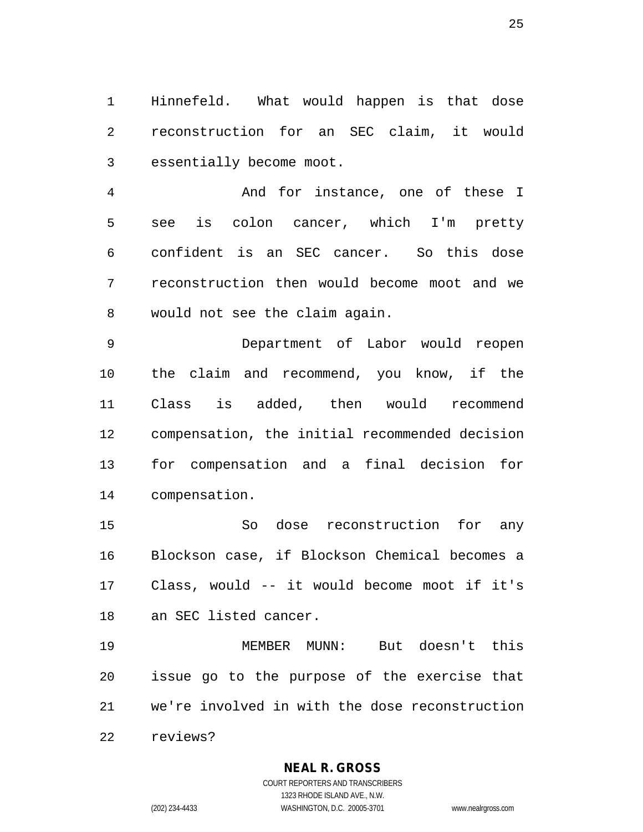Hinnefeld. What would happen is that dose reconstruction for an SEC claim, it would essentially become moot.

 And for instance, one of these I see is colon cancer, which I'm pretty confident is an SEC cancer. So this dose reconstruction then would become moot and we would not see the claim again.

 Department of Labor would reopen the claim and recommend, you know, if the Class is added, then would recommend compensation, the initial recommended decision for compensation and a final decision for compensation.

 So dose reconstruction for any Blockson case, if Blockson Chemical becomes a Class, would -- it would become moot if it's an SEC listed cancer.

 MEMBER MUNN: But doesn't this issue go to the purpose of the exercise that we're involved in with the dose reconstruction reviews?

**NEAL R. GROSS**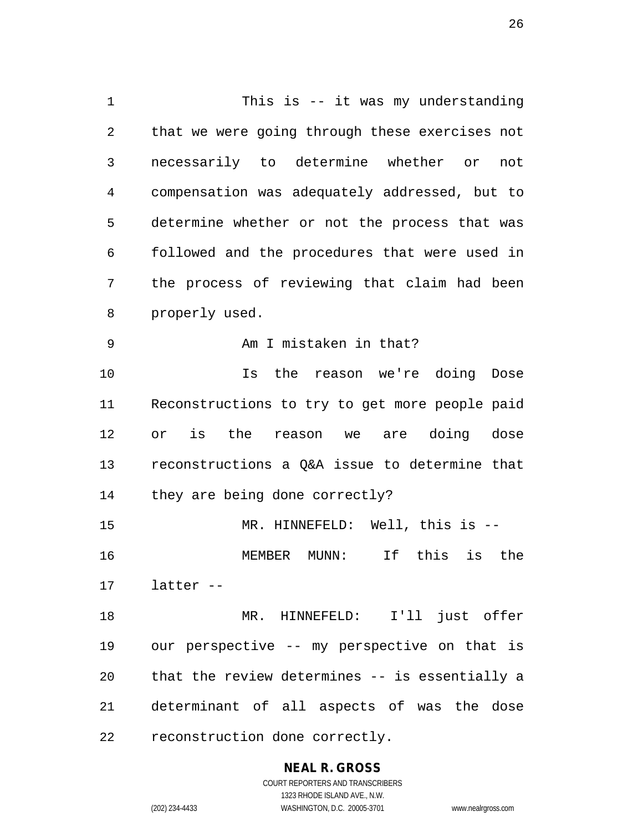This is -- it was my understanding that we were going through these exercises not necessarily to determine whether or not compensation was adequately addressed, but to determine whether or not the process that was followed and the procedures that were used in the process of reviewing that claim had been properly used. Am I mistaken in that? 10 10 Is the reason we're doing Dose Reconstructions to try to get more people paid or is the reason we are doing dose reconstructions a Q&A issue to determine that they are being done correctly? MR. HINNEFELD: Well, this is -- MEMBER MUNN: If this is the latter -- MR. HINNEFELD: I'll just offer our perspective -- my perspective on that is that the review determines -- is essentially a determinant of all aspects of was the dose reconstruction done correctly.

> **NEAL R. GROSS** COURT REPORTERS AND TRANSCRIBERS

1323 RHODE ISLAND AVE., N.W. (202) 234-4433 WASHINGTON, D.C. 20005-3701 www.nealrgross.com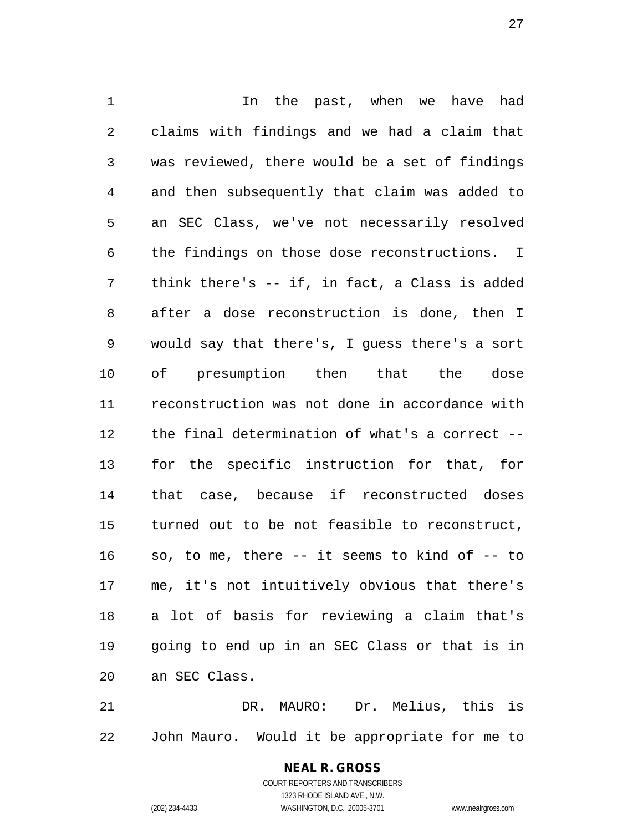1 1 In the past, when we have had claims with findings and we had a claim that was reviewed, there would be a set of findings and then subsequently that claim was added to an SEC Class, we've not necessarily resolved the findings on those dose reconstructions. I think there's -- if, in fact, a Class is added after a dose reconstruction is done, then I would say that there's, I guess there's a sort of presumption then that the dose reconstruction was not done in accordance with the final determination of what's a correct -- for the specific instruction for that, for that case, because if reconstructed doses turned out to be not feasible to reconstruct, so, to me, there -- it seems to kind of -- to me, it's not intuitively obvious that there's a lot of basis for reviewing a claim that's going to end up in an SEC Class or that is in an SEC Class.

 DR. MAURO: Dr. Melius, this is John Mauro. Would it be appropriate for me to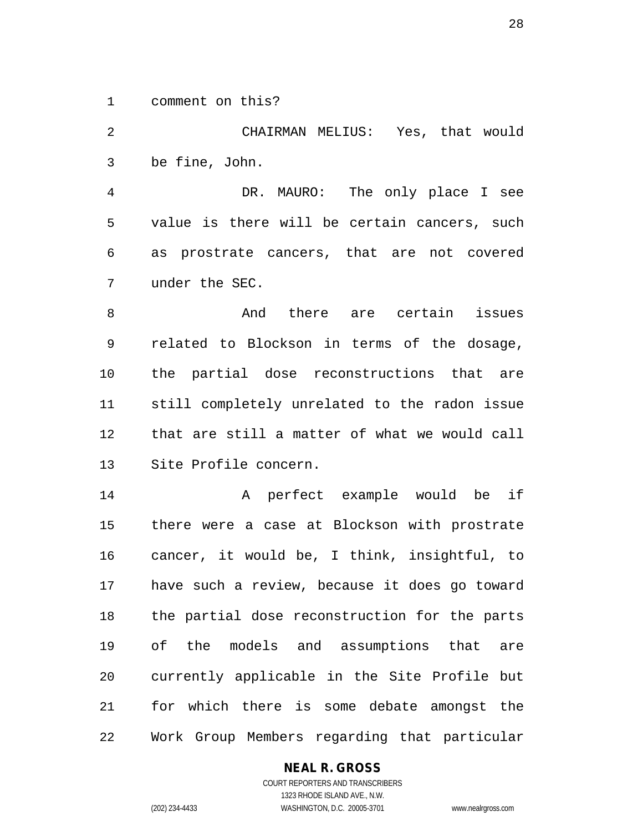comment on this?

 CHAIRMAN MELIUS: Yes, that would be fine, John. DR. MAURO: The only place I see value is there will be certain cancers, such

 as prostrate cancers, that are not covered under the SEC.

8 And there are certain issues related to Blockson in terms of the dosage, the partial dose reconstructions that are still completely unrelated to the radon issue that are still a matter of what we would call Site Profile concern.

 A perfect example would be if there were a case at Blockson with prostrate cancer, it would be, I think, insightful, to have such a review, because it does go toward the partial dose reconstruction for the parts of the models and assumptions that are currently applicable in the Site Profile but for which there is some debate amongst the Work Group Members regarding that particular

## **NEAL R. GROSS**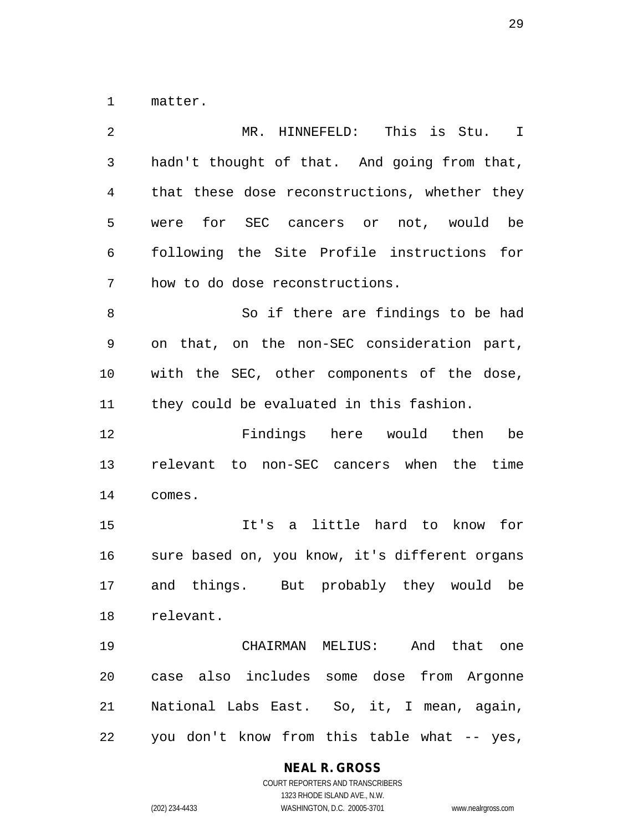matter.

| 2              | MR. HINNEFELD:<br>This is Stu. I               |
|----------------|------------------------------------------------|
| $\mathfrak{Z}$ | hadn't thought of that. And going from that,   |
| 4              | that these dose reconstructions, whether they  |
| 5              | were for SEC cancers or not, would be          |
| 6              | following the Site Profile instructions for    |
| 7              | how to do dose reconstructions.                |
| 8              | So if there are findings to be had             |
| 9              | on that, on the non-SEC consideration part,    |
| 10             | with the SEC, other components of the dose,    |
| 11             | they could be evaluated in this fashion.       |
| 12             | Findings here would then<br>be                 |
| 13             | relevant to non-SEC cancers when the time      |
| 14             | comes.                                         |
| 15             | It's a little hard to know for                 |
| 16             | sure based on, you know, it's different organs |
| 17             | and things. But probably they would be         |
| 18             | relevant.                                      |
| 19             | CHAIRMAN MELIUS: And that one                  |
| 20             | case also includes some dose from Argonne      |
| 21             | National Labs East. So, it, I mean, again,     |
| 22             | you don't know from this table what -- yes,    |

**NEAL R. GROSS**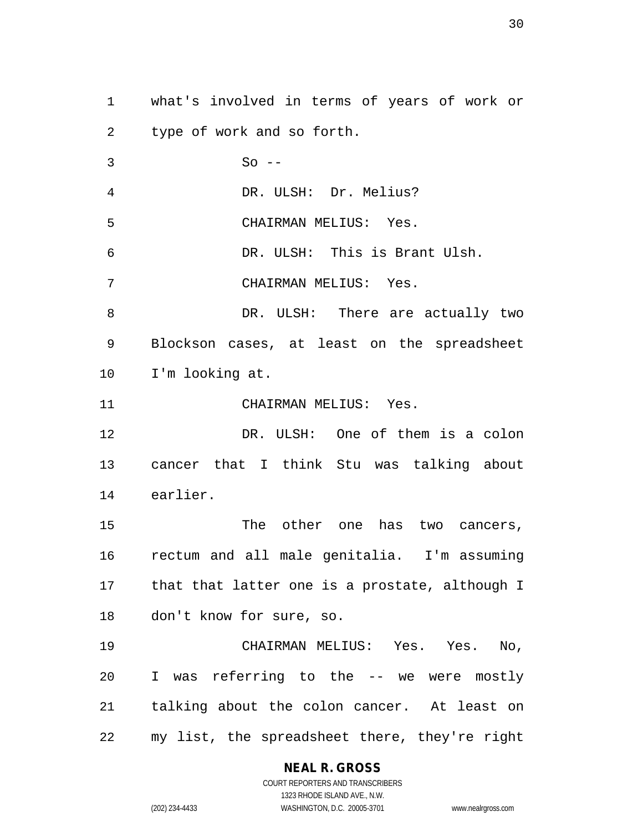what's involved in terms of years of work or type of work and so forth. So -- DR. ULSH: Dr. Melius? CHAIRMAN MELIUS: Yes. DR. ULSH: This is Brant Ulsh. CHAIRMAN MELIUS: Yes. 8 DR. ULSH: There are actually two Blockson cases, at least on the spreadsheet I'm looking at. CHAIRMAN MELIUS: Yes. DR. ULSH: One of them is a colon cancer that I think Stu was talking about earlier. 15 The other one has two cancers, rectum and all male genitalia. I'm assuming that that latter one is a prostate, although I don't know for sure, so. CHAIRMAN MELIUS: Yes. Yes. No, I was referring to the -- we were mostly talking about the colon cancer. At least on my list, the spreadsheet there, they're right

# **NEAL R. GROSS**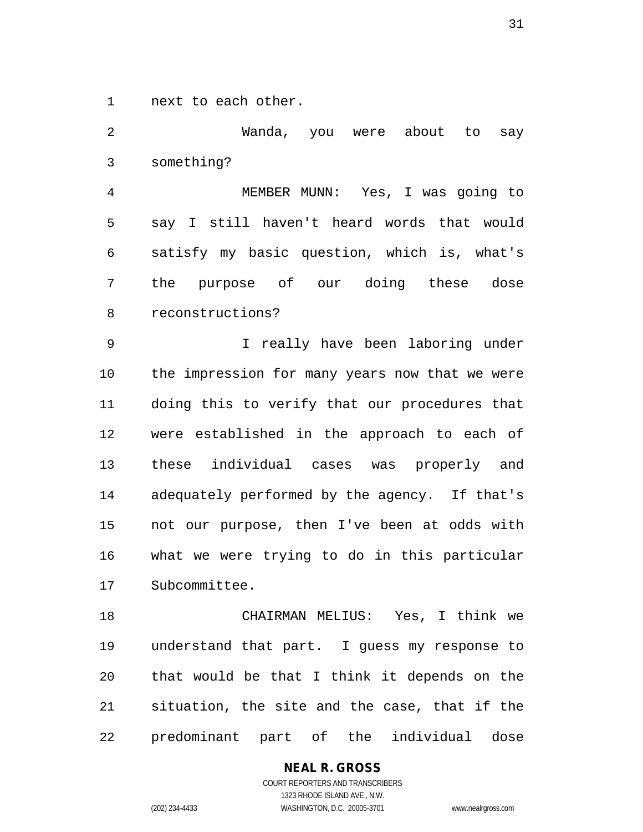next to each other.

 Wanda, you were about to say something? MEMBER MUNN: Yes, I was going to say I still haven't heard words that would satisfy my basic question, which is, what's the purpose of our doing these dose reconstructions? I really have been laboring under the impression for many years now that we were doing this to verify that our procedures that were established in the approach to each of these individual cases was properly and adequately performed by the agency. If that's not our purpose, then I've been at odds with what we were trying to do in this particular Subcommittee. CHAIRMAN MELIUS: Yes, I think we understand that part. I guess my response to that would be that I think it depends on the situation, the site and the case, that if the

predominant part of the individual dose

**NEAL R. GROSS** COURT REPORTERS AND TRANSCRIBERS 1323 RHODE ISLAND AVE., N.W. (202) 234-4433 WASHINGTON, D.C. 20005-3701 www.nealrgross.com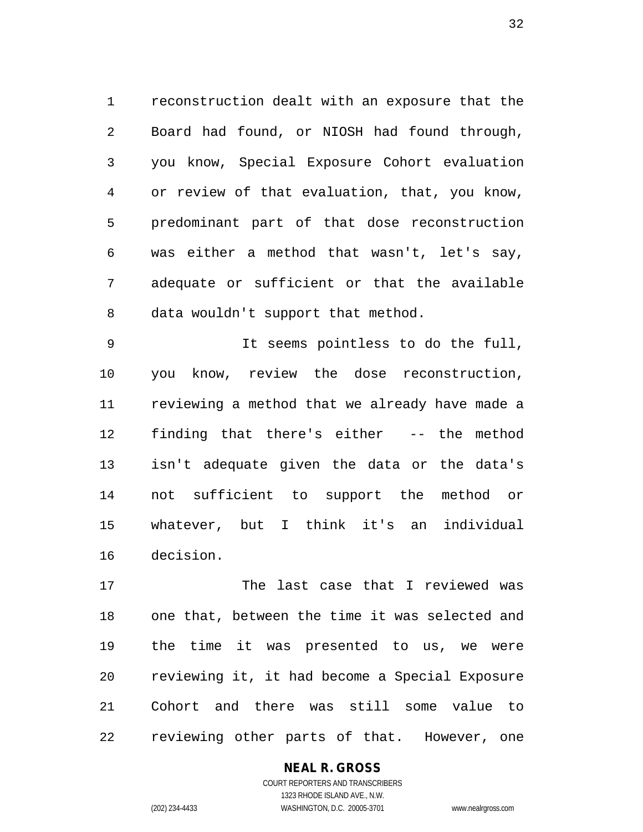reconstruction dealt with an exposure that the Board had found, or NIOSH had found through, you know, Special Exposure Cohort evaluation or review of that evaluation, that, you know, predominant part of that dose reconstruction was either a method that wasn't, let's say, adequate or sufficient or that the available data wouldn't support that method.

 It seems pointless to do the full, you know, review the dose reconstruction, reviewing a method that we already have made a finding that there's either -- the method isn't adequate given the data or the data's not sufficient to support the method or whatever, but I think it's an individual decision.

 The last case that I reviewed was one that, between the time it was selected and the time it was presented to us, we were reviewing it, it had become a Special Exposure Cohort and there was still some value to reviewing other parts of that. However, one

> **NEAL R. GROSS** COURT REPORTERS AND TRANSCRIBERS

1323 RHODE ISLAND AVE., N.W. (202) 234-4433 WASHINGTON, D.C. 20005-3701 www.nealrgross.com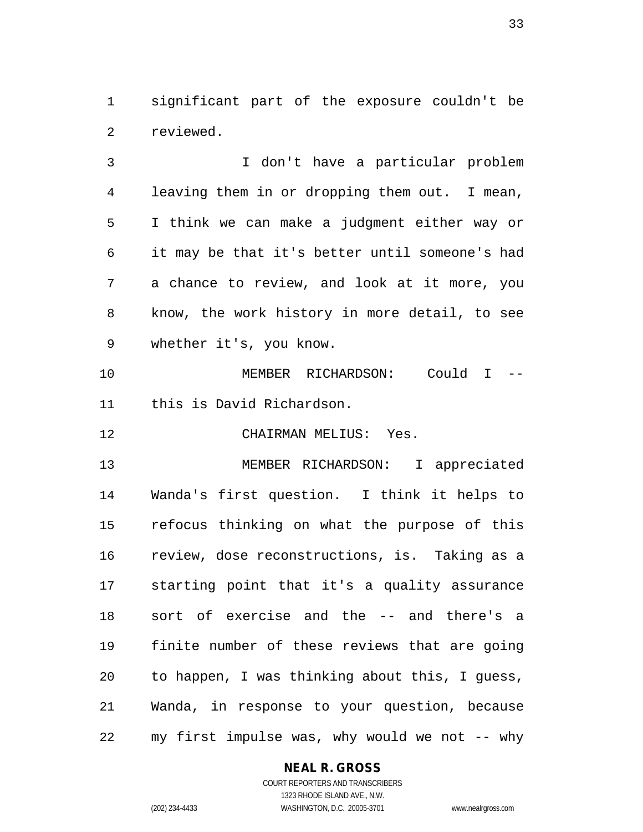significant part of the exposure couldn't be reviewed.

 I don't have a particular problem leaving them in or dropping them out. I mean, I think we can make a judgment either way or it may be that it's better until someone's had a chance to review, and look at it more, you know, the work history in more detail, to see whether it's, you know.

 MEMBER RICHARDSON: Could I -- this is David Richardson.

CHAIRMAN MELIUS: Yes.

 MEMBER RICHARDSON: I appreciated Wanda's first question. I think it helps to refocus thinking on what the purpose of this review, dose reconstructions, is. Taking as a starting point that it's a quality assurance sort of exercise and the -- and there's a finite number of these reviews that are going to happen, I was thinking about this, I guess, Wanda, in response to your question, because my first impulse was, why would we not -- why

## **NEAL R. GROSS**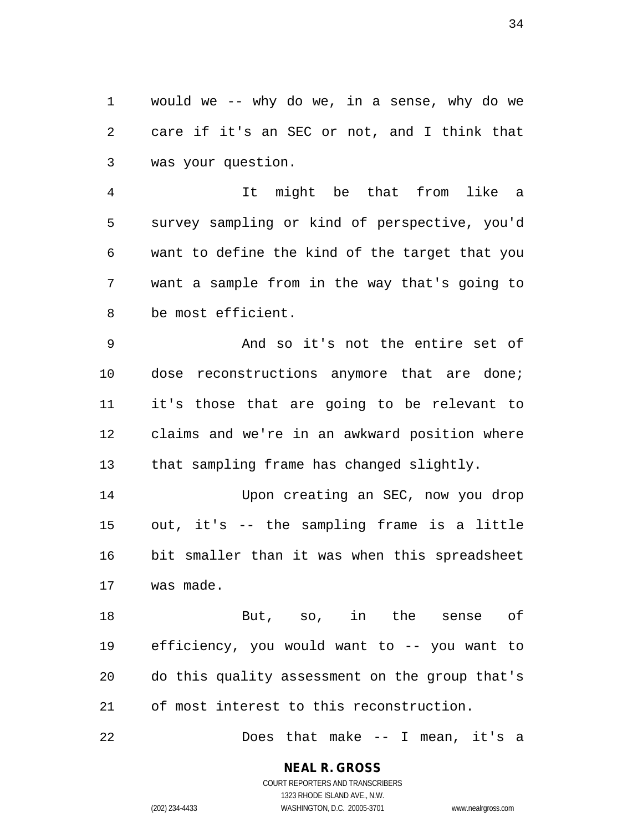would we -- why do we, in a sense, why do we care if it's an SEC or not, and I think that was your question.

 It might be that from like a survey sampling or kind of perspective, you'd want to define the kind of the target that you want a sample from in the way that's going to be most efficient.

 And so it's not the entire set of dose reconstructions anymore that are done; it's those that are going to be relevant to claims and we're in an awkward position where that sampling frame has changed slightly.

 Upon creating an SEC, now you drop out, it's -- the sampling frame is a little bit smaller than it was when this spreadsheet was made.

 But, so, in the sense of efficiency, you would want to -- you want to do this quality assessment on the group that's of most interest to this reconstruction.

Does that make -- I mean, it's a

**NEAL R. GROSS** COURT REPORTERS AND TRANSCRIBERS

1323 RHODE ISLAND AVE., N.W. (202) 234-4433 WASHINGTON, D.C. 20005-3701 www.nealrgross.com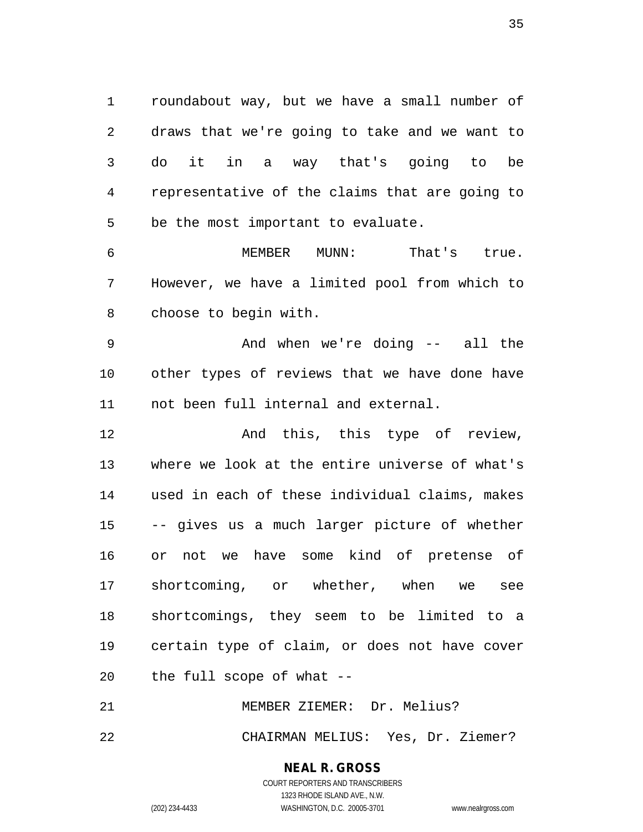roundabout way, but we have a small number of draws that we're going to take and we want to do it in a way that's going to be representative of the claims that are going to be the most important to evaluate.

 MEMBER MUNN: That's true. However, we have a limited pool from which to choose to begin with.

 And when we're doing -- all the other types of reviews that we have done have not been full internal and external.

 And this, this type of review, where we look at the entire universe of what's used in each of these individual claims, makes -- gives us a much larger picture of whether or not we have some kind of pretense of shortcoming, or whether, when we see shortcomings, they seem to be limited to a certain type of claim, or does not have cover the full scope of what --

 MEMBER ZIEMER: Dr. Melius? CHAIRMAN MELIUS: Yes, Dr. Ziemer?

### **NEAL R. GROSS** COURT REPORTERS AND TRANSCRIBERS

1323 RHODE ISLAND AVE., N.W. (202) 234-4433 WASHINGTON, D.C. 20005-3701 www.nealrgross.com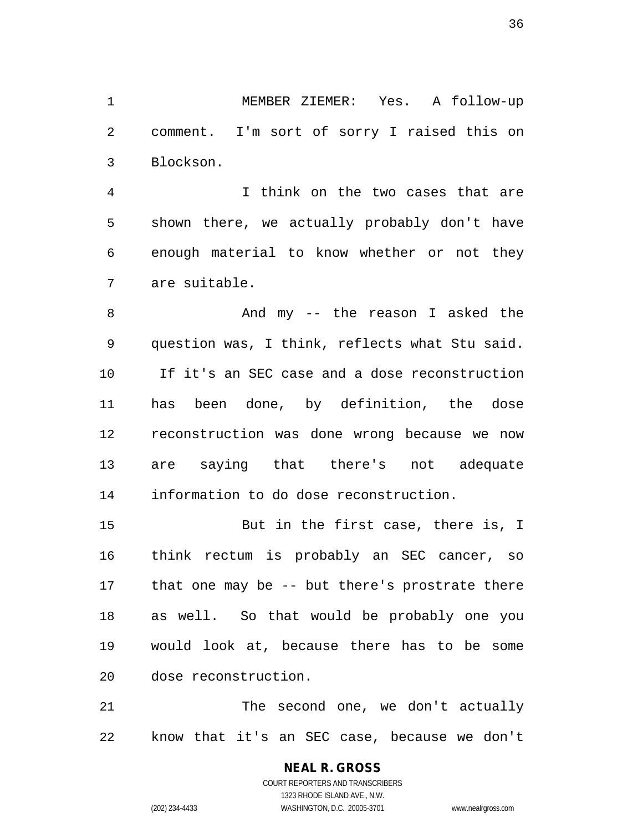MEMBER ZIEMER: Yes. A follow-up comment. I'm sort of sorry I raised this on Blockson.

 I think on the two cases that are shown there, we actually probably don't have enough material to know whether or not they are suitable.

 And my -- the reason I asked the question was, I think, reflects what Stu said. If it's an SEC case and a dose reconstruction has been done, by definition, the dose reconstruction was done wrong because we now are saying that there's not adequate information to do dose reconstruction.

 But in the first case, there is, I think rectum is probably an SEC cancer, so that one may be -- but there's prostrate there as well. So that would be probably one you would look at, because there has to be some dose reconstruction.

21 The second one, we don't actually know that it's an SEC case, because we don't

> **NEAL R. GROSS** COURT REPORTERS AND TRANSCRIBERS 1323 RHODE ISLAND AVE., N.W. (202) 234-4433 WASHINGTON, D.C. 20005-3701 www.nealrgross.com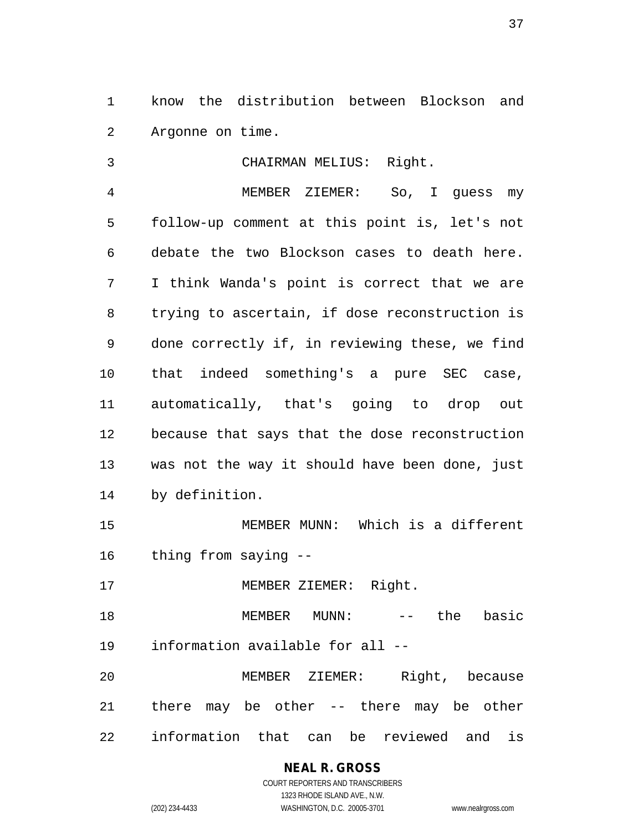know the distribution between Blockson and Argonne on time.

 CHAIRMAN MELIUS: Right. MEMBER ZIEMER: So, I guess my follow-up comment at this point is, let's not debate the two Blockson cases to death here. I think Wanda's point is correct that we are trying to ascertain, if dose reconstruction is done correctly if, in reviewing these, we find that indeed something's a pure SEC case, automatically, that's going to drop out because that says that the dose reconstruction was not the way it should have been done, just by definition.

 MEMBER MUNN: Which is a different thing from saying --

MEMBER ZIEMER: Right.

18 MEMBER MUNN: -- the basic information available for all --

 MEMBER ZIEMER: Right, because there may be other -- there may be other information that can be reviewed and is

(202) 234-4433 WASHINGTON, D.C. 20005-3701 www.nealrgross.com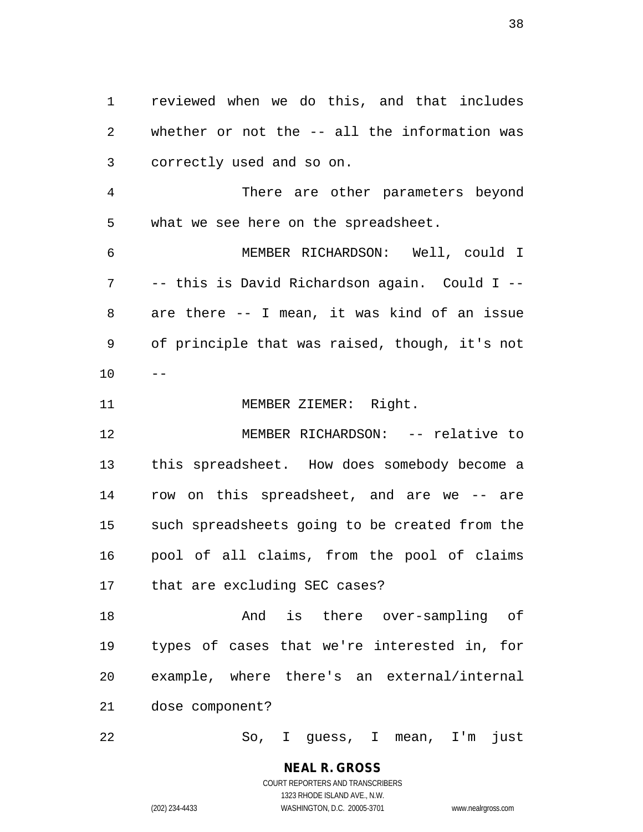reviewed when we do this, and that includes whether or not the -- all the information was correctly used and so on.

 There are other parameters beyond what we see here on the spreadsheet.

 MEMBER RICHARDSON: Well, could I -- this is David Richardson again. Could I -- are there -- I mean, it was kind of an issue of principle that was raised, though, it's not  $10 - -$ 

11 MEMBER ZIEMER: Right.

 MEMBER RICHARDSON: -- relative to this spreadsheet. How does somebody become a row on this spreadsheet, and are we -- are such spreadsheets going to be created from the pool of all claims, from the pool of claims that are excluding SEC cases?

 And is there over-sampling of types of cases that we're interested in, for example, where there's an external/internal dose component?

So, I guess, I mean, I'm just

**NEAL R. GROSS** COURT REPORTERS AND TRANSCRIBERS 1323 RHODE ISLAND AVE., N.W.

(202) 234-4433 WASHINGTON, D.C. 20005-3701 www.nealrgross.com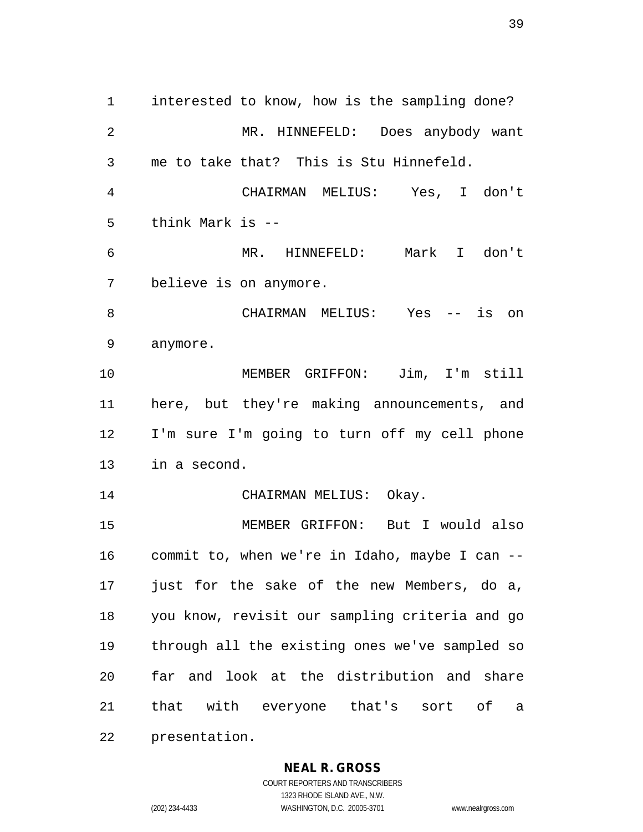interested to know, how is the sampling done? MR. HINNEFELD: Does anybody want me to take that? This is Stu Hinnefeld. CHAIRMAN MELIUS: Yes, I don't think Mark is -- MR. HINNEFELD: Mark I don't believe is on anymore. CHAIRMAN MELIUS: Yes -- is on anymore. MEMBER GRIFFON: Jim, I'm still here, but they're making announcements, and I'm sure I'm going to turn off my cell phone in a second. 14 CHAIRMAN MELIUS: Okay. MEMBER GRIFFON: But I would also commit to, when we're in Idaho, maybe I can -- just for the sake of the new Members, do a, you know, revisit our sampling criteria and go through all the existing ones we've sampled so far and look at the distribution and share that with everyone that's sort of a presentation.

#### **NEAL R. GROSS**

COURT REPORTERS AND TRANSCRIBERS 1323 RHODE ISLAND AVE., N.W. (202) 234-4433 WASHINGTON, D.C. 20005-3701 www.nealrgross.com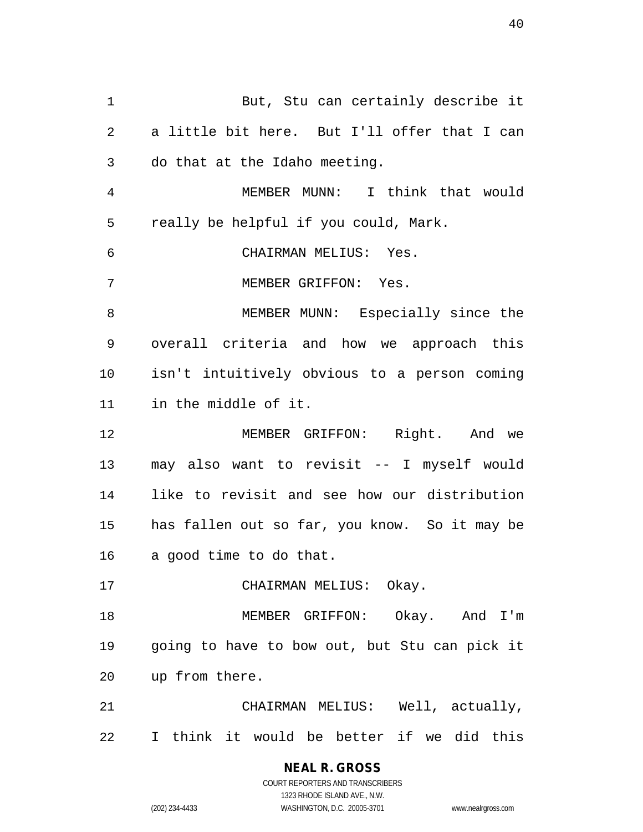But, Stu can certainly describe it a little bit here. But I'll offer that I can do that at the Idaho meeting. MEMBER MUNN: I think that would really be helpful if you could, Mark. CHAIRMAN MELIUS: Yes. MEMBER GRIFFON: Yes. MEMBER MUNN: Especially since the overall criteria and how we approach this isn't intuitively obvious to a person coming in the middle of it. MEMBER GRIFFON: Right. And we may also want to revisit -- I myself would like to revisit and see how our distribution has fallen out so far, you know. So it may be a good time to do that. 17 CHAIRMAN MELIUS: Okay. MEMBER GRIFFON: Okay. And I'm going to have to bow out, but Stu can pick it up from there. CHAIRMAN MELIUS: Well, actually, I think it would be better if we did this

> COURT REPORTERS AND TRANSCRIBERS 1323 RHODE ISLAND AVE., N.W. (202) 234-4433 WASHINGTON, D.C. 20005-3701 www.nealrgross.com

**NEAL R. GROSS**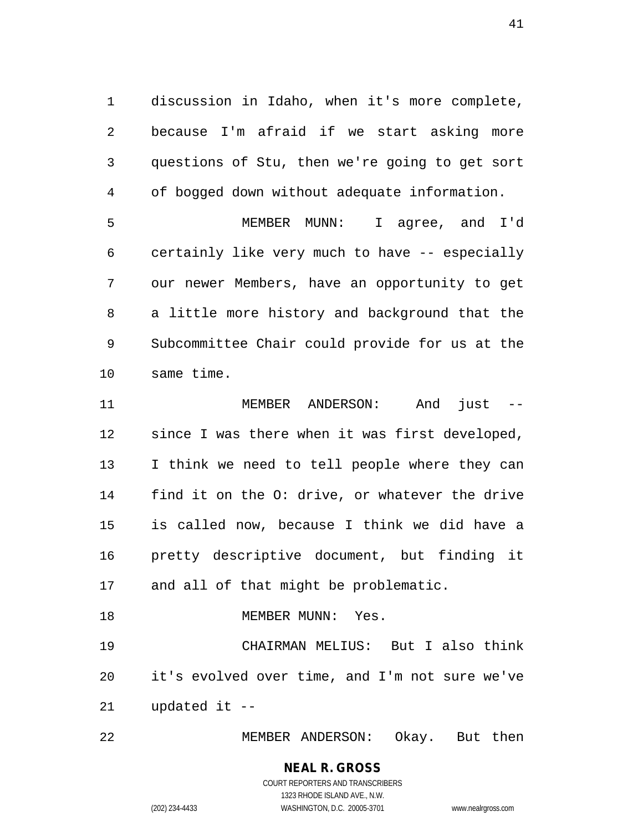discussion in Idaho, when it's more complete, because I'm afraid if we start asking more questions of Stu, then we're going to get sort of bogged down without adequate information.

 MEMBER MUNN: I agree, and I'd certainly like very much to have -- especially our newer Members, have an opportunity to get a little more history and background that the Subcommittee Chair could provide for us at the same time.

 MEMBER ANDERSON: And just -- since I was there when it was first developed, I think we need to tell people where they can find it on the O: drive, or whatever the drive is called now, because I think we did have a pretty descriptive document, but finding it and all of that might be problematic.

 CHAIRMAN MELIUS: But I also think it's evolved over time, and I'm not sure we've updated it --

18 MEMBER MUNN: Yes.

MEMBER ANDERSON: Okay. But then

#### **NEAL R. GROSS** COURT REPORTERS AND TRANSCRIBERS 1323 RHODE ISLAND AVE., N.W.

(202) 234-4433 WASHINGTON, D.C. 20005-3701 www.nealrgross.com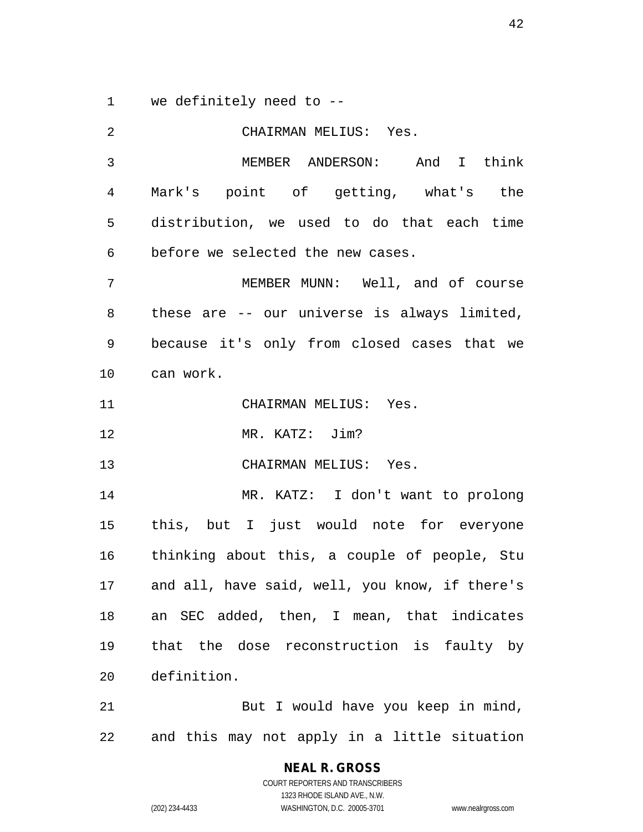we definitely need to --

| 2  | CHAIRMAN MELIUS: Yes.                          |
|----|------------------------------------------------|
| 3  | MEMBER ANDERSON: And I think                   |
| 4  | Mark's point of getting, what's the            |
| 5  | distribution, we used to do that each time     |
| 6  | before we selected the new cases.              |
| 7  | MEMBER MUNN: Well, and of course               |
| 8  | these are -- our universe is always limited,   |
| 9  | because it's only from closed cases that we    |
| 10 | can work.                                      |
| 11 | CHAIRMAN MELIUS: Yes.                          |
| 12 | MR. KATZ: Jim?                                 |
| 13 | CHAIRMAN MELIUS: Yes.                          |
| 14 | MR. KATZ: I don't want to prolong              |
| 15 | this, but I just would note for everyone       |
| 16 | thinking about this, a couple of people, Stu   |
| 17 | and all, have said, well, you know, if there's |
| 18 | an SEC added, then, I mean, that indicates     |
| 19 | that the dose reconstruction is faulty by      |
| 20 | definition.                                    |
| 21 | But I would have you keep in mind,             |
| 22 | and this may not apply in a little situation   |

**NEAL R. GROSS** COURT REPORTERS AND TRANSCRIBERS 1323 RHODE ISLAND AVE., N.W. (202) 234-4433 WASHINGTON, D.C. 20005-3701 www.nealrgross.com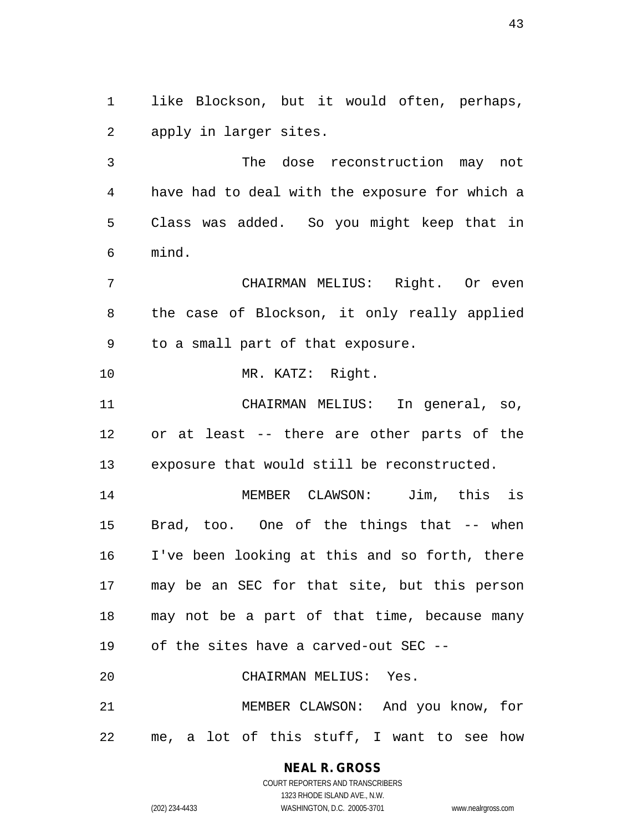like Blockson, but it would often, perhaps, apply in larger sites.

 The dose reconstruction may not have had to deal with the exposure for which a Class was added. So you might keep that in mind.

 CHAIRMAN MELIUS: Right. Or even the case of Blockson, it only really applied to a small part of that exposure.

10 MR. KATZ: Right.

 CHAIRMAN MELIUS: In general, so, or at least -- there are other parts of the exposure that would still be reconstructed.

 MEMBER CLAWSON: Jim, this is Brad, too. One of the things that -- when I've been looking at this and so forth, there may be an SEC for that site, but this person may not be a part of that time, because many of the sites have a carved-out SEC -- CHAIRMAN MELIUS: Yes.

 MEMBER CLAWSON: And you know, for me, a lot of this stuff, I want to see how

**NEAL R. GROSS**

COURT REPORTERS AND TRANSCRIBERS 1323 RHODE ISLAND AVE., N.W. (202) 234-4433 WASHINGTON, D.C. 20005-3701 www.nealrgross.com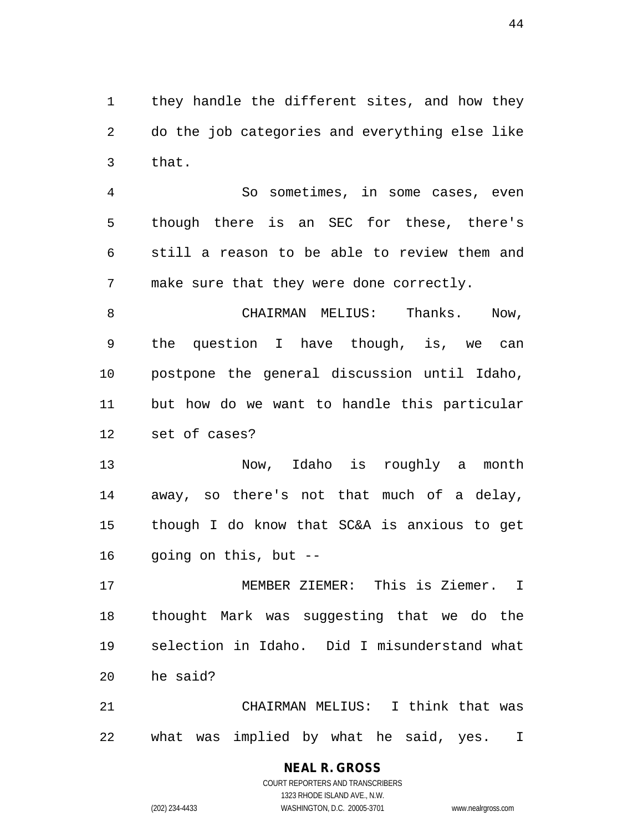they handle the different sites, and how they do the job categories and everything else like that.

 So sometimes, in some cases, even though there is an SEC for these, there's still a reason to be able to review them and make sure that they were done correctly.

8 CHAIRMAN MELIUS: Thanks. Now, the question I have though, is, we can postpone the general discussion until Idaho, but how do we want to handle this particular set of cases?

 Now, Idaho is roughly a month away, so there's not that much of a delay, though I do know that SC&A is anxious to get going on this, but --

 MEMBER ZIEMER: This is Ziemer. I thought Mark was suggesting that we do the selection in Idaho. Did I misunderstand what he said?

 CHAIRMAN MELIUS: I think that was what was implied by what he said, yes. I

# **NEAL R. GROSS**

COURT REPORTERS AND TRANSCRIBERS 1323 RHODE ISLAND AVE., N.W. (202) 234-4433 WASHINGTON, D.C. 20005-3701 www.nealrgross.com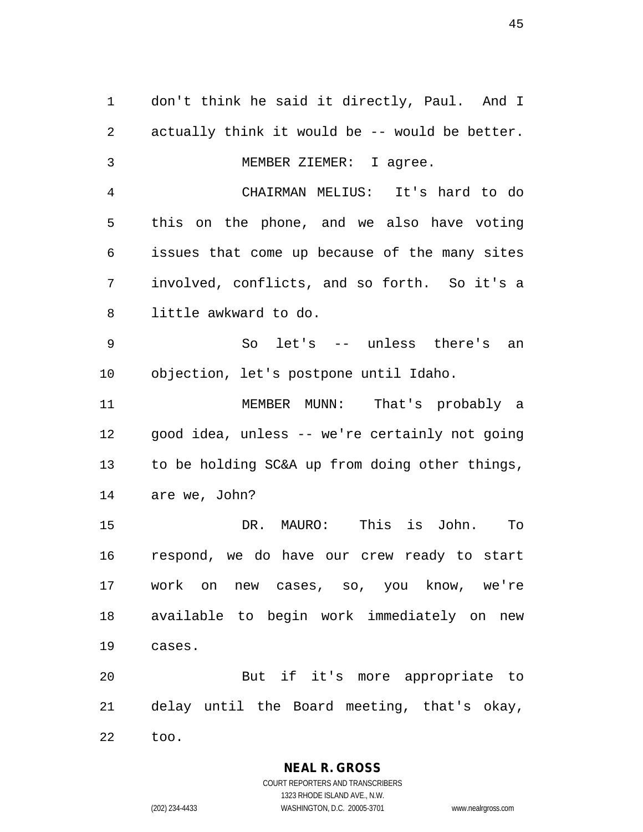don't think he said it directly, Paul. And I actually think it would be -- would be better. MEMBER ZIEMER: I agree. CHAIRMAN MELIUS: It's hard to do this on the phone, and we also have voting issues that come up because of the many sites involved, conflicts, and so forth. So it's a little awkward to do. So let's -- unless there's an objection, let's postpone until Idaho. MEMBER MUNN: That's probably a good idea, unless -- we're certainly not going to be holding SC&A up from doing other things, are we, John? DR. MAURO: This is John. To respond, we do have our crew ready to start work on new cases, so, you know, we're available to begin work immediately on new cases. But if it's more appropriate to delay until the Board meeting, that's okay, too.

> **NEAL R. GROSS** COURT REPORTERS AND TRANSCRIBERS

1323 RHODE ISLAND AVE., N.W. (202) 234-4433 WASHINGTON, D.C. 20005-3701 www.nealrgross.com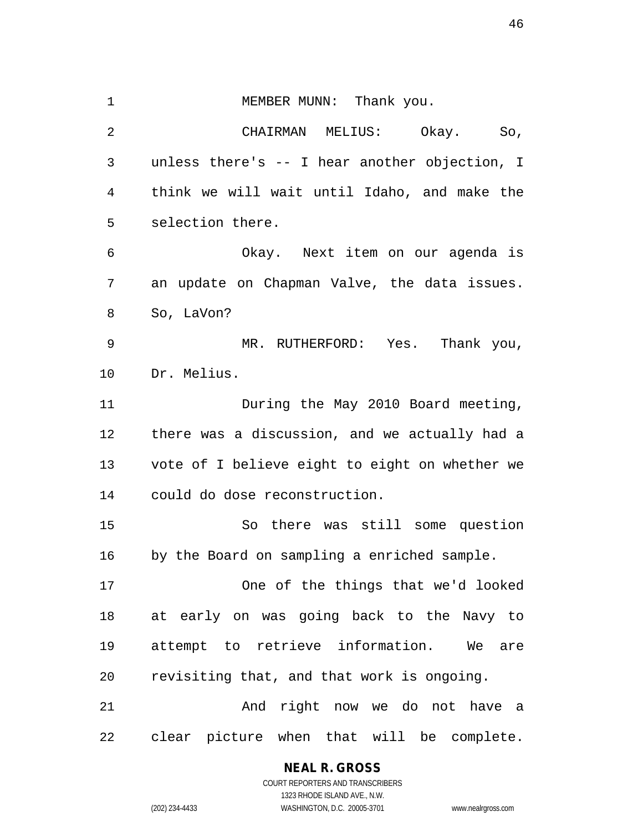1 MEMBER MUNN: Thank you. CHAIRMAN MELIUS: Okay. So, unless there's -- I hear another objection, I think we will wait until Idaho, and make the selection there. Okay. Next item on our agenda is an update on Chapman Valve, the data issues. So, LaVon? MR. RUTHERFORD: Yes. Thank you, Dr. Melius. 11 During the May 2010 Board meeting, there was a discussion, and we actually had a vote of I believe eight to eight on whether we could do dose reconstruction. So there was still some question by the Board on sampling a enriched sample. One of the things that we'd looked at early on was going back to the Navy to attempt to retrieve information. We are revisiting that, and that work is ongoing.

21 And right now we do not have a clear picture when that will be complete.

# **NEAL R. GROSS**

COURT REPORTERS AND TRANSCRIBERS 1323 RHODE ISLAND AVE., N.W. (202) 234-4433 WASHINGTON, D.C. 20005-3701 www.nealrgross.com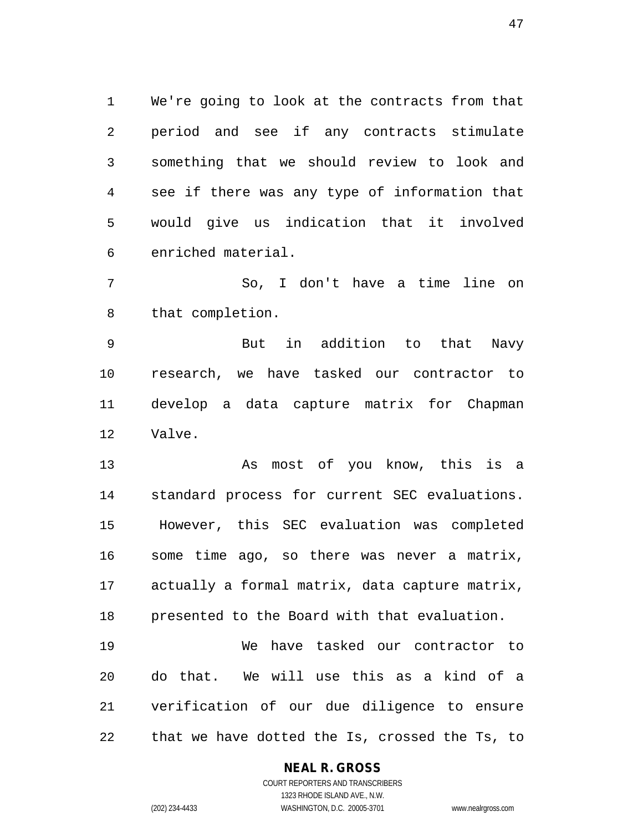We're going to look at the contracts from that period and see if any contracts stimulate something that we should review to look and see if there was any type of information that would give us indication that it involved enriched material.

 So, I don't have a time line on that completion.

 But in addition to that Navy research, we have tasked our contractor to develop a data capture matrix for Chapman Valve.

 As most of you know, this is a standard process for current SEC evaluations. However, this SEC evaluation was completed some time ago, so there was never a matrix, actually a formal matrix, data capture matrix, presented to the Board with that evaluation. We have tasked our contractor to

 do that. We will use this as a kind of a verification of our due diligence to ensure that we have dotted the Is, crossed the Ts, to

#### **NEAL R. GROSS**

COURT REPORTERS AND TRANSCRIBERS 1323 RHODE ISLAND AVE., N.W. (202) 234-4433 WASHINGTON, D.C. 20005-3701 www.nealrgross.com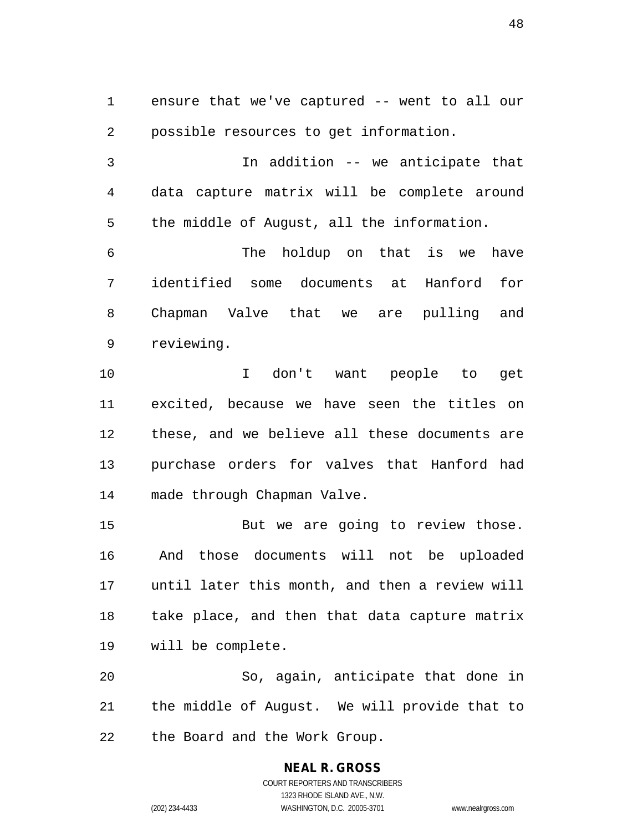ensure that we've captured -- went to all our possible resources to get information.

 In addition -- we anticipate that data capture matrix will be complete around the middle of August, all the information.

 The holdup on that is we have identified some documents at Hanford for Chapman Valve that we are pulling and reviewing.

 I don't want people to get excited, because we have seen the titles on these, and we believe all these documents are purchase orders for valves that Hanford had made through Chapman Valve.

15 But we are going to review those. And those documents will not be uploaded until later this month, and then a review will take place, and then that data capture matrix will be complete.

 So, again, anticipate that done in the middle of August. We will provide that to the Board and the Work Group.

#### **NEAL R. GROSS** COURT REPORTERS AND TRANSCRIBERS 1323 RHODE ISLAND AVE., N.W. (202) 234-4433 WASHINGTON, D.C. 20005-3701 www.nealrgross.com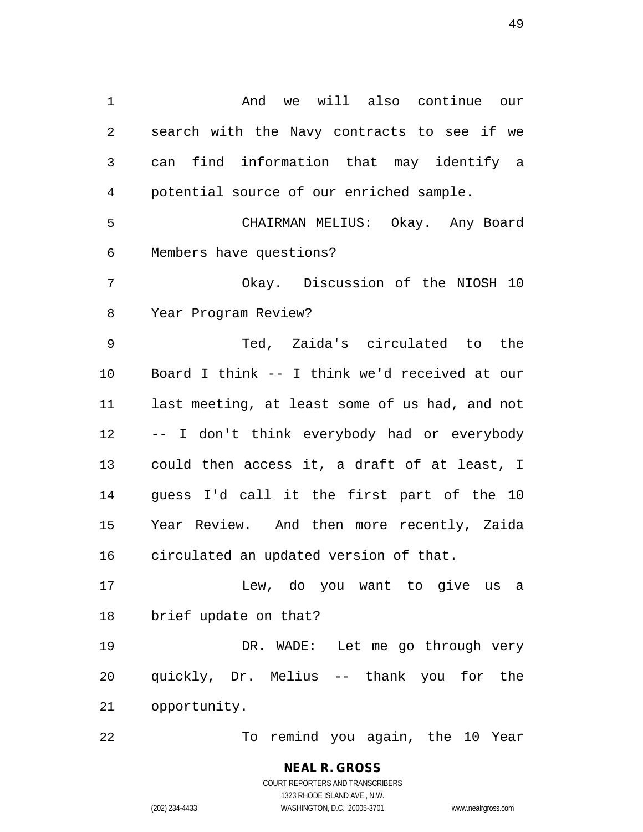And we will also continue our search with the Navy contracts to see if we can find information that may identify a potential source of our enriched sample. CHAIRMAN MELIUS: Okay. Any Board Members have questions? Okay. Discussion of the NIOSH 10 Year Program Review? Ted, Zaida's circulated to the Board I think -- I think we'd received at our last meeting, at least some of us had, and not -- I don't think everybody had or everybody could then access it, a draft of at least, I guess I'd call it the first part of the 10 Year Review. And then more recently, Zaida circulated an updated version of that. Lew, do you want to give us a brief update on that? DR. WADE: Let me go through very quickly, Dr. Melius -- thank you for the opportunity. To remind you again, the 10 Year

> **NEAL R. GROSS** COURT REPORTERS AND TRANSCRIBERS 1323 RHODE ISLAND AVE., N.W. (202) 234-4433 WASHINGTON, D.C. 20005-3701 www.nealrgross.com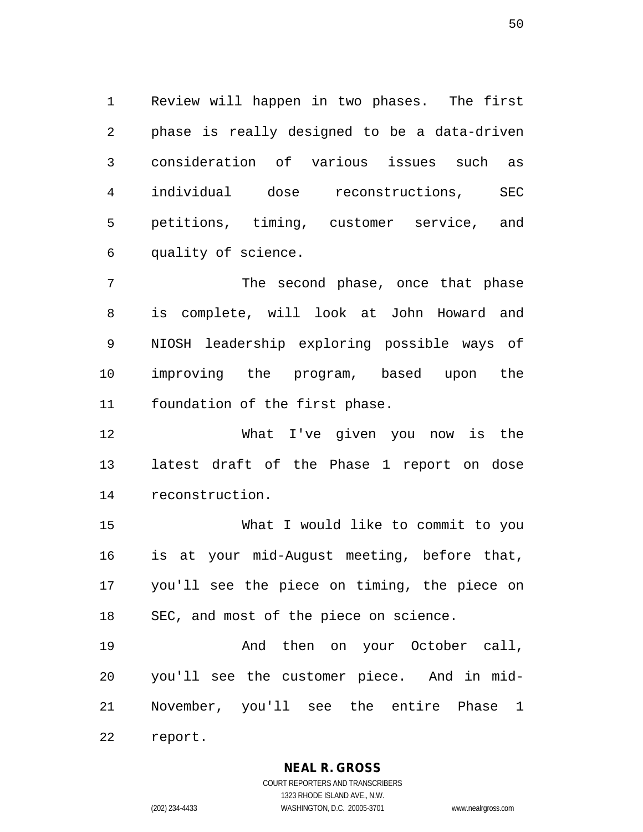Review will happen in two phases. The first phase is really designed to be a data-driven consideration of various issues such as individual dose reconstructions, SEC petitions, timing, customer service, and quality of science.

 The second phase, once that phase is complete, will look at John Howard and NIOSH leadership exploring possible ways of improving the program, based upon the foundation of the first phase.

 What I've given you now is the latest draft of the Phase 1 report on dose reconstruction.

 What I would like to commit to you is at your mid-August meeting, before that, you'll see the piece on timing, the piece on SEC, and most of the piece on science.

19 And then on your October call, you'll see the customer piece. And in mid-November, you'll see the entire Phase 1

report.

**NEAL R. GROSS**

COURT REPORTERS AND TRANSCRIBERS 1323 RHODE ISLAND AVE., N.W. (202) 234-4433 WASHINGTON, D.C. 20005-3701 www.nealrgross.com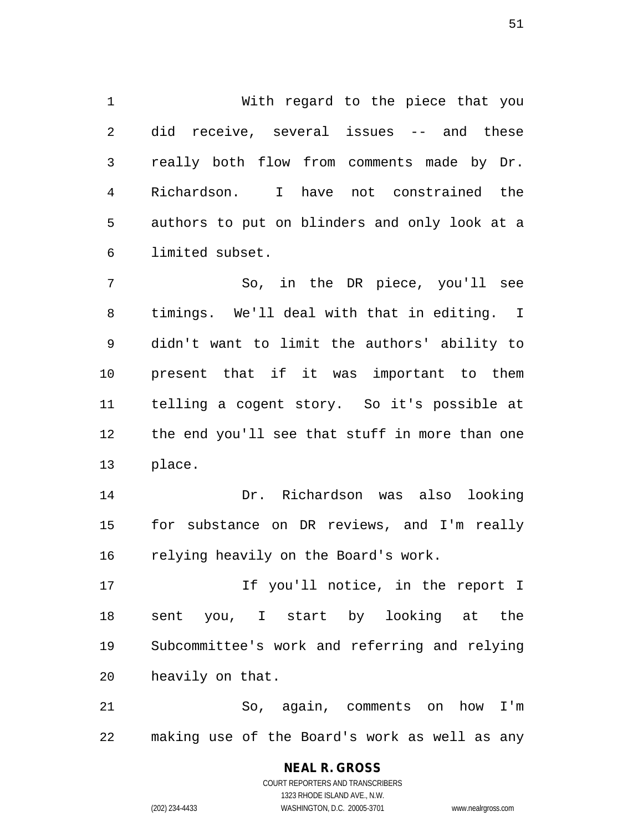With regard to the piece that you did receive, several issues -- and these really both flow from comments made by Dr. Richardson. I have not constrained the authors to put on blinders and only look at a limited subset.

 So, in the DR piece, you'll see timings. We'll deal with that in editing. I didn't want to limit the authors' ability to present that if it was important to them telling a cogent story. So it's possible at the end you'll see that stuff in more than one place.

 Dr. Richardson was also looking for substance on DR reviews, and I'm really relying heavily on the Board's work.

17 17 If you'll notice, in the report I sent you, I start by looking at the Subcommittee's work and referring and relying heavily on that.

 So, again, comments on how I'm making use of the Board's work as well as any

> COURT REPORTERS AND TRANSCRIBERS 1323 RHODE ISLAND AVE., N.W. (202) 234-4433 WASHINGTON, D.C. 20005-3701 www.nealrgross.com

**NEAL R. GROSS**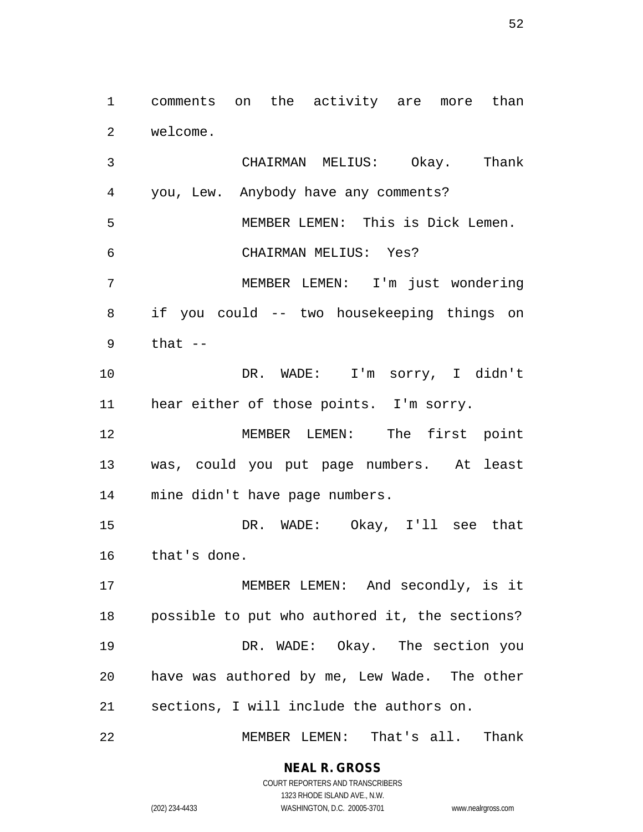comments on the activity are more than welcome.

 CHAIRMAN MELIUS: Okay. Thank you, Lew. Anybody have any comments? MEMBER LEMEN: This is Dick Lemen. CHAIRMAN MELIUS: Yes? MEMBER LEMEN: I'm just wondering if you could -- two housekeeping things on that -- DR. WADE: I'm sorry, I didn't hear either of those points. I'm sorry. MEMBER LEMEN: The first point was, could you put page numbers. At least mine didn't have page numbers. DR. WADE: Okay, I'll see that that's done. 17 MEMBER LEMEN: And secondly, is it possible to put who authored it, the sections? DR. WADE: Okay. The section you have was authored by me, Lew Wade. The other sections, I will include the authors on.

MEMBER LEMEN: That's all. Thank

1323 RHODE ISLAND AVE., N.W.

(202) 234-4433 WASHINGTON, D.C. 20005-3701 www.nealrgross.com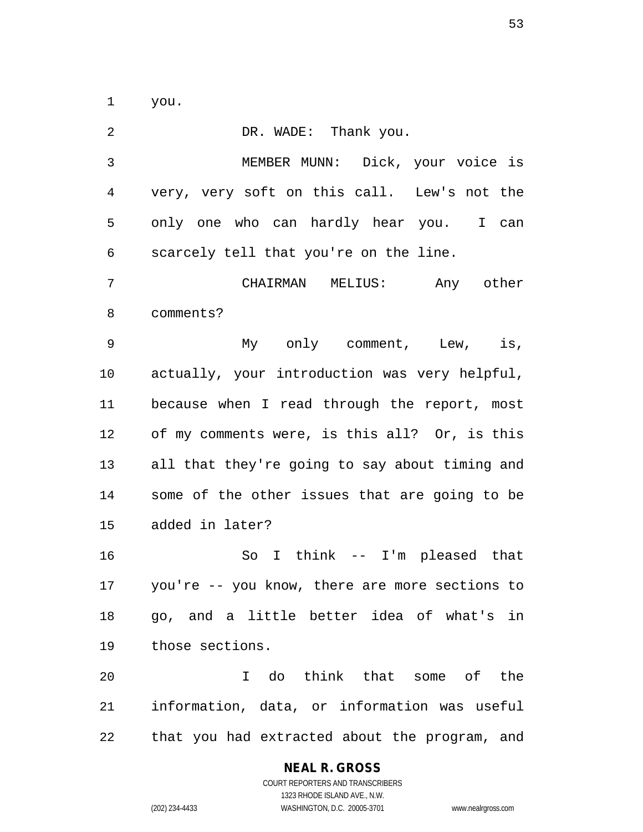you.

| 2            | DR. WADE: Thank you.                              |
|--------------|---------------------------------------------------|
| $\mathbf{3}$ | MEMBER MUNN: Dick, your voice is                  |
| 4            | very, very soft on this call. Lew's not the       |
| 5            | only one who can hardly hear you. I can           |
| 6            | scarcely tell that you're on the line.            |
| 7            | CHAIRMAN MELIUS:<br>Any other                     |
| 8            | comments?                                         |
| 9            | My only comment, Lew, is,                         |
| 10           | actually, your introduction was very helpful,     |
| 11           | because when I read through the report, most      |
| 12           | of my comments were, is this all? Or, is this     |
| 13           | all that they're going to say about timing and    |
| 14           | some of the other issues that are going to be     |
| 15           | added in later?                                   |
| 16           | So I think -- I'm pleased that                    |
|              | 17 you're -- you know, there are more sections to |
| 18           | go, and a little better idea of what's in         |
| 19           | those sections.                                   |
| 20           | I do think that some of the                       |
| 21           | information, data, or information was useful      |
| 22           | that you had extracted about the program, and     |

**NEAL R. GROSS**

COURT REPORTERS AND TRANSCRIBERS 1323 RHODE ISLAND AVE., N.W. (202) 234-4433 WASHINGTON, D.C. 20005-3701 www.nealrgross.com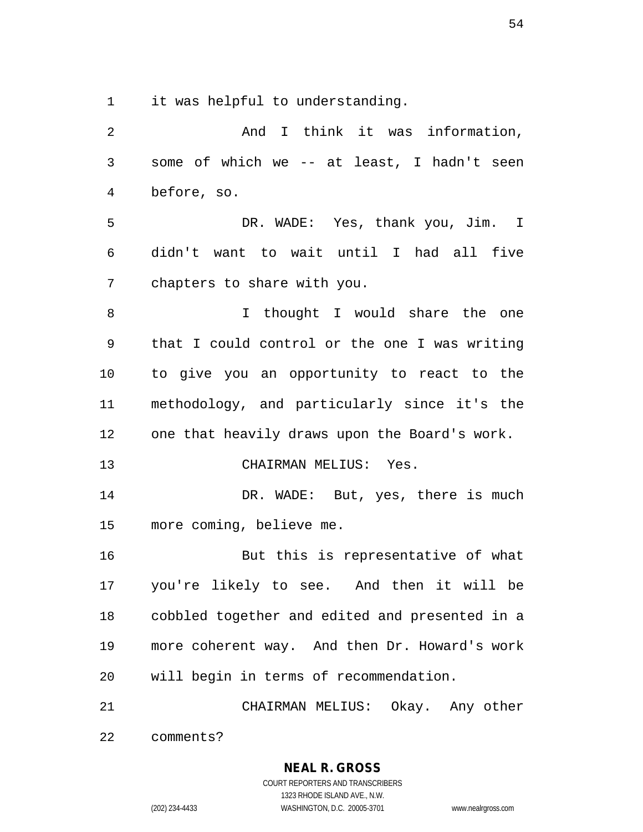it was helpful to understanding.

| 2              | And I think it was information,                |
|----------------|------------------------------------------------|
| 3              | some of which we -- at least, I hadn't seen    |
| $\overline{4}$ | before, so.                                    |
| 5              | DR. WADE: Yes, thank you, Jim. I               |
| 6              | didn't want to wait until I had all five       |
| 7              | chapters to share with you.                    |
| 8              | I thought I would share the one                |
| 9              | that I could control or the one I was writing  |
| 10             | to give you an opportunity to react to the     |
| 11             | methodology, and particularly since it's the   |
| 12             | one that heavily draws upon the Board's work.  |
| 13             | CHAIRMAN MELIUS: Yes.                          |
| 14             | DR. WADE: But, yes, there is much              |
| 15             | more coming, believe me.                       |
| 16             | But this is representative of what             |
| 17             | you're likely to see. And then it will be      |
| 18             | cobbled together and edited and presented in a |
| 19             | more coherent way. And then Dr. Howard's work  |
| 20             | will begin in terms of recommendation.         |
| 21             | CHAIRMAN MELIUS: Okay. Any other               |
| 22             | comments?                                      |

**NEAL R. GROSS** COURT REPORTERS AND TRANSCRIBERS 1323 RHODE ISLAND AVE., N.W. (202) 234-4433 WASHINGTON, D.C. 20005-3701 www.nealrgross.com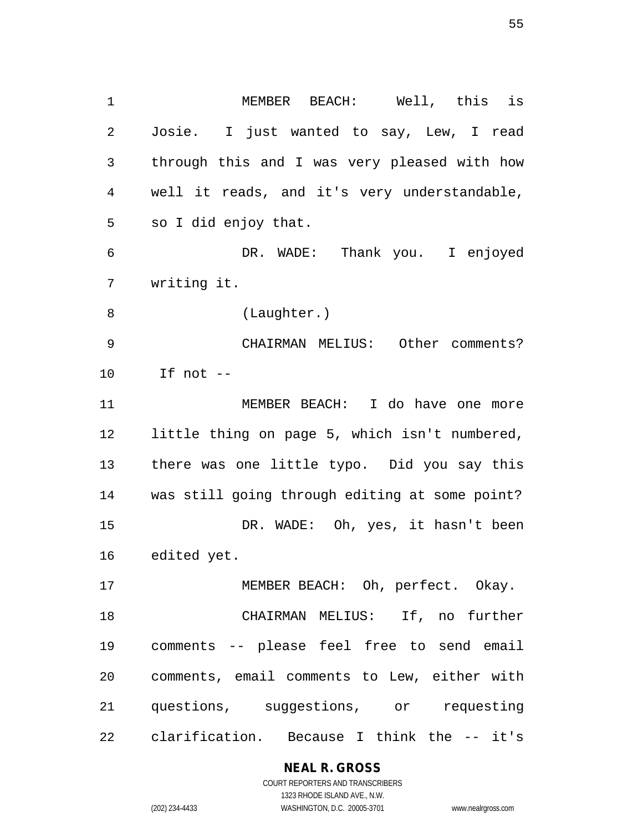MEMBER BEACH: Well, this is Josie. I just wanted to say, Lew, I read through this and I was very pleased with how well it reads, and it's very understandable, so I did enjoy that. DR. WADE: Thank you. I enjoyed writing it. (Laughter.) CHAIRMAN MELIUS: Other comments? If not -- MEMBER BEACH: I do have one more little thing on page 5, which isn't numbered, there was one little typo. Did you say this was still going through editing at some point? DR. WADE: Oh, yes, it hasn't been edited yet. 17 MEMBER BEACH: Oh, perfect. Okay. CHAIRMAN MELIUS: If, no further comments -- please feel free to send email comments, email comments to Lew, either with questions, suggestions, or requesting

clarification. Because I think the -- it's

**NEAL R. GROSS** COURT REPORTERS AND TRANSCRIBERS

1323 RHODE ISLAND AVE., N.W.

(202) 234-4433 WASHINGTON, D.C. 20005-3701 www.nealrgross.com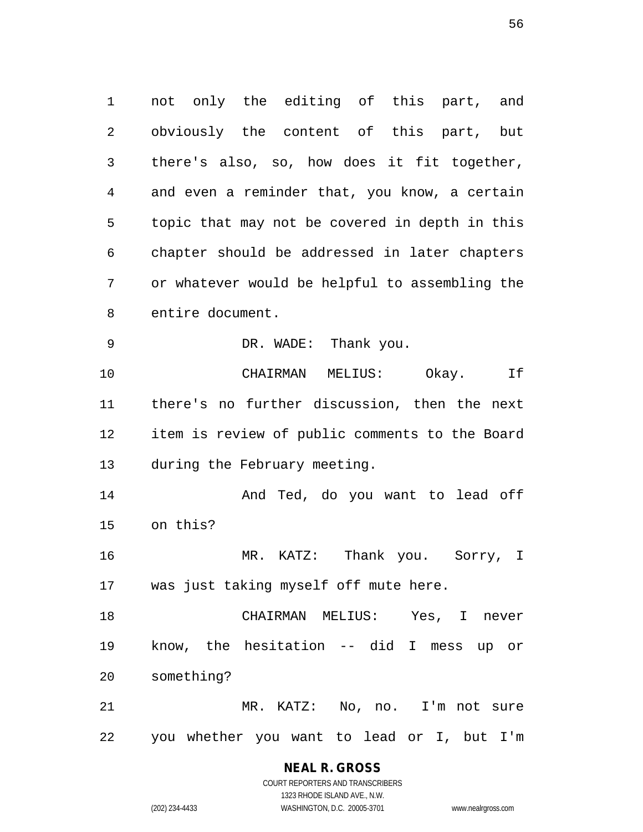not only the editing of this part, and obviously the content of this part, but there's also, so, how does it fit together, and even a reminder that, you know, a certain topic that may not be covered in depth in this chapter should be addressed in later chapters or whatever would be helpful to assembling the entire document. DR. WADE: Thank you. CHAIRMAN MELIUS: Okay. If there's no further discussion, then the next item is review of public comments to the Board during the February meeting. 14 And Ted, do you want to lead off on this? MR. KATZ: Thank you. Sorry, I was just taking myself off mute here. CHAIRMAN MELIUS: Yes, I never know, the hesitation -- did I mess up or something? MR. KATZ: No, no. I'm not sure you whether you want to lead or I, but I'm

# **NEAL R. GROSS**

COURT REPORTERS AND TRANSCRIBERS 1323 RHODE ISLAND AVE., N.W. (202) 234-4433 WASHINGTON, D.C. 20005-3701 www.nealrgross.com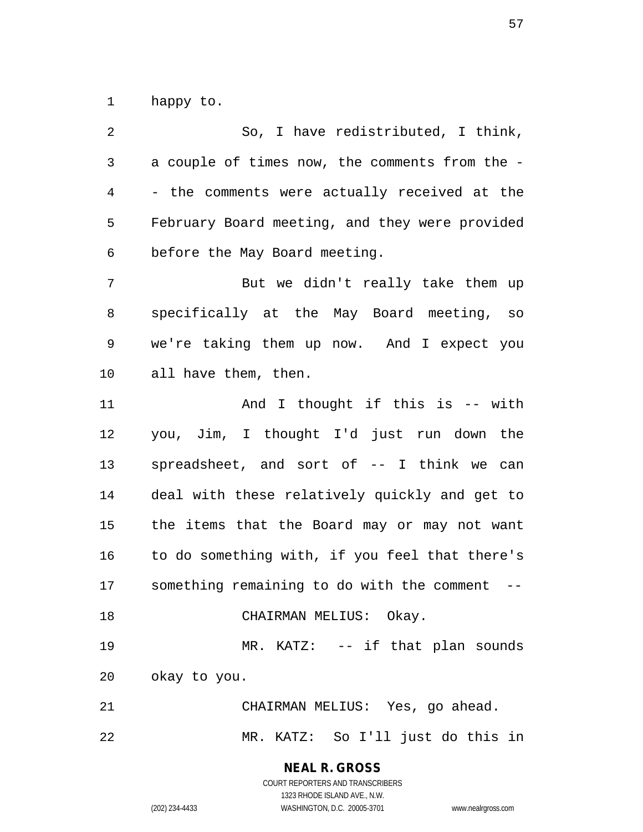happy to.

 So, I have redistributed, I think, a couple of times now, the comments from the - - the comments were actually received at the February Board meeting, and they were provided before the May Board meeting. But we didn't really take them up specifically at the May Board meeting, so we're taking them up now. And I expect you all have them, then. 11 And I thought if this is -- with you, Jim, I thought I'd just run down the spreadsheet, and sort of -- I think we can deal with these relatively quickly and get to the items that the Board may or may not want to do something with, if you feel that there's something remaining to do with the comment -- 18 CHAIRMAN MELIUS: Okay. 19 MR. KATZ: -- if that plan sounds okay to you. CHAIRMAN MELIUS: Yes, go ahead. MR. KATZ: So I'll just do this in

**NEAL R. GROSS**

COURT REPORTERS AND TRANSCRIBERS 1323 RHODE ISLAND AVE., N.W. (202) 234-4433 WASHINGTON, D.C. 20005-3701 www.nealrgross.com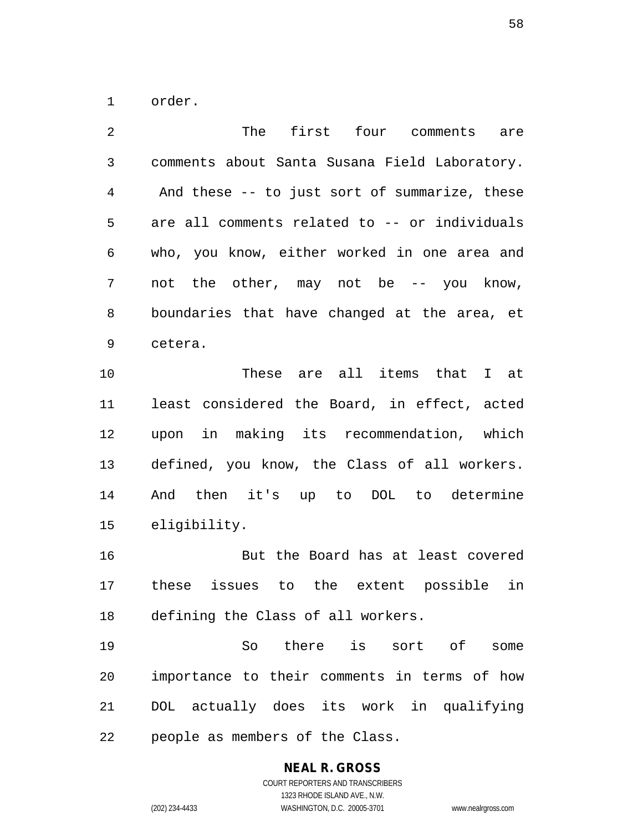order.

| $\overline{2}$ | The<br>first four comments<br>are             |
|----------------|-----------------------------------------------|
| 3              | comments about Santa Susana Field Laboratory. |
| 4              | And these -- to just sort of summarize, these |
| 5              | are all comments related to -- or individuals |
| 6              | who, you know, either worked in one area and  |
| 7              | not the other, may not be -- you know,        |
| 8              | boundaries that have changed at the area, et  |
| 9              | cetera.                                       |
| 10             | These are all items that I at                 |
| 11             | least considered the Board, in effect, acted  |
| 12             | upon in making its recommendation, which      |
| 13             | defined, you know, the Class of all workers.  |
| 14             | And then it's up to DOL to determine          |
| 15             | eligibility.                                  |
| 16             | But the Board has at least covered            |
| 17             | these issues to the extent possible in        |
| 18             | defining the Class of all workers.            |
| 19             | So there is sort of<br>some                   |
| 20             | importance to their comments in terms of how  |
| 21             | DOL actually does its work in qualifying      |
| 22             | people as members of the Class.               |

**NEAL R. GROSS** COURT REPORTERS AND TRANSCRIBERS

1323 RHODE ISLAND AVE., N.W.

(202) 234-4433 WASHINGTON, D.C. 20005-3701 www.nealrgross.com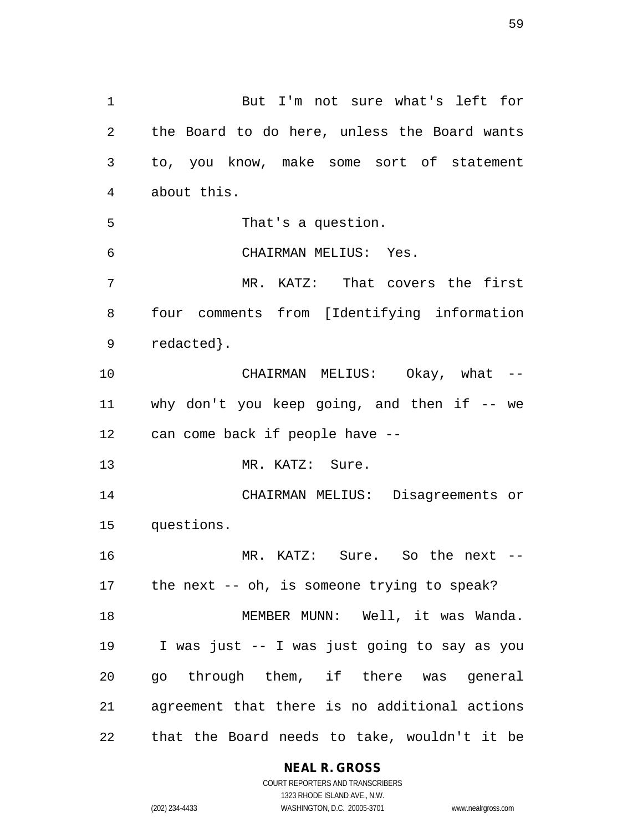But I'm not sure what's left for the Board to do here, unless the Board wants to, you know, make some sort of statement about this. That's a question. CHAIRMAN MELIUS: Yes. MR. KATZ: That covers the first four comments from [Identifying information redacted}. CHAIRMAN MELIUS: Okay, what -- why don't you keep going, and then if -- we can come back if people have -- 13 MR. KATZ: Sure. CHAIRMAN MELIUS: Disagreements or questions. MR. KATZ: Sure. So the next -- the next -- oh, is someone trying to speak? 18 MEMBER MUNN: Well, it was Wanda. I was just -- I was just going to say as you go through them, if there was general agreement that there is no additional actions that the Board needs to take, wouldn't it be

**NEAL R. GROSS**

COURT REPORTERS AND TRANSCRIBERS 1323 RHODE ISLAND AVE., N.W. (202) 234-4433 WASHINGTON, D.C. 20005-3701 www.nealrgross.com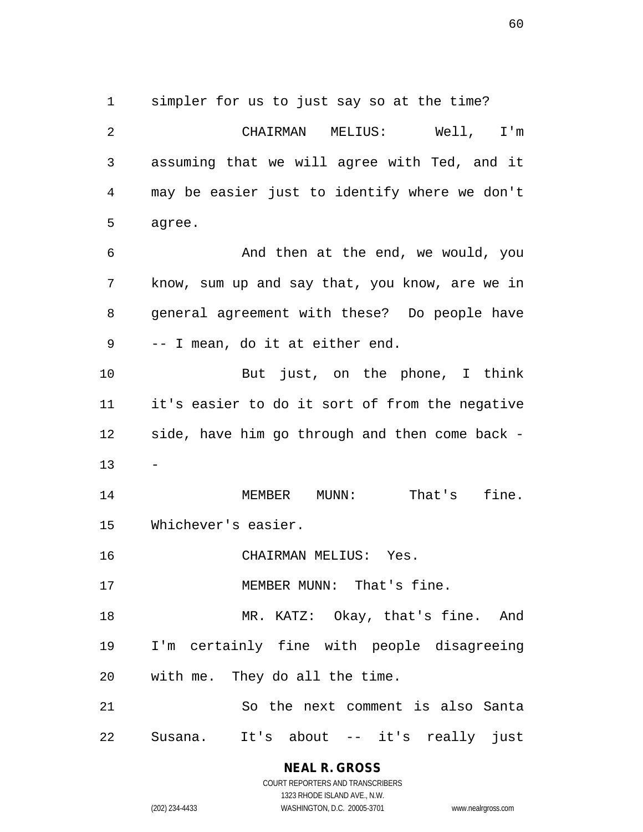simpler for us to just say so at the time? CHAIRMAN MELIUS: Well, I'm assuming that we will agree with Ted, and it may be easier just to identify where we don't agree. And then at the end, we would, you know, sum up and say that, you know, are we in general agreement with these? Do people have -- I mean, do it at either end. But just, on the phone, I think it's easier to do it sort of from the negative side, have him go through and then come back - - 14 MEMBER MUNN: That's fine. Whichever's easier. CHAIRMAN MELIUS: Yes. 17 MEMBER MUNN: That's fine.

18 MR. KATZ: Okay, that's fine. And I'm certainly fine with people disagreeing with me. They do all the time.

 So the next comment is also Santa Susana. It's about -- it's really just

> **NEAL R. GROSS** COURT REPORTERS AND TRANSCRIBERS

> > 1323 RHODE ISLAND AVE., N.W.

(202) 234-4433 WASHINGTON, D.C. 20005-3701 www.nealrgross.com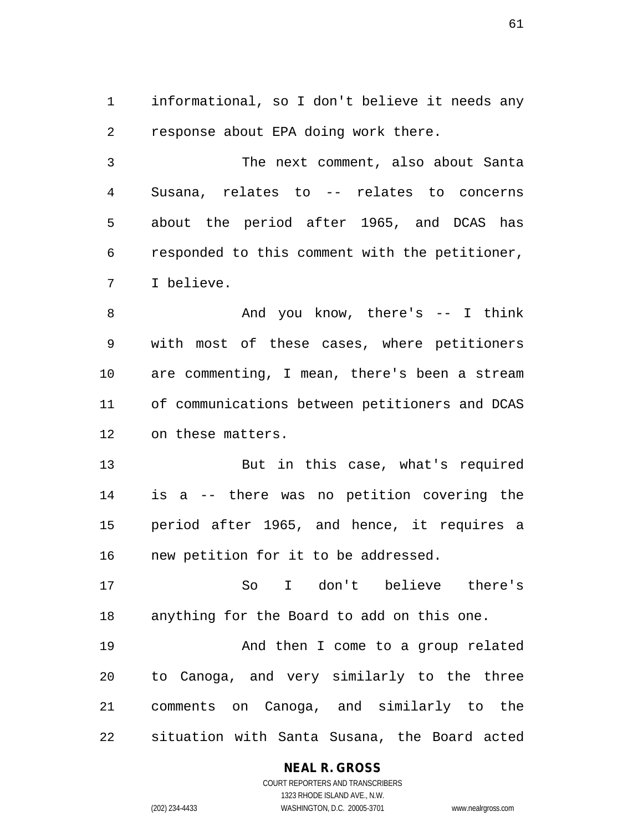informational, so I don't believe it needs any response about EPA doing work there.

 The next comment, also about Santa Susana, relates to -- relates to concerns about the period after 1965, and DCAS has responded to this comment with the petitioner, I believe.

8 And you know, there's -- I think with most of these cases, where petitioners are commenting, I mean, there's been a stream of communications between petitioners and DCAS on these matters.

 But in this case, what's required is a -- there was no petition covering the period after 1965, and hence, it requires a new petition for it to be addressed.

 So I don't believe there's anything for the Board to add on this one.

 And then I come to a group related to Canoga, and very similarly to the three comments on Canoga, and similarly to the situation with Santa Susana, the Board acted

#### **NEAL R. GROSS**

COURT REPORTERS AND TRANSCRIBERS 1323 RHODE ISLAND AVE., N.W. (202) 234-4433 WASHINGTON, D.C. 20005-3701 www.nealrgross.com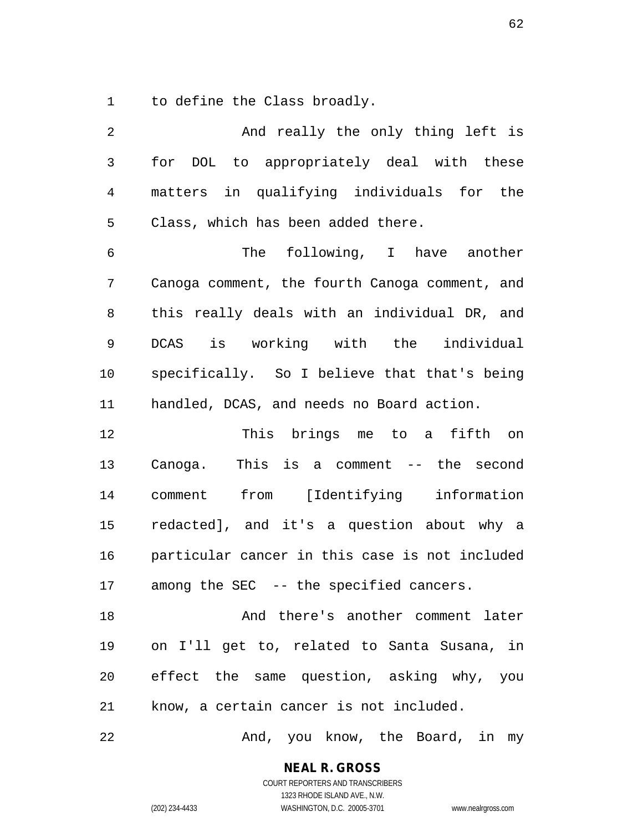to define the Class broadly.

| 2              | And really the only thing left is              |
|----------------|------------------------------------------------|
| $\mathfrak{Z}$ | for DOL to appropriately deal with these       |
| $\overline{4}$ | matters in qualifying individuals for the      |
| 5              | Class, which has been added there.             |
| 6              | The following, I have another                  |
| 7              | Canoga comment, the fourth Canoga comment, and |
| 8              | this really deals with an individual DR, and   |
| 9              | DCAS is working with the individual            |
| 10             | specifically. So I believe that that's being   |
| 11             | handled, DCAS, and needs no Board action.      |
| 12             | This brings me to a fifth on                   |
| 13             | This is a comment $--$ the second<br>Canoga.   |
| 14             | comment from [Identifying information          |
| 15             | redacted], and it's a question about why a     |
| 16             | particular cancer in this case is not included |
| 17             | among the SEC -- the specified cancers.        |
| 18             | And there's another comment later              |
| 19             | on I'll get to, related to Santa Susana, in    |
| 20             | effect the same question, asking why, you      |
| 21             | know, a certain cancer is not included.        |
| 22             | And, you know, the Board, in my                |

**NEAL R. GROSS**

COURT REPORTERS AND TRANSCRIBERS 1323 RHODE ISLAND AVE., N.W. (202) 234-4433 WASHINGTON, D.C. 20005-3701 www.nealrgross.com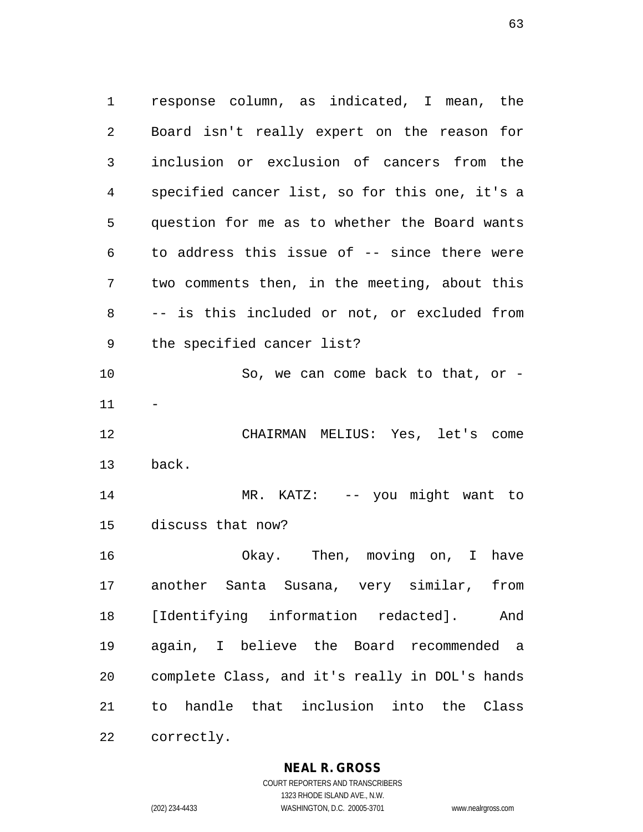response column, as indicated, I mean, the Board isn't really expert on the reason for inclusion or exclusion of cancers from the specified cancer list, so for this one, it's a question for me as to whether the Board wants to address this issue of -- since there were two comments then, in the meeting, about this -- is this included or not, or excluded from the specified cancer list? So, we can come back to that, or - CHAIRMAN MELIUS: Yes, let's come back. MR. KATZ: -- you might want to discuss that now? Okay. Then, moving on, I have another Santa Susana, very similar, from [Identifying information redacted]. And again, I believe the Board recommended a complete Class, and it's really in DOL's hands to handle that inclusion into the Class correctly.

**NEAL R. GROSS**

COURT REPORTERS AND TRANSCRIBERS 1323 RHODE ISLAND AVE., N.W. (202) 234-4433 WASHINGTON, D.C. 20005-3701 www.nealrgross.com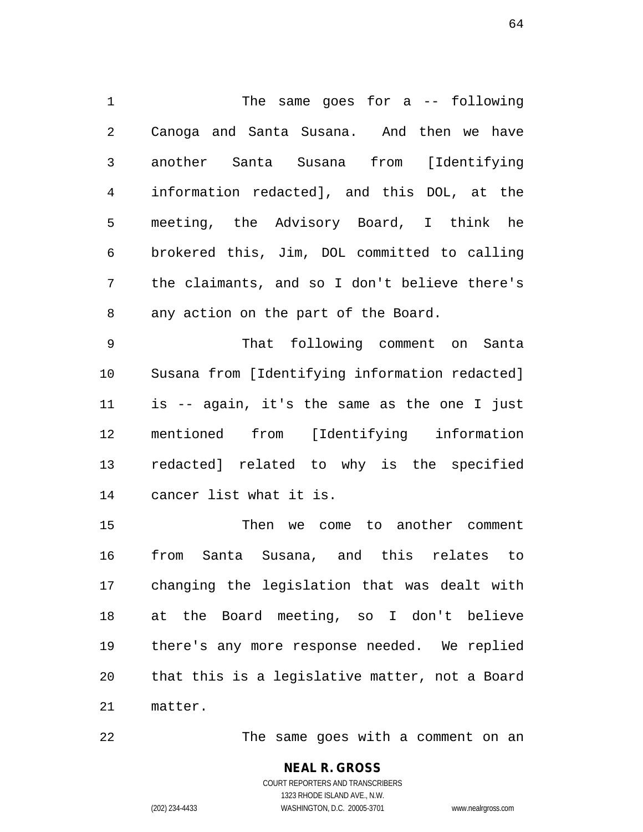The same goes for a -- following Canoga and Santa Susana. And then we have another Santa Susana from [Identifying information redacted], and this DOL, at the meeting, the Advisory Board, I think he brokered this, Jim, DOL committed to calling the claimants, and so I don't believe there's any action on the part of the Board.

 That following comment on Santa Susana from [Identifying information redacted] is -- again, it's the same as the one I just mentioned from [Identifying information redacted] related to why is the specified cancer list what it is.

 Then we come to another comment from Santa Susana, and this relates to changing the legislation that was dealt with at the Board meeting, so I don't believe there's any more response needed. We replied that this is a legislative matter, not a Board matter.

The same goes with a comment on an

**NEAL R. GROSS** COURT REPORTERS AND TRANSCRIBERS 1323 RHODE ISLAND AVE., N.W. (202) 234-4433 WASHINGTON, D.C. 20005-3701 www.nealrgross.com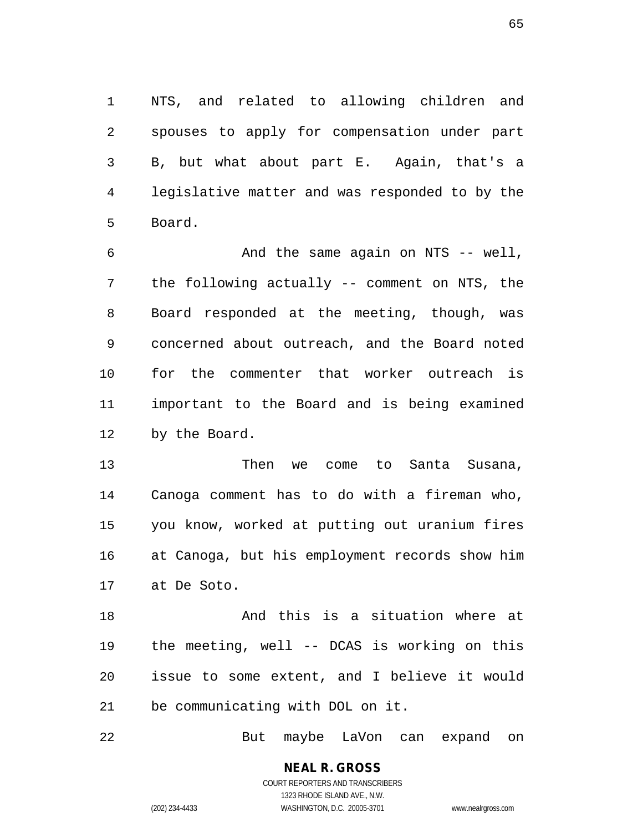NTS, and related to allowing children and spouses to apply for compensation under part B, but what about part E. Again, that's a legislative matter and was responded to by the Board.

 And the same again on NTS -- well, the following actually -- comment on NTS, the Board responded at the meeting, though, was concerned about outreach, and the Board noted for the commenter that worker outreach is important to the Board and is being examined by the Board.

 Then we come to Santa Susana, Canoga comment has to do with a fireman who, you know, worked at putting out uranium fires at Canoga, but his employment records show him at De Soto.

18 And this is a situation where at the meeting, well -- DCAS is working on this issue to some extent, and I believe it would be communicating with DOL on it.

But maybe LaVon can expand on

**NEAL R. GROSS** COURT REPORTERS AND TRANSCRIBERS 1323 RHODE ISLAND AVE., N.W. (202) 234-4433 WASHINGTON, D.C. 20005-3701 www.nealrgross.com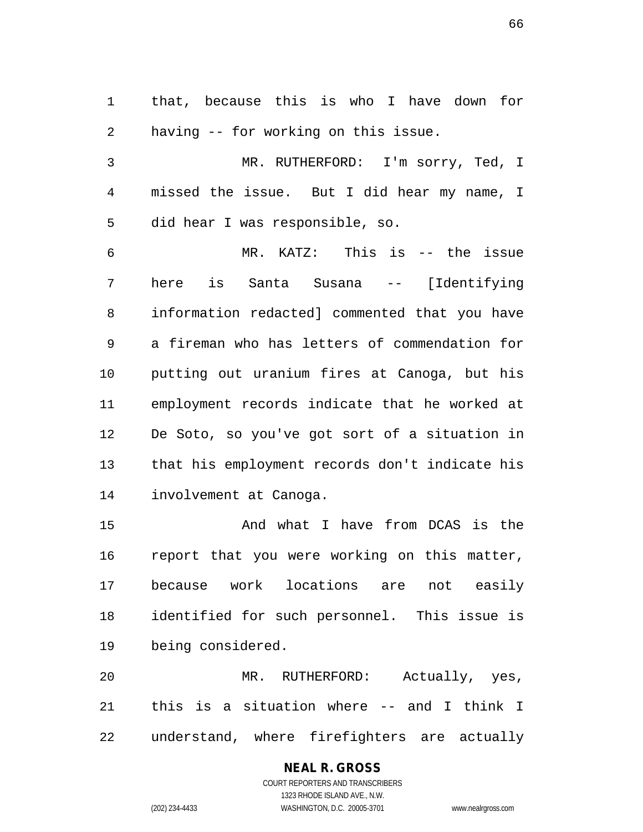that, because this is who I have down for having -- for working on this issue.

 MR. RUTHERFORD: I'm sorry, Ted, I missed the issue. But I did hear my name, I did hear I was responsible, so.

 MR. KATZ: This is -- the issue here is Santa Susana -- [Identifying information redacted] commented that you have a fireman who has letters of commendation for putting out uranium fires at Canoga, but his employment records indicate that he worked at De Soto, so you've got sort of a situation in that his employment records don't indicate his involvement at Canoga.

 And what I have from DCAS is the report that you were working on this matter, because work locations are not easily identified for such personnel. This issue is being considered.

 MR. RUTHERFORD: Actually, yes, this is a situation where -- and I think I understand, where firefighters are actually

#### **NEAL R. GROSS**

COURT REPORTERS AND TRANSCRIBERS 1323 RHODE ISLAND AVE., N.W. (202) 234-4433 WASHINGTON, D.C. 20005-3701 www.nealrgross.com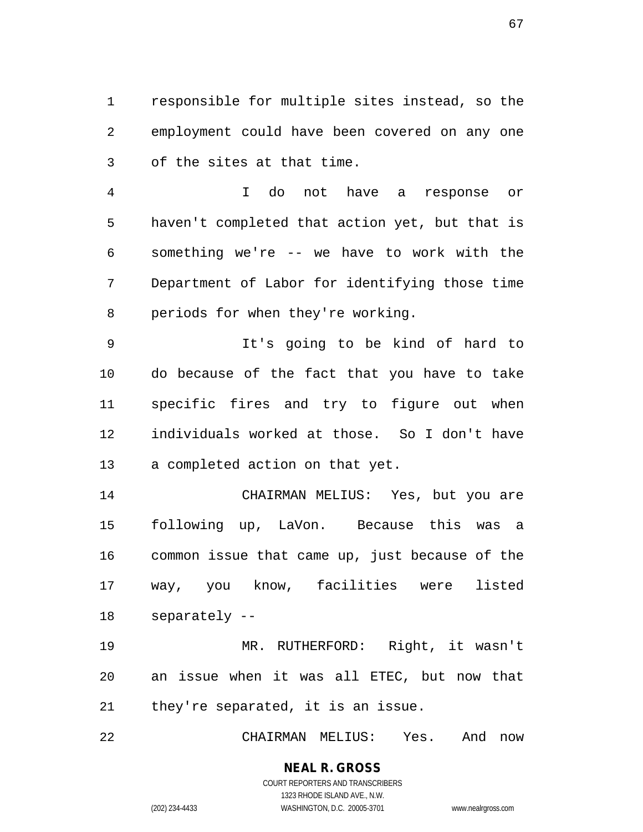responsible for multiple sites instead, so the employment could have been covered on any one of the sites at that time.

 I do not have a response or haven't completed that action yet, but that is something we're -- we have to work with the Department of Labor for identifying those time periods for when they're working.

 It's going to be kind of hard to do because of the fact that you have to take specific fires and try to figure out when individuals worked at those. So I don't have a completed action on that yet.

 CHAIRMAN MELIUS: Yes, but you are following up, LaVon. Because this was a common issue that came up, just because of the way, you know, facilities were listed separately --

 MR. RUTHERFORD: Right, it wasn't an issue when it was all ETEC, but now that they're separated, it is an issue.

CHAIRMAN MELIUS: Yes. And now

#### **NEAL R. GROSS** COURT REPORTERS AND TRANSCRIBERS

1323 RHODE ISLAND AVE., N.W. (202) 234-4433 WASHINGTON, D.C. 20005-3701 www.nealrgross.com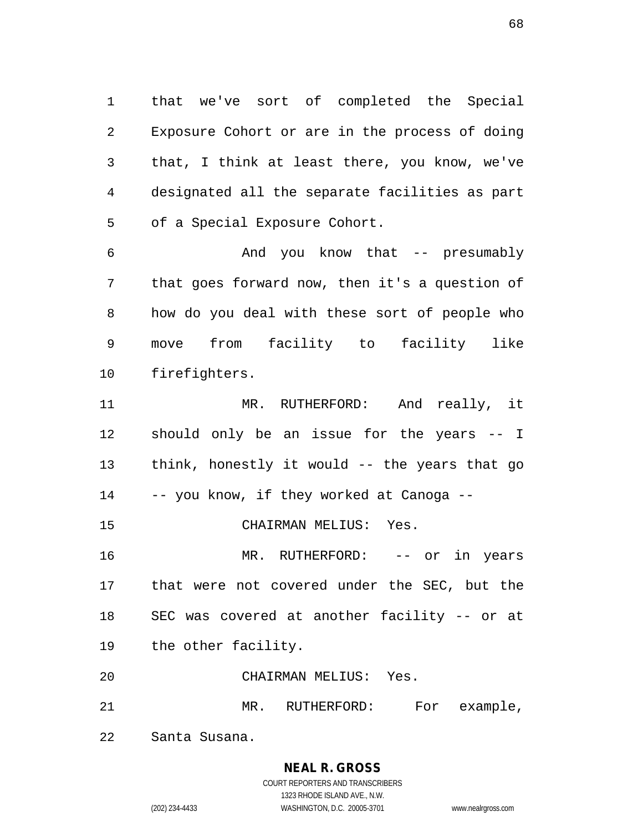that we've sort of completed the Special Exposure Cohort or are in the process of doing that, I think at least there, you know, we've designated all the separate facilities as part of a Special Exposure Cohort.

 And you know that -- presumably that goes forward now, then it's a question of how do you deal with these sort of people who move from facility to facility like firefighters.

11 MR. RUTHERFORD: And really, it should only be an issue for the years -- I think, honestly it would -- the years that go -- you know, if they worked at Canoga -- CHAIRMAN MELIUS: Yes.

 MR. RUTHERFORD: -- or in years that were not covered under the SEC, but the SEC was covered at another facility -- or at the other facility.

CHAIRMAN MELIUS: Yes.

21 MR. RUTHERFORD: For example,

Santa Susana.

# **NEAL R. GROSS**

COURT REPORTERS AND TRANSCRIBERS 1323 RHODE ISLAND AVE., N.W. (202) 234-4433 WASHINGTON, D.C. 20005-3701 www.nealrgross.com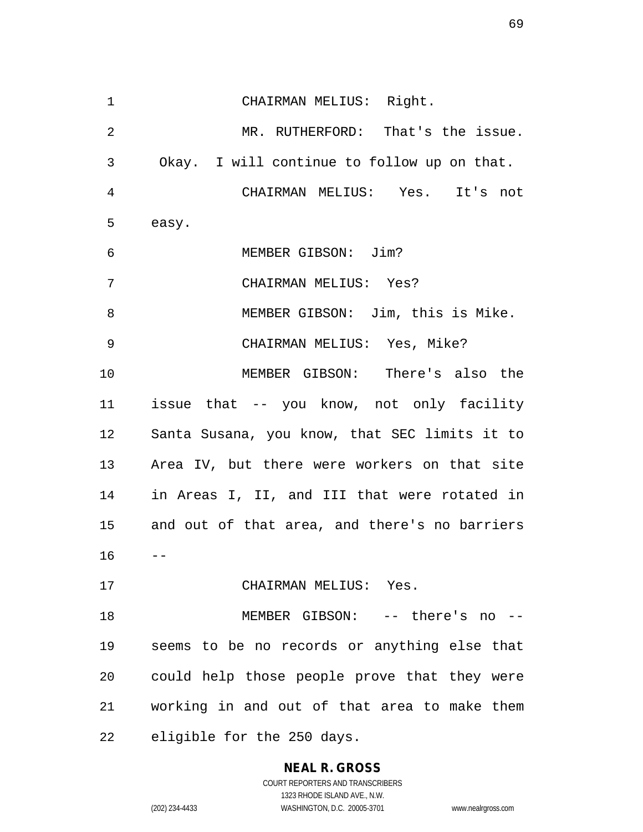CHAIRMAN MELIUS: Right. MR. RUTHERFORD: That's the issue. Okay. I will continue to follow up on that. CHAIRMAN MELIUS: Yes. It's not easy. MEMBER GIBSON: Jim? CHAIRMAN MELIUS: Yes? MEMBER GIBSON: Jim, this is Mike. CHAIRMAN MELIUS: Yes, Mike? MEMBER GIBSON: There's also the issue that -- you know, not only facility Santa Susana, you know, that SEC limits it to Area IV, but there were workers on that site in Areas I, II, and III that were rotated in and out of that area, and there's no barriers  $16 - -$  CHAIRMAN MELIUS: Yes. MEMBER GIBSON: -- there's no -- seems to be no records or anything else that could help those people prove that they were working in and out of that area to make them eligible for the 250 days.

# **NEAL R. GROSS**

COURT REPORTERS AND TRANSCRIBERS 1323 RHODE ISLAND AVE., N.W. (202) 234-4433 WASHINGTON, D.C. 20005-3701 www.nealrgross.com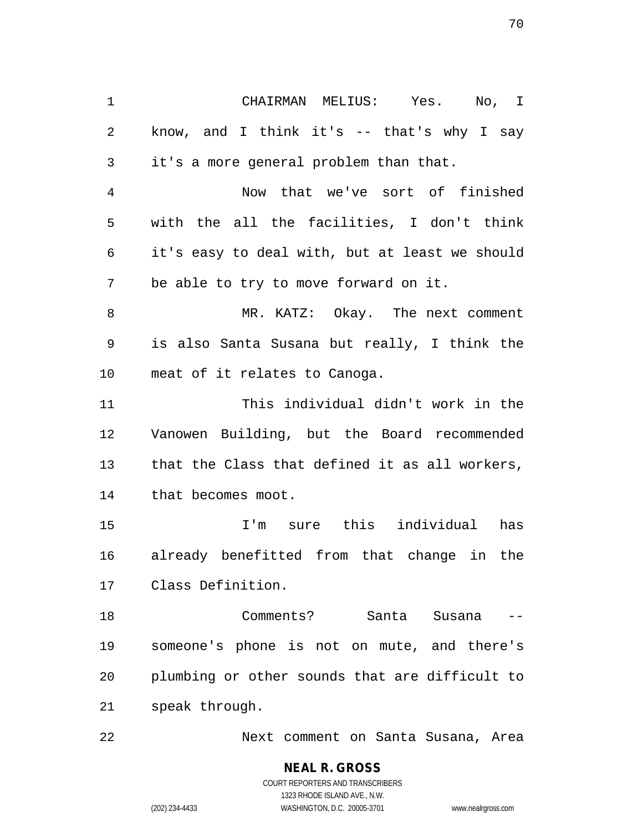CHAIRMAN MELIUS: Yes. No, I know, and I think it's -- that's why I say it's a more general problem than that. Now that we've sort of finished with the all the facilities, I don't think it's easy to deal with, but at least we should be able to try to move forward on it. MR. KATZ: Okay. The next comment is also Santa Susana but really, I think the meat of it relates to Canoga. This individual didn't work in the Vanowen Building, but the Board recommended that the Class that defined it as all workers, that becomes moot. I'm sure this individual has already benefitted from that change in the Class Definition. Comments? Santa Susana -- someone's phone is not on mute, and there's plumbing or other sounds that are difficult to speak through.

Next comment on Santa Susana, Area

**NEAL R. GROSS** COURT REPORTERS AND TRANSCRIBERS 1323 RHODE ISLAND AVE., N.W. (202) 234-4433 WASHINGTON, D.C. 20005-3701 www.nealrgross.com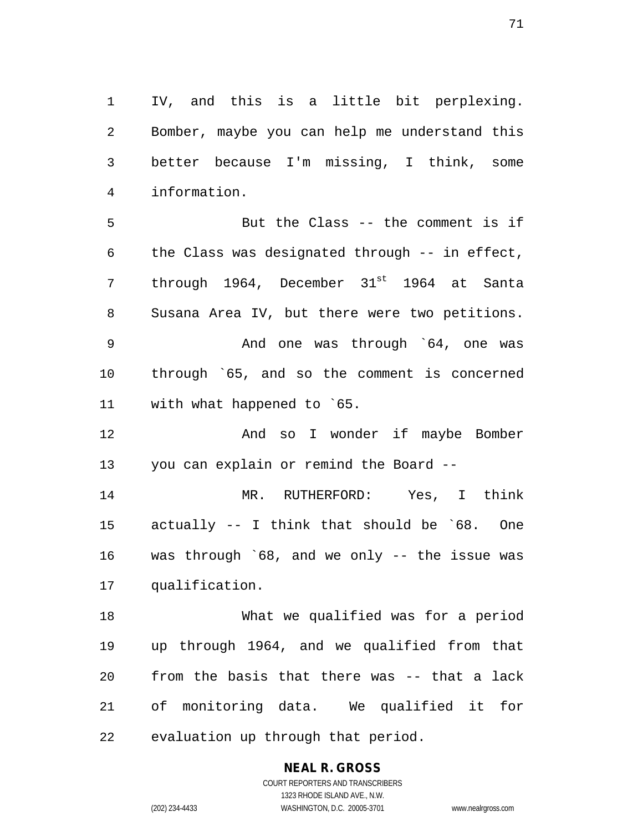IV, and this is a little bit perplexing. Bomber, maybe you can help me understand this better because I'm missing, I think, some information.

 But the Class -- the comment is if the Class was designated through -- in effect, 7 through 1964, December 31<sup>st</sup> 1964 at Santa Susana Area IV, but there were two petitions. And one was through `64, one was through `65, and so the comment is concerned with what happened to `65.

12 And so I wonder if maybe Bomber you can explain or remind the Board --

 MR. RUTHERFORD: Yes, I think actually -- I think that should be `68. One was through `68, and we only -- the issue was qualification.

 What we qualified was for a period up through 1964, and we qualified from that from the basis that there was -- that a lack of monitoring data. We qualified it for evaluation up through that period.

# **NEAL R. GROSS**

COURT REPORTERS AND TRANSCRIBERS 1323 RHODE ISLAND AVE., N.W. (202) 234-4433 WASHINGTON, D.C. 20005-3701 www.nealrgross.com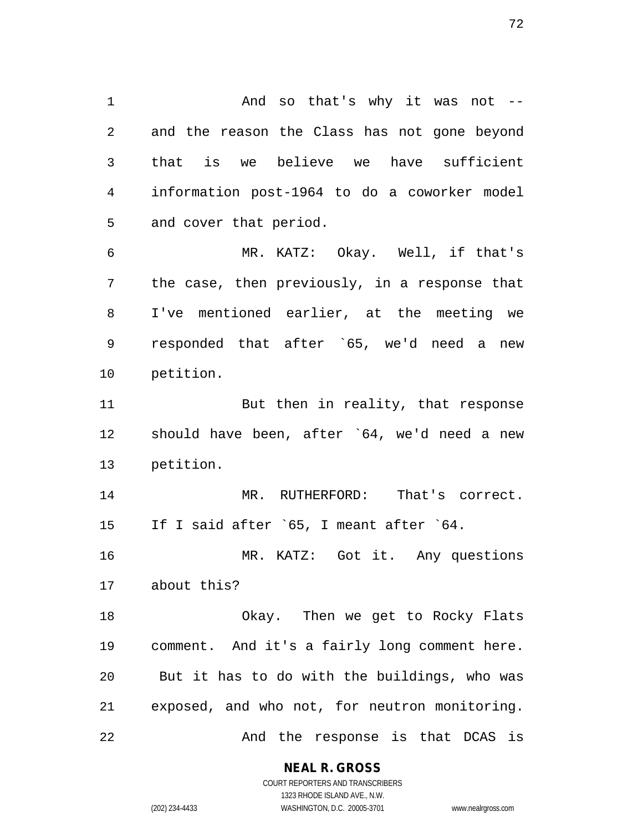And so that's why it was not -- and the reason the Class has not gone beyond that is we believe we have sufficient information post-1964 to do a coworker model and cover that period. MR. KATZ: Okay. Well, if that's the case, then previously, in a response that I've mentioned earlier, at the meeting we responded that after `65, we'd need a new petition. 11 But then in reality, that response should have been, after `64, we'd need a new petition.

 MR. RUTHERFORD: That's correct. If I said after `65, I meant after `64.

 MR. KATZ: Got it. Any questions about this?

 Okay. Then we get to Rocky Flats comment. And it's a fairly long comment here. But it has to do with the buildings, who was exposed, and who not, for neutron monitoring. 22 And the response is that DCAS is

#### **NEAL R. GROSS**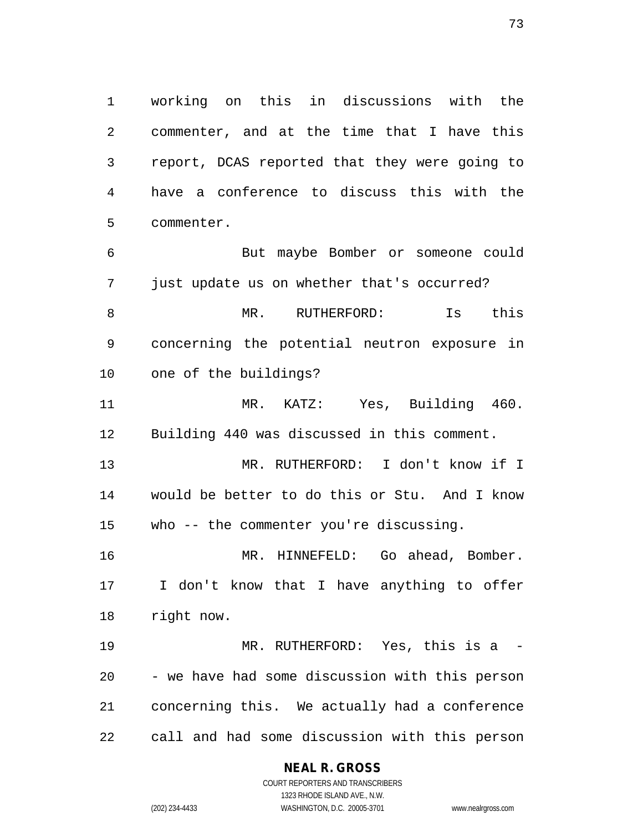working on this in discussions with the commenter, and at the time that I have this report, DCAS reported that they were going to have a conference to discuss this with the commenter.

 But maybe Bomber or someone could just update us on whether that's occurred? MR. RUTHERFORD: Is this concerning the potential neutron exposure in one of the buildings?

 MR. KATZ: Yes, Building 460. Building 440 was discussed in this comment.

 MR. RUTHERFORD: I don't know if I would be better to do this or Stu. And I know who -- the commenter you're discussing.

 MR. HINNEFELD: Go ahead, Bomber. I don't know that I have anything to offer right now.

 MR. RUTHERFORD: Yes, this is a - - we have had some discussion with this person concerning this. We actually had a conference call and had some discussion with this person

## **NEAL R. GROSS**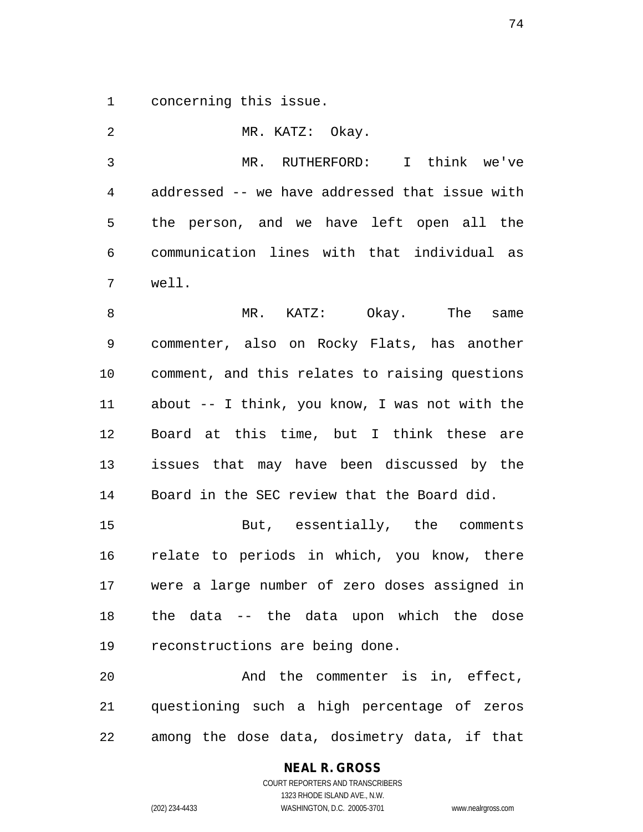concerning this issue.

 MR. KATZ: Okay. MR. RUTHERFORD: I think we've addressed -- we have addressed that issue with the person, and we have left open all the communication lines with that individual as well. 8 MR. KATZ: Okay. The same commenter, also on Rocky Flats, has another comment, and this relates to raising questions about -- I think, you know, I was not with the Board at this time, but I think these are issues that may have been discussed by the Board in the SEC review that the Board did.

 But, essentially, the comments relate to periods in which, you know, there were a large number of zero doses assigned in the data -- the data upon which the dose reconstructions are being done.

 And the commenter is in, effect, questioning such a high percentage of zeros among the dose data, dosimetry data, if that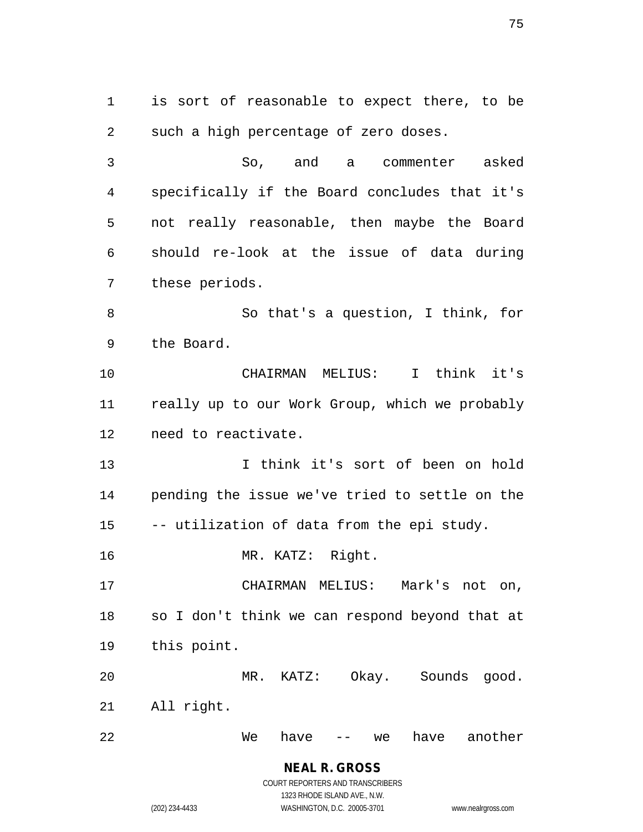is sort of reasonable to expect there, to be such a high percentage of zero doses. So, and a commenter asked specifically if the Board concludes that it's not really reasonable, then maybe the Board should re-look at the issue of data during these periods. So that's a question, I think, for the Board. CHAIRMAN MELIUS: I think it's really up to our Work Group, which we probably need to reactivate. I think it's sort of been on hold pending the issue we've tried to settle on the -- utilization of data from the epi study. MR. KATZ: Right. CHAIRMAN MELIUS: Mark's not on, so I don't think we can respond beyond that at this point. MR. KATZ: Okay. Sounds good. All right. We have -- we have another

> **NEAL R. GROSS** COURT REPORTERS AND TRANSCRIBERS 1323 RHODE ISLAND AVE., N.W. (202) 234-4433 WASHINGTON, D.C. 20005-3701 www.nealrgross.com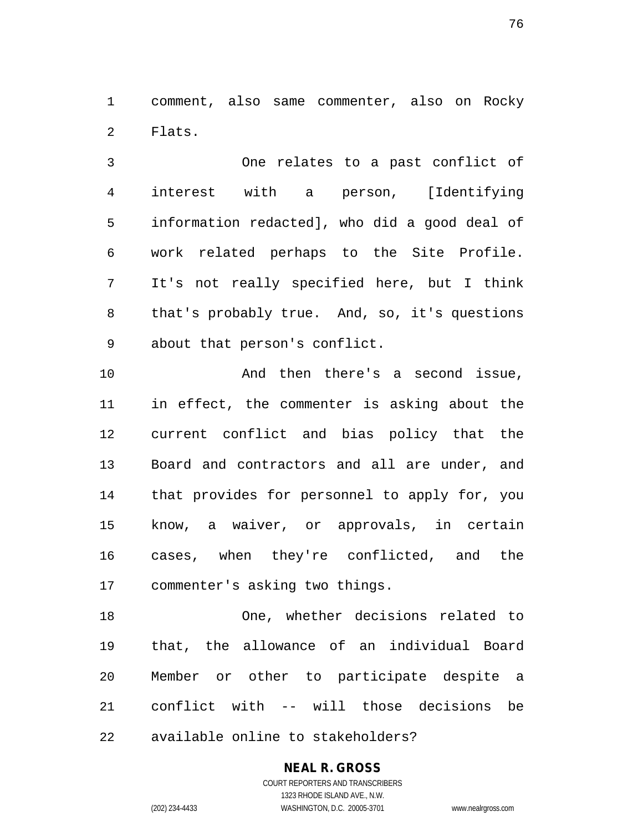comment, also same commenter, also on Rocky Flats.

 One relates to a past conflict of interest with a person, [Identifying information redacted], who did a good deal of work related perhaps to the Site Profile. It's not really specified here, but I think that's probably true. And, so, it's questions about that person's conflict.

 And then there's a second issue, in effect, the commenter is asking about the current conflict and bias policy that the Board and contractors and all are under, and that provides for personnel to apply for, you know, a waiver, or approvals, in certain cases, when they're conflicted, and the commenter's asking two things.

 One, whether decisions related to that, the allowance of an individual Board Member or other to participate despite a conflict with -- will those decisions be available online to stakeholders?

# **NEAL R. GROSS**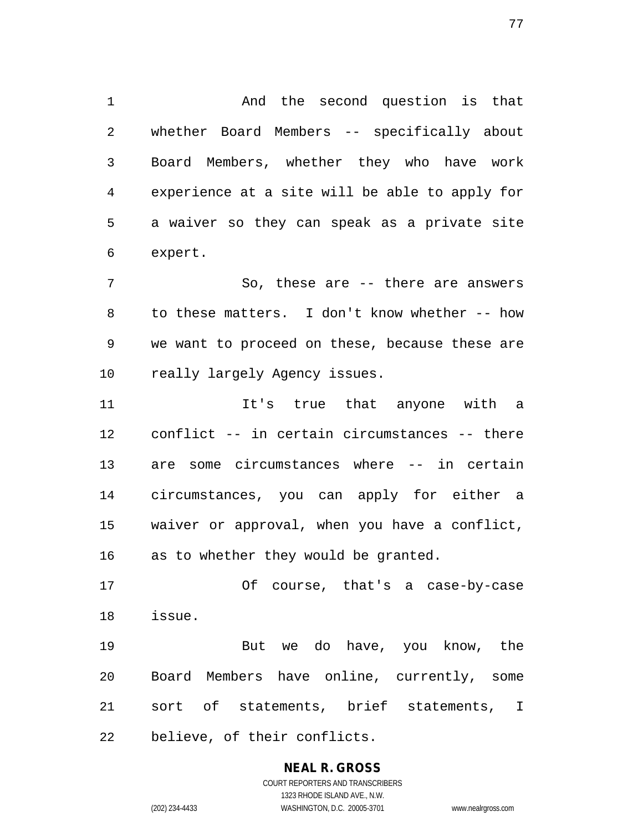And the second question is that whether Board Members -- specifically about Board Members, whether they who have work experience at a site will be able to apply for a waiver so they can speak as a private site expert.

7 So, these are -- there are answers to these matters. I don't know whether -- how we want to proceed on these, because these are 10 really largely Agency issues.

 It's true that anyone with a conflict -- in certain circumstances -- there are some circumstances where -- in certain circumstances, you can apply for either a waiver or approval, when you have a conflict, as to whether they would be granted.

 Of course, that's a case-by-case issue.

 But we do have, you know, the Board Members have online, currently, some sort of statements, brief statements, I believe, of their conflicts.

# **NEAL R. GROSS**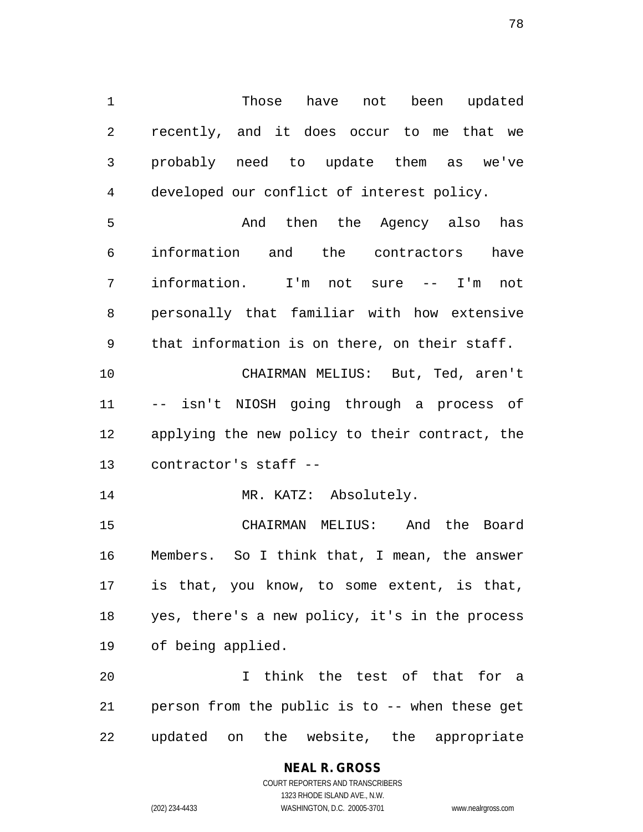Those have not been updated recently, and it does occur to me that we probably need to update them as we've developed our conflict of interest policy.

 And then the Agency also has information and the contractors have information. I'm not sure -- I'm not personally that familiar with how extensive that information is on there, on their staff.

 CHAIRMAN MELIUS: But, Ted, aren't -- isn't NIOSH going through a process of applying the new policy to their contract, the contractor's staff --

14 MR. KATZ: Absolutely.

 CHAIRMAN MELIUS: And the Board Members. So I think that, I mean, the answer is that, you know, to some extent, is that, yes, there's a new policy, it's in the process of being applied.

 I think the test of that for a person from the public is to -- when these get updated on the website, the appropriate

# **NEAL R. GROSS**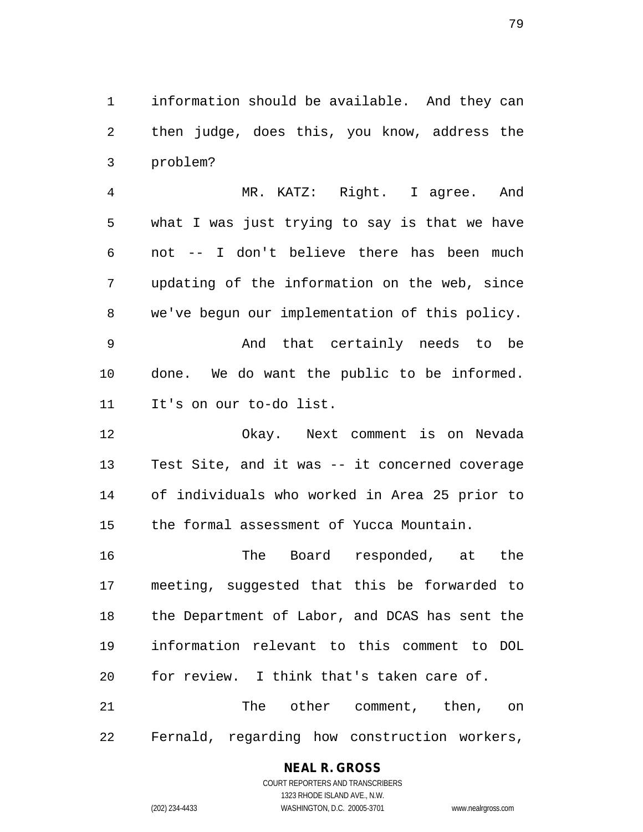information should be available. And they can then judge, does this, you know, address the problem?

 MR. KATZ: Right. I agree. And what I was just trying to say is that we have not -- I don't believe there has been much updating of the information on the web, since we've begun our implementation of this policy.

 And that certainly needs to be done. We do want the public to be informed. It's on our to-do list.

 Okay. Next comment is on Nevada Test Site, and it was -- it concerned coverage of individuals who worked in Area 25 prior to the formal assessment of Yucca Mountain.

 The Board responded, at the meeting, suggested that this be forwarded to the Department of Labor, and DCAS has sent the information relevant to this comment to DOL for review. I think that's taken care of.

21 The other comment, then, on Fernald, regarding how construction workers,

## **NEAL R. GROSS**

COURT REPORTERS AND TRANSCRIBERS 1323 RHODE ISLAND AVE., N.W. (202) 234-4433 WASHINGTON, D.C. 20005-3701 www.nealrgross.com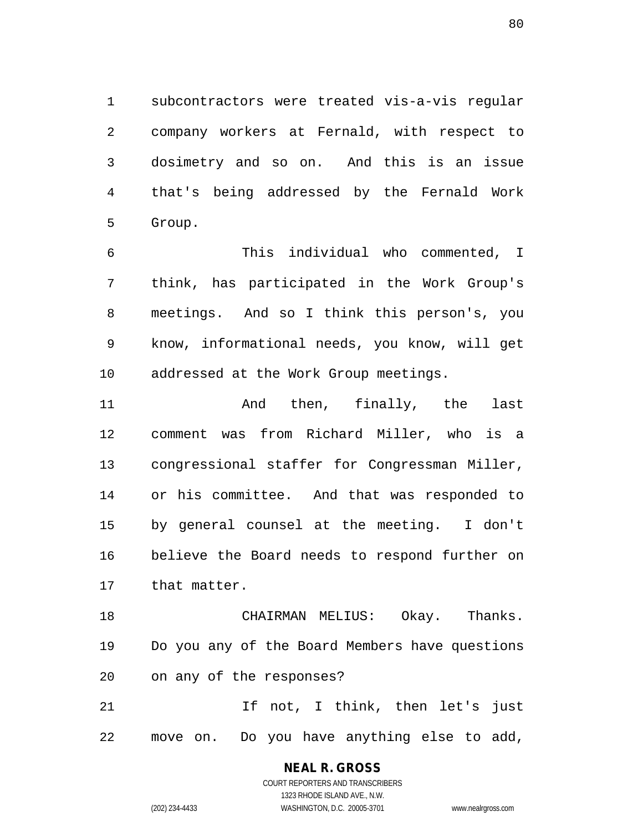subcontractors were treated vis-a-vis regular company workers at Fernald, with respect to dosimetry and so on. And this is an issue that's being addressed by the Fernald Work Group.

 This individual who commented, I think, has participated in the Work Group's meetings. And so I think this person's, you know, informational needs, you know, will get addressed at the Work Group meetings.

 And then, finally, the last comment was from Richard Miller, who is a congressional staffer for Congressman Miller, or his committee. And that was responded to by general counsel at the meeting. I don't believe the Board needs to respond further on that matter.

 CHAIRMAN MELIUS: Okay. Thanks. Do you any of the Board Members have questions on any of the responses?

21 15 If not, I think, then let's just move on. Do you have anything else to add,

> COURT REPORTERS AND TRANSCRIBERS 1323 RHODE ISLAND AVE., N.W. (202) 234-4433 WASHINGTON, D.C. 20005-3701 www.nealrgross.com

**NEAL R. GROSS**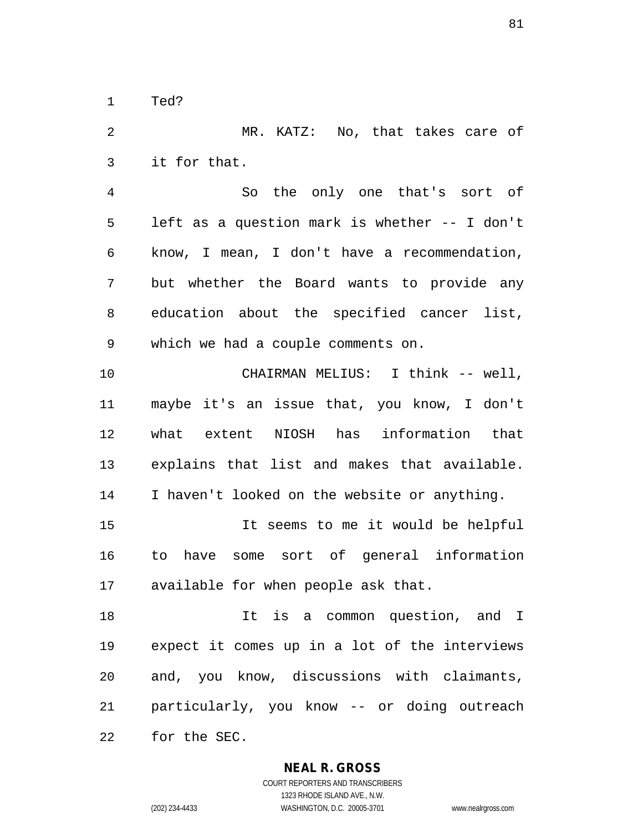Ted?

 MR. KATZ: No, that takes care of it for that. So the only one that's sort of left as a question mark is whether -- I don't know, I mean, I don't have a recommendation, but whether the Board wants to provide any education about the specified cancer list, which we had a couple comments on. CHAIRMAN MELIUS: I think -- well, maybe it's an issue that, you know, I don't what extent NIOSH has information that explains that list and makes that available. I haven't looked on the website or anything. It seems to me it would be helpful to have some sort of general information available for when people ask that. It is a common question, and I expect it comes up in a lot of the interviews and, you know, discussions with claimants, particularly, you know -- or doing outreach for the SEC.

**NEAL R. GROSS**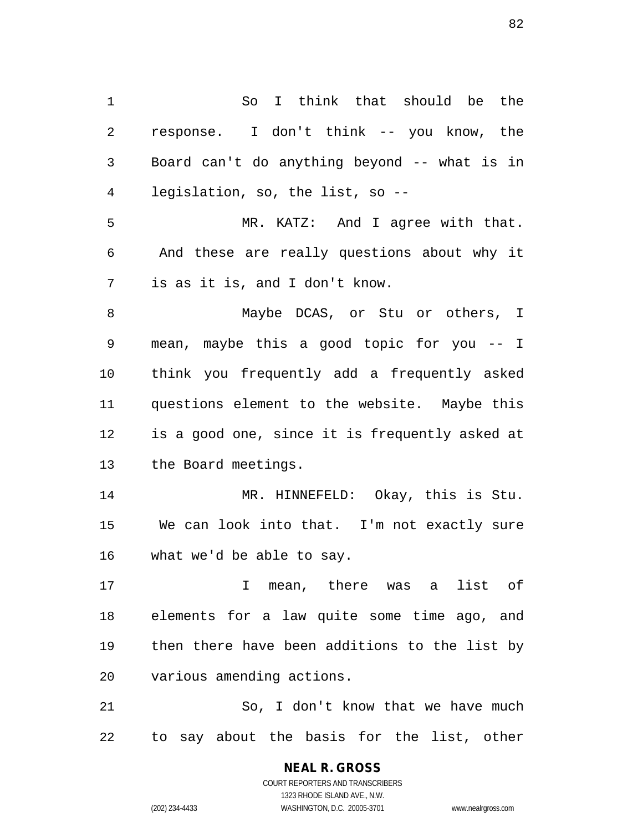So I think that should be the response. I don't think -- you know, the Board can't do anything beyond -- what is in legislation, so, the list, so -- MR. KATZ: And I agree with that. And these are really questions about why it is as it is, and I don't know. Maybe DCAS, or Stu or others, I mean, maybe this a good topic for you -- I think you frequently add a frequently asked questions element to the website. Maybe this is a good one, since it is frequently asked at the Board meetings. MR. HINNEFELD: Okay, this is Stu. We can look into that. I'm not exactly sure what we'd be able to say. I mean, there was a list of elements for a law quite some time ago, and then there have been additions to the list by various amending actions. 21 So, I don't know that we have much to say about the basis for the list, other

> **NEAL R. GROSS** COURT REPORTERS AND TRANSCRIBERS 1323 RHODE ISLAND AVE., N.W.

(202) 234-4433 WASHINGTON, D.C. 20005-3701 www.nealrgross.com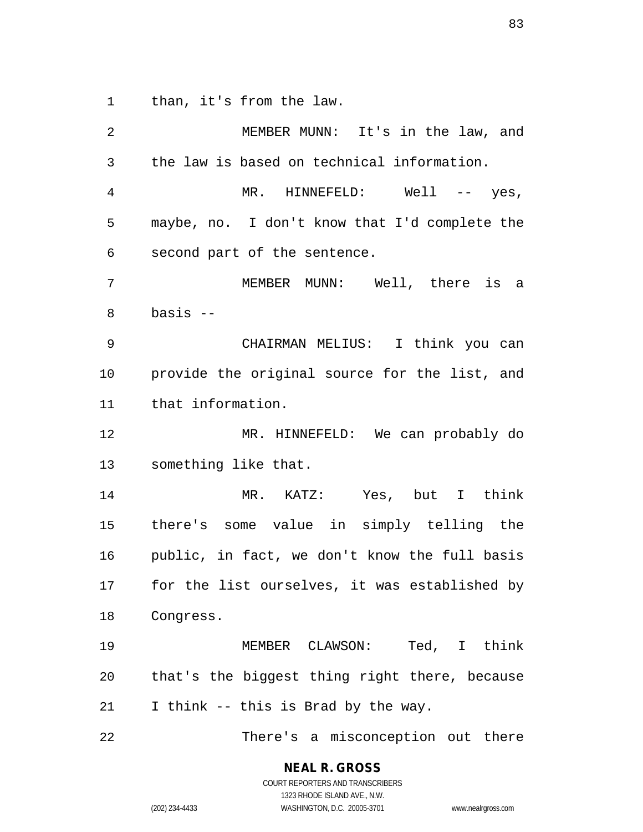than, it's from the law.

| 2              | MEMBER MUNN: It's in the law, and             |
|----------------|-----------------------------------------------|
| $\mathfrak{Z}$ | the law is based on technical information.    |
| $\overline{4}$ | MR. HINNEFELD: Well -- yes,                   |
| 5              | maybe, no. I don't know that I'd complete the |
| 6              | second part of the sentence.                  |
| 7              | MEMBER MUNN: Well, there is a                 |
| $\,8\,$        | $basis$ --                                    |
| $\mathsf 9$    | CHAIRMAN MELIUS: I think you can              |
| 10             | provide the original source for the list, and |
| 11             | that information.                             |
| 12             | MR. HINNEFELD: We can probably do             |
| 13             | something like that.                          |
| 14             | MR. KATZ: Yes, but I think                    |
| 15             | there's some value in simply telling the      |
| 16             | public, in fact, we don't know the full basis |
| 17             | for the list ourselves, it was established by |
| 18             | Congress.                                     |
| 19             | MEMBER CLAWSON: Ted, I think                  |
| 20             | that's the biggest thing right there, because |
| 21             | I think -- this is Brad by the way.           |
| 22             | There's a misconception out there             |

**NEAL R. GROSS** COURT REPORTERS AND TRANSCRIBERS

1323 RHODE ISLAND AVE., N.W.

(202) 234-4433 WASHINGTON, D.C. 20005-3701 www.nealrgross.com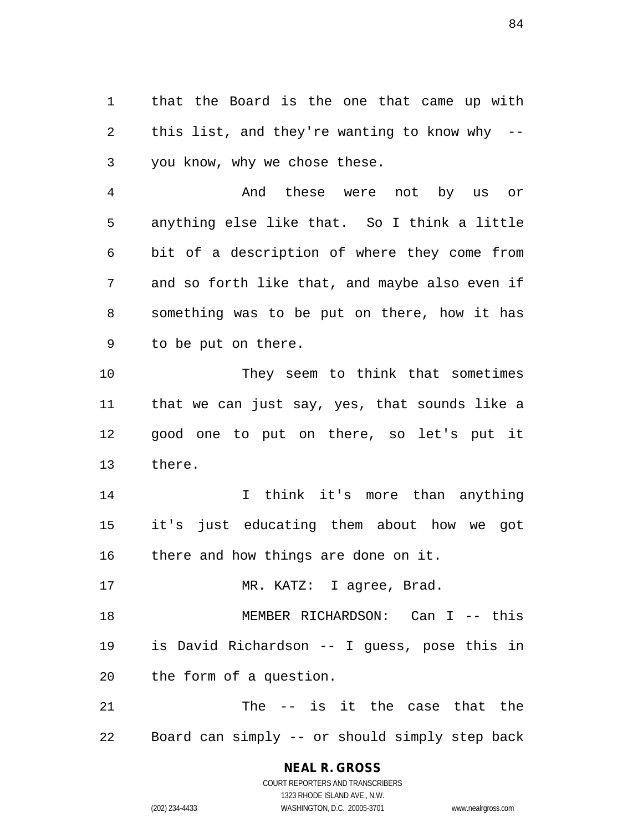that the Board is the one that came up with this list, and they're wanting to know why -- you know, why we chose these.

 And these were not by us or anything else like that. So I think a little bit of a description of where they come from and so forth like that, and maybe also even if something was to be put on there, how it has to be put on there.

 They seem to think that sometimes that we can just say, yes, that sounds like a good one to put on there, so let's put it there.

14 14 I think it's more than anything it's just educating them about how we got there and how things are done on it.

17 MR. KATZ: I agree, Brad.

 MEMBER RICHARDSON: Can I -- this is David Richardson -- I guess, pose this in the form of a question.

 The -- is it the case that the Board can simply -- or should simply step back

> **NEAL R. GROSS** COURT REPORTERS AND TRANSCRIBERS

1323 RHODE ISLAND AVE., N.W. (202) 234-4433 WASHINGTON, D.C. 20005-3701 www.nealrgross.com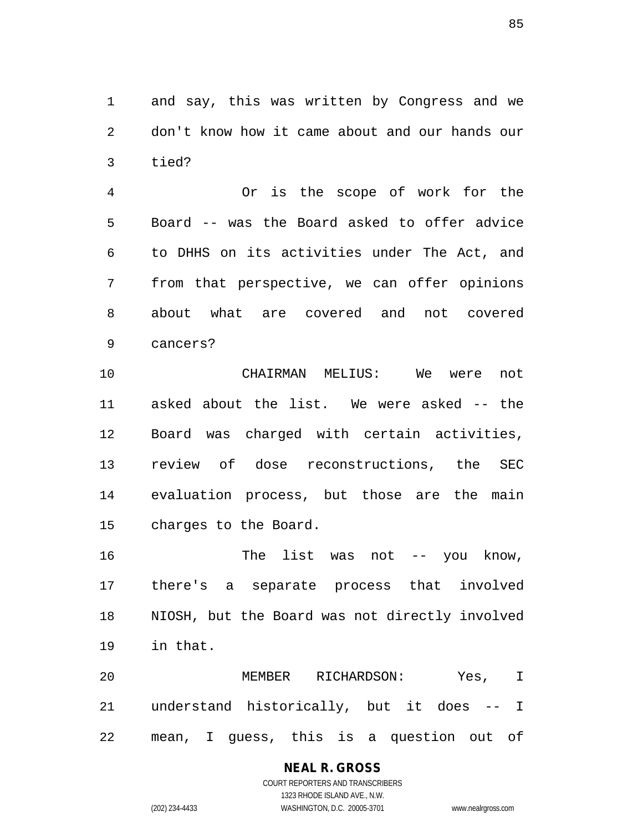and say, this was written by Congress and we don't know how it came about and our hands our tied?

 Or is the scope of work for the Board -- was the Board asked to offer advice to DHHS on its activities under The Act, and from that perspective, we can offer opinions about what are covered and not covered cancers?

 CHAIRMAN MELIUS: We were not asked about the list. We were asked -- the Board was charged with certain activities, review of dose reconstructions, the SEC evaluation process, but those are the main charges to the Board.

 The list was not -- you know, there's a separate process that involved NIOSH, but the Board was not directly involved in that.

 MEMBER RICHARDSON: Yes, I understand historically, but it does -- I mean, I guess, this is a question out of

# **NEAL R. GROSS**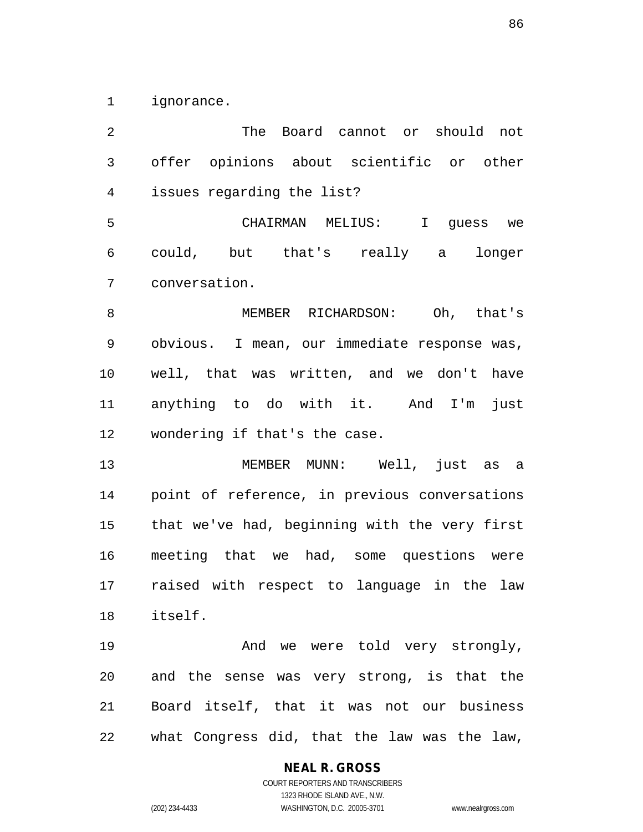ignorance.

 The Board cannot or should not offer opinions about scientific or other issues regarding the list? CHAIRMAN MELIUS: I guess we could, but that's really a longer conversation. MEMBER RICHARDSON: Oh, that's obvious. I mean, our immediate response was, well, that was written, and we don't have anything to do with it. And I'm just wondering if that's the case. MEMBER MUNN: Well, just as a point of reference, in previous conversations that we've had, beginning with the very first meeting that we had, some questions were raised with respect to language in the law itself. 19 And we were told very strongly, and the sense was very strong, is that the Board itself, that it was not our business what Congress did, that the law was the law,

> **NEAL R. GROSS** COURT REPORTERS AND TRANSCRIBERS

1323 RHODE ISLAND AVE., N.W. (202) 234-4433 WASHINGTON, D.C. 20005-3701 www.nealrgross.com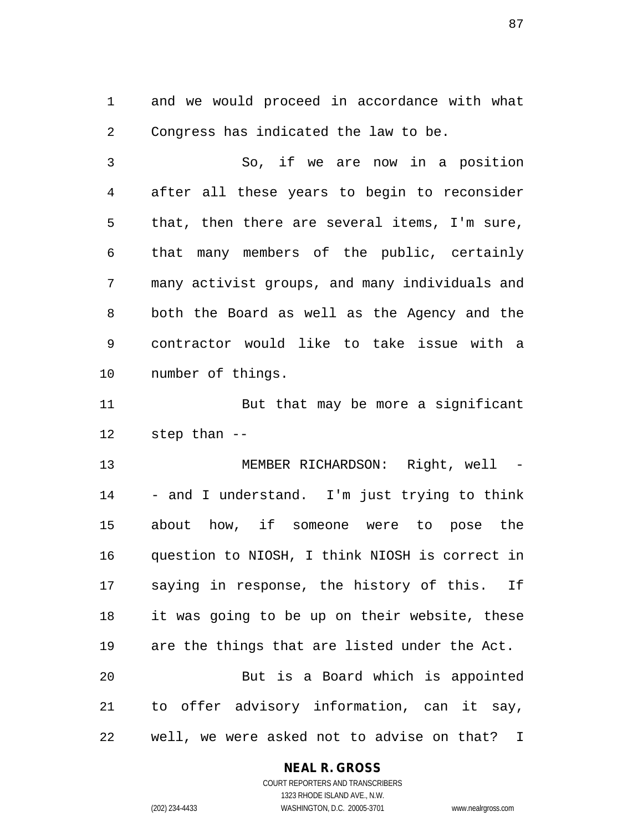and we would proceed in accordance with what Congress has indicated the law to be.

 So, if we are now in a position after all these years to begin to reconsider that, then there are several items, I'm sure, that many members of the public, certainly many activist groups, and many individuals and both the Board as well as the Agency and the contractor would like to take issue with a number of things.

11 But that may be more a significant step than --

 MEMBER RICHARDSON: Right, well - - and I understand. I'm just trying to think about how, if someone were to pose the question to NIOSH, I think NIOSH is correct in saying in response, the history of this. If it was going to be up on their website, these are the things that are listed under the Act. But is a Board which is appointed to offer advisory information, can it say, well, we were asked not to advise on that? I

#### **NEAL R. GROSS**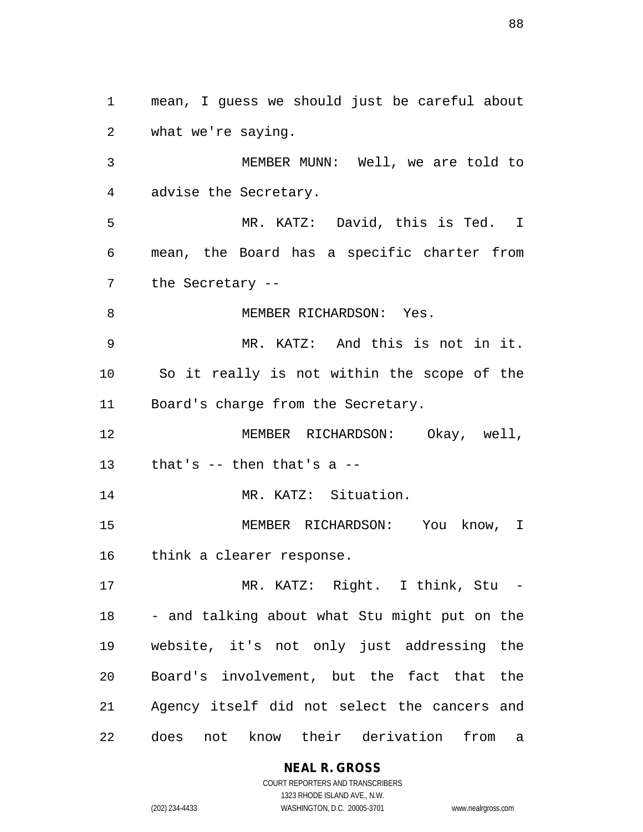mean, I guess we should just be careful about what we're saying. MEMBER MUNN: Well, we are told to advise the Secretary. MR. KATZ: David, this is Ted. I mean, the Board has a specific charter from the Secretary -- 8 MEMBER RICHARDSON: Yes. MR. KATZ: And this is not in it. So it really is not within the scope of the Board's charge from the Secretary. MEMBER RICHARDSON: Okay, well, that's -- then that's a -- MR. KATZ: Situation. MEMBER RICHARDSON: You know, I think a clearer response. MR. KATZ: Right. I think, Stu - - and talking about what Stu might put on the website, it's not only just addressing the Board's involvement, but the fact that the Agency itself did not select the cancers and does not know their derivation from a

**NEAL R. GROSS**

COURT REPORTERS AND TRANSCRIBERS 1323 RHODE ISLAND AVE., N.W. (202) 234-4433 WASHINGTON, D.C. 20005-3701 www.nealrgross.com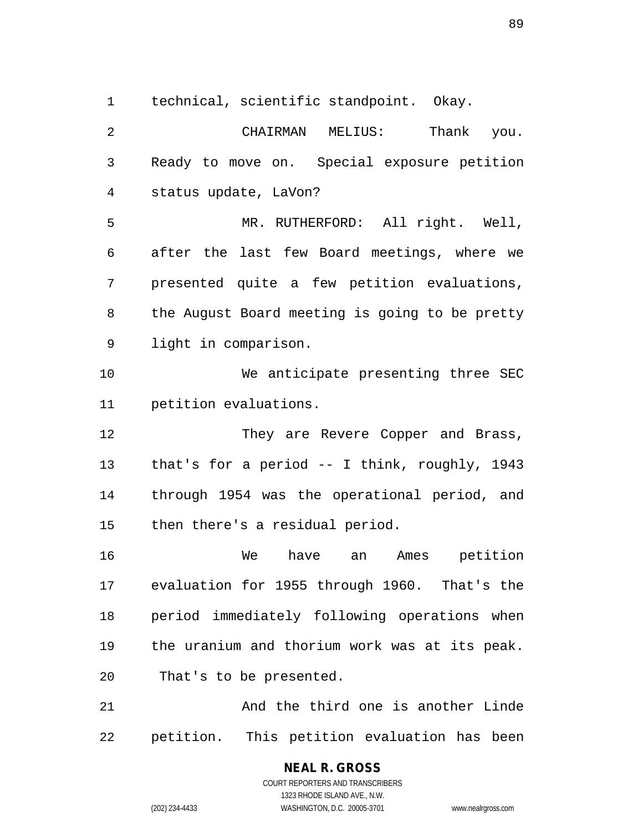technical, scientific standpoint. Okay.

 CHAIRMAN MELIUS: Thank you. Ready to move on. Special exposure petition status update, LaVon? MR. RUTHERFORD: All right. Well, after the last few Board meetings, where we presented quite a few petition evaluations, the August Board meeting is going to be pretty light in comparison. We anticipate presenting three SEC petition evaluations. 12 They are Revere Copper and Brass, that's for a period -- I think, roughly, 1943 through 1954 was the operational period, and then there's a residual period. We have an Ames petition evaluation for 1955 through 1960. That's the period immediately following operations when the uranium and thorium work was at its peak. That's to be presented. And the third one is another Linde petition. This petition evaluation has been

> COURT REPORTERS AND TRANSCRIBERS 1323 RHODE ISLAND AVE., N.W. (202) 234-4433 WASHINGTON, D.C. 20005-3701 www.nealrgross.com

**NEAL R. GROSS**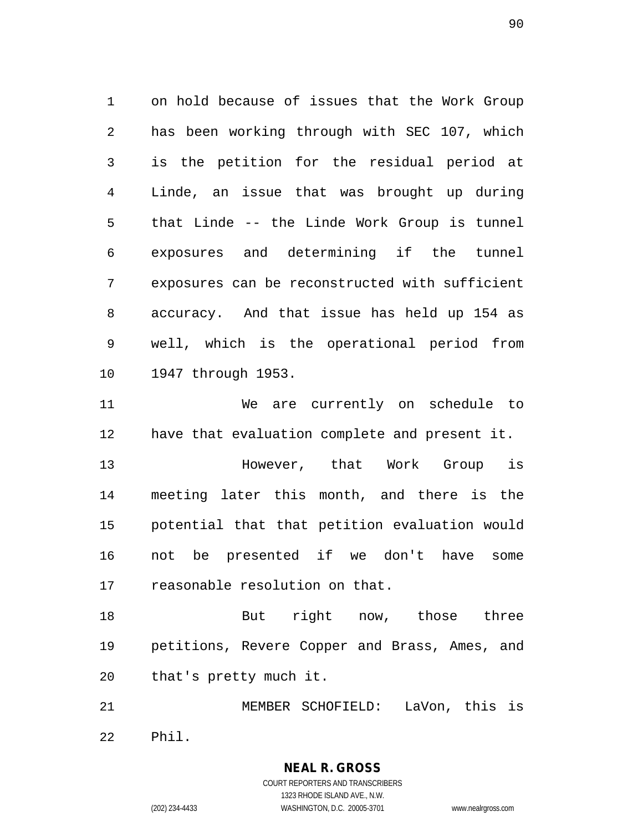on hold because of issues that the Work Group has been working through with SEC 107, which is the petition for the residual period at Linde, an issue that was brought up during that Linde -- the Linde Work Group is tunnel exposures and determining if the tunnel exposures can be reconstructed with sufficient accuracy. And that issue has held up 154 as well, which is the operational period from 1947 through 1953.

 We are currently on schedule to have that evaluation complete and present it.

 However, that Work Group is meeting later this month, and there is the potential that that petition evaluation would not be presented if we don't have some reasonable resolution on that.

 But right now, those three petitions, Revere Copper and Brass, Ames, and that's pretty much it.

 MEMBER SCHOFIELD: LaVon, this is Phil.

> COURT REPORTERS AND TRANSCRIBERS 1323 RHODE ISLAND AVE., N.W. (202) 234-4433 WASHINGTON, D.C. 20005-3701 www.nealrgross.com

**NEAL R. GROSS**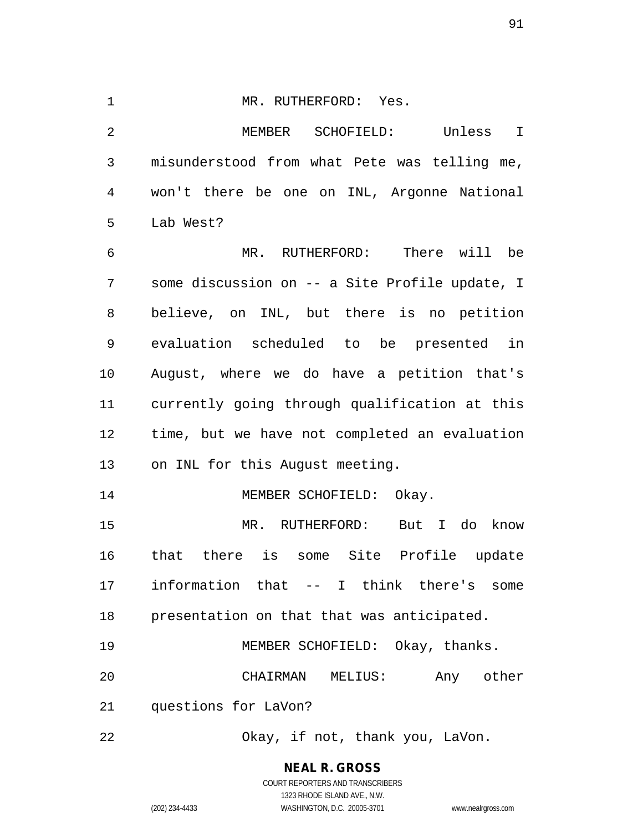#### 1 MR. RUTHERFORD: Yes.

 MEMBER SCHOFIELD: Unless I misunderstood from what Pete was telling me, won't there be one on INL, Argonne National Lab West?

 MR. RUTHERFORD: There will be some discussion on -- a Site Profile update, I believe, on INL, but there is no petition evaluation scheduled to be presented in August, where we do have a petition that's currently going through qualification at this time, but we have not completed an evaluation on INL for this August meeting.

MEMBER SCHOFIELD: Okay.

 MR. RUTHERFORD: But I do know that there is some Site Profile update information that -- I think there's some presentation on that that was anticipated.

| 19 |                         |                  | MEMBER SCHOFIELD: Okay, thanks. |           |
|----|-------------------------|------------------|---------------------------------|-----------|
| 20 |                         | CHAIRMAN MELIUS: |                                 | Any other |
|    | 21 questions for LaVon? |                  |                                 |           |

Okay, if not, thank you, LaVon.

**NEAL R. GROSS**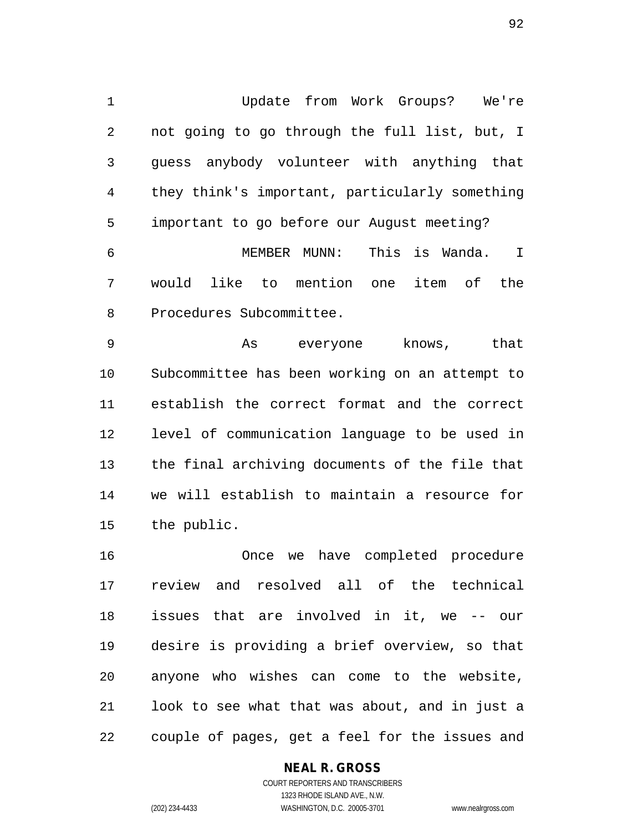Update from Work Groups? We're not going to go through the full list, but, I guess anybody volunteer with anything that they think's important, particularly something important to go before our August meeting? MEMBER MUNN: This is Wanda. I

 would like to mention one item of the Procedures Subcommittee.

9 and As everyone knows, that Subcommittee has been working on an attempt to establish the correct format and the correct level of communication language to be used in the final archiving documents of the file that we will establish to maintain a resource for the public.

 Once we have completed procedure review and resolved all of the technical issues that are involved in it, we -- our desire is providing a brief overview, so that anyone who wishes can come to the website, look to see what that was about, and in just a couple of pages, get a feel for the issues and

## **NEAL R. GROSS**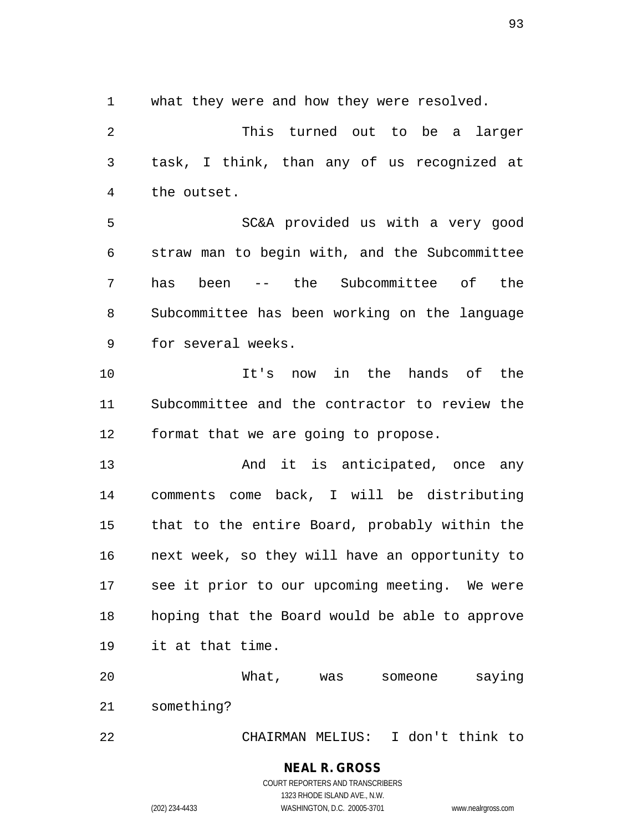what they were and how they were resolved.

 This turned out to be a larger task, I think, than any of us recognized at the outset. SC&A provided us with a very good straw man to begin with, and the Subcommittee has been -- the Subcommittee of the Subcommittee has been working on the language

for several weeks.

 It's now in the hands of the Subcommittee and the contractor to review the format that we are going to propose.

13 And it is anticipated, once any comments come back, I will be distributing that to the entire Board, probably within the next week, so they will have an opportunity to see it prior to our upcoming meeting. We were hoping that the Board would be able to approve it at that time.

 What, was someone saying something?

CHAIRMAN MELIUS: I don't think to

**NEAL R. GROSS**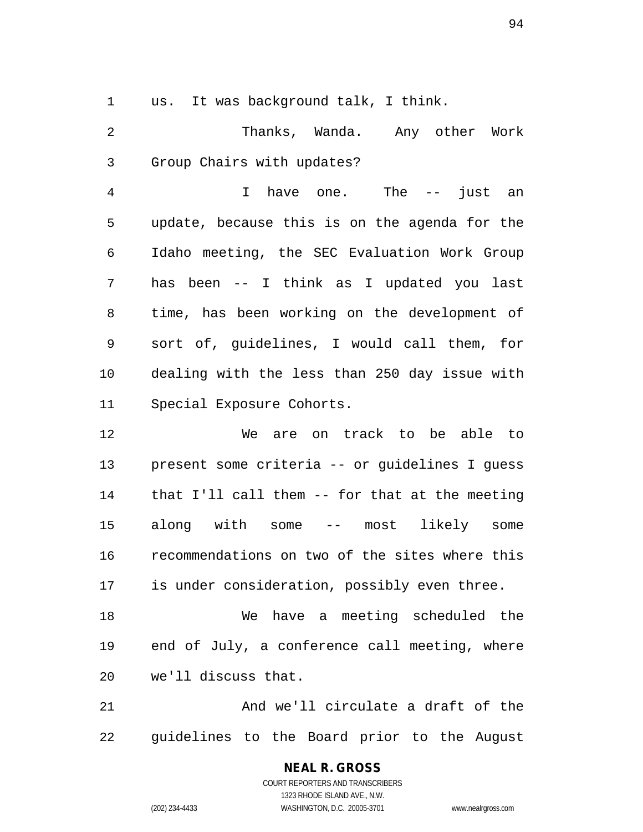us. It was background talk, I think.

 Thanks, Wanda. Any other Work Group Chairs with updates?

 I have one. The -- just an update, because this is on the agenda for the Idaho meeting, the SEC Evaluation Work Group has been -- I think as I updated you last time, has been working on the development of sort of, guidelines, I would call them, for dealing with the less than 250 day issue with Special Exposure Cohorts.

 We are on track to be able to present some criteria -- or guidelines I guess that I'll call them -- for that at the meeting along with some -- most likely some recommendations on two of the sites where this is under consideration, possibly even three.

 We have a meeting scheduled the end of July, a conference call meeting, where we'll discuss that.

21 And we'll circulate a draft of the guidelines to the Board prior to the August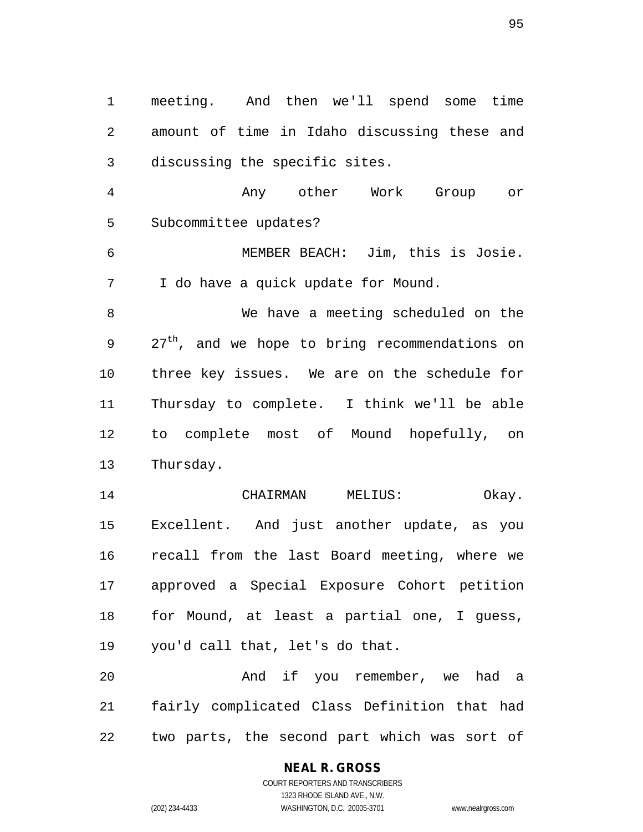meeting. And then we'll spend some time amount of time in Idaho discussing these and discussing the specific sites. Any other Work Group or Subcommittee updates? MEMBER BEACH: Jim, this is Josie. I do have a quick update for Mound. We have a meeting scheduled on the  $27<sup>th</sup>$ , and we hope to bring recommendations on three key issues. We are on the schedule for Thursday to complete. I think we'll be able to complete most of Mound hopefully, on Thursday. 14 CHAIRMAN MELIUS: Okay. Excellent. And just another update, as you recall from the last Board meeting, where we approved a Special Exposure Cohort petition for Mound, at least a partial one, I guess, you'd call that, let's do that. And if you remember, we had a fairly complicated Class Definition that had two parts, the second part which was sort of

**NEAL R. GROSS**

COURT REPORTERS AND TRANSCRIBERS 1323 RHODE ISLAND AVE., N.W. (202) 234-4433 WASHINGTON, D.C. 20005-3701 www.nealrgross.com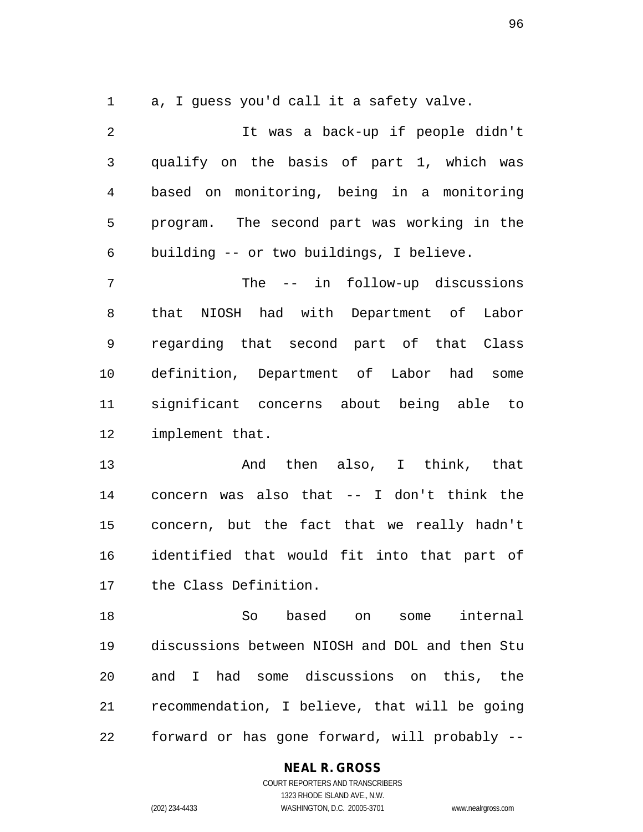a, I guess you'd call it a safety valve.

 It was a back-up if people didn't qualify on the basis of part 1, which was based on monitoring, being in a monitoring program. The second part was working in the building -- or two buildings, I believe. The -- in follow-up discussions that NIOSH had with Department of Labor regarding that second part of that Class definition, Department of Labor had some significant concerns about being able to implement that. And then also, I think, that concern was also that -- I don't think the concern, but the fact that we really hadn't

 identified that would fit into that part of the Class Definition.

 So based on some internal discussions between NIOSH and DOL and then Stu and I had some discussions on this, the recommendation, I believe, that will be going forward or has gone forward, will probably --

## **NEAL R. GROSS**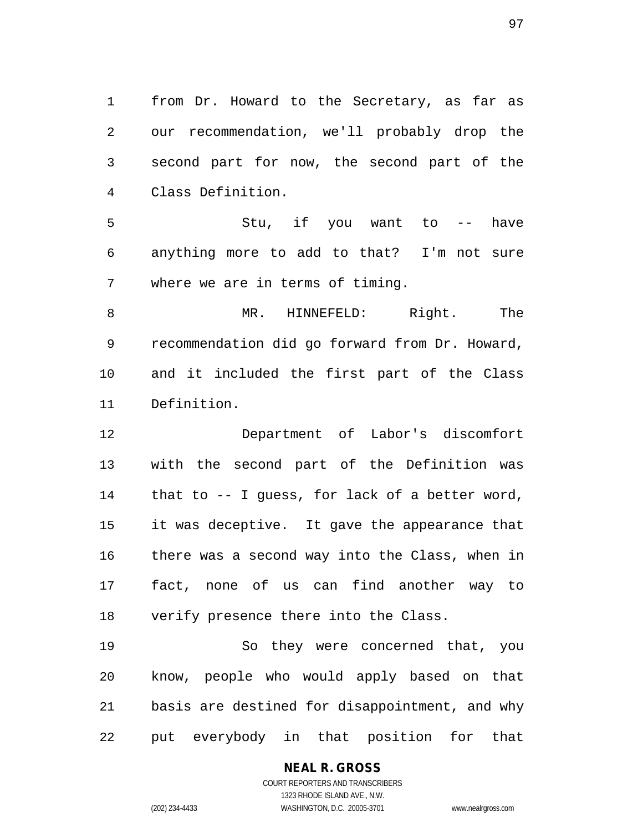from Dr. Howard to the Secretary, as far as our recommendation, we'll probably drop the second part for now, the second part of the Class Definition.

 Stu, if you want to -- have anything more to add to that? I'm not sure where we are in terms of timing.

 MR. HINNEFELD: Right. The recommendation did go forward from Dr. Howard, and it included the first part of the Class Definition.

 Department of Labor's discomfort with the second part of the Definition was that to -- I guess, for lack of a better word, it was deceptive. It gave the appearance that there was a second way into the Class, when in fact, none of us can find another way to verify presence there into the Class.

 So they were concerned that, you know, people who would apply based on that basis are destined for disappointment, and why put everybody in that position for that

# **NEAL R. GROSS**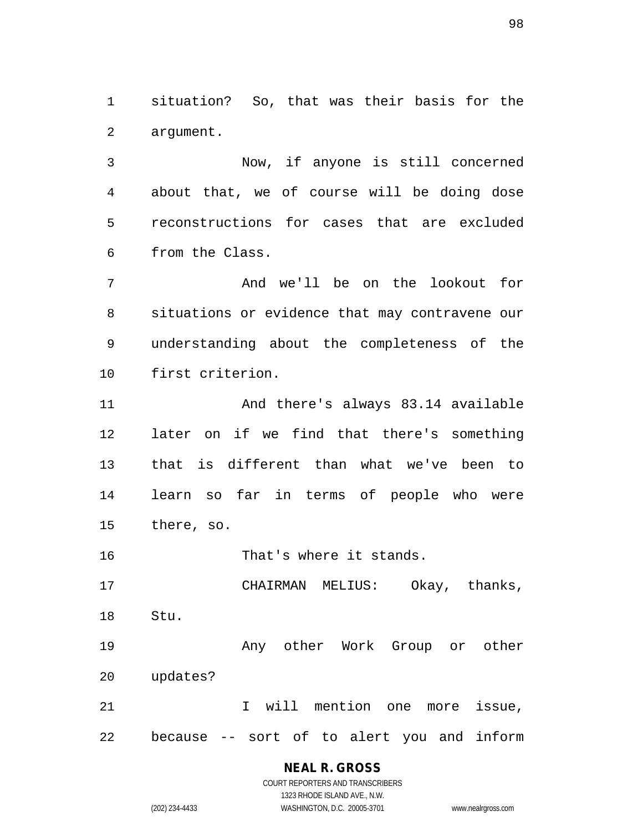situation? So, that was their basis for the argument.

 Now, if anyone is still concerned about that, we of course will be doing dose reconstructions for cases that are excluded from the Class.

 And we'll be on the lookout for situations or evidence that may contravene our understanding about the completeness of the first criterion.

 And there's always 83.14 available later on if we find that there's something that is different than what we've been to learn so far in terms of people who were there, so.

That's where it stands.

 CHAIRMAN MELIUS: Okay, thanks, Stu.

**Any other Work Group or other** updates?

 I will mention one more issue, because -- sort of to alert you and inform

> **NEAL R. GROSS** COURT REPORTERS AND TRANSCRIBERS

1323 RHODE ISLAND AVE., N.W. (202) 234-4433 WASHINGTON, D.C. 20005-3701 www.nealrgross.com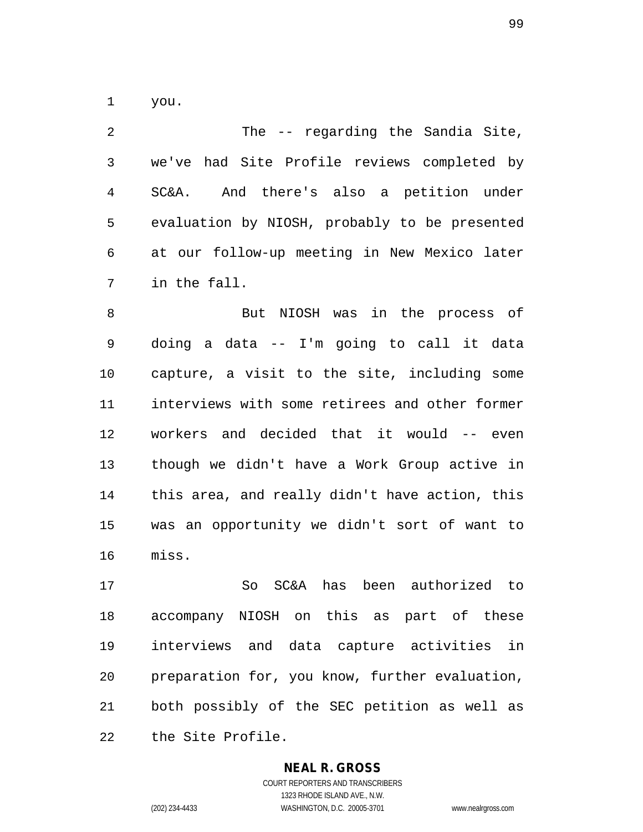you.

 The -- regarding the Sandia Site, we've had Site Profile reviews completed by SC&A. And there's also a petition under evaluation by NIOSH, probably to be presented at our follow-up meeting in New Mexico later in the fall.

 But NIOSH was in the process of doing a data -- I'm going to call it data capture, a visit to the site, including some interviews with some retirees and other former workers and decided that it would -- even though we didn't have a Work Group active in this area, and really didn't have action, this was an opportunity we didn't sort of want to miss.

 So SC&A has been authorized to accompany NIOSH on this as part of these interviews and data capture activities in preparation for, you know, further evaluation, both possibly of the SEC petition as well as the Site Profile.

## **NEAL R. GROSS**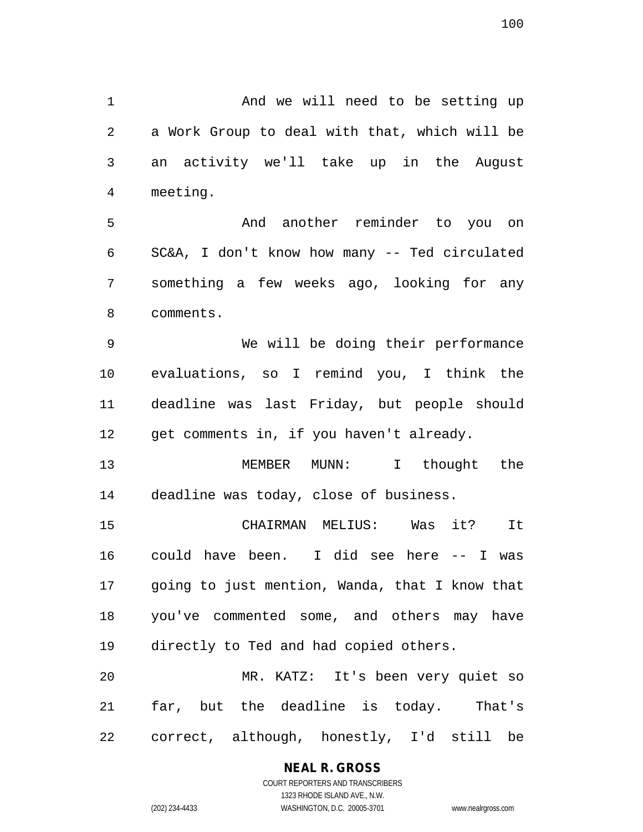1 And we will need to be setting up a Work Group to deal with that, which will be an activity we'll take up in the August meeting. And another reminder to you on SC&A, I don't know how many -- Ted circulated something a few weeks ago, looking for any comments. We will be doing their performance evaluations, so I remind you, I think the deadline was last Friday, but people should 12 get comments in, if you haven't already. MEMBER MUNN: I thought the deadline was today, close of business. CHAIRMAN MELIUS: Was it? It could have been. I did see here -- I was going to just mention, Wanda, that I know that you've commented some, and others may have directly to Ted and had copied others. MR. KATZ: It's been very quiet so far, but the deadline is today. That's correct, although, honestly, I'd still be

## **NEAL R. GROSS**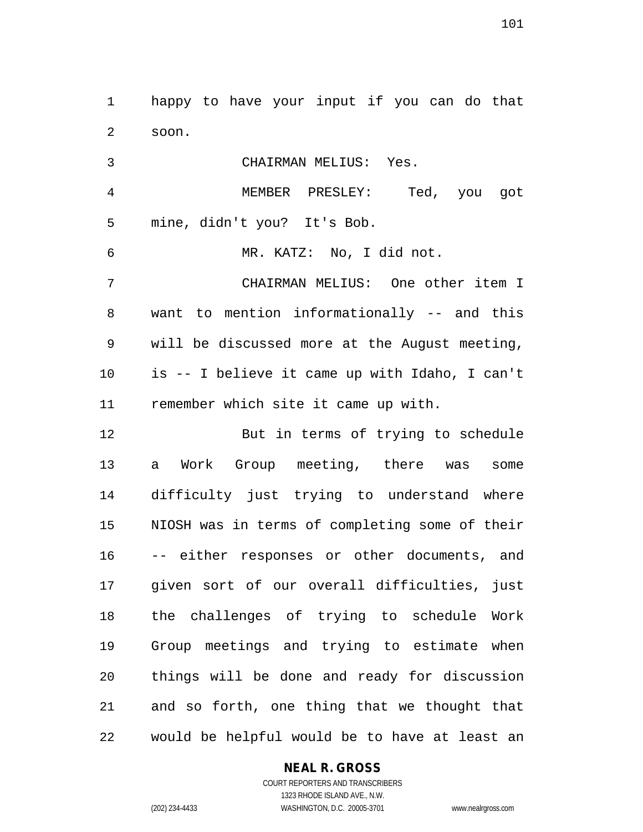happy to have your input if you can do that soon.

 CHAIRMAN MELIUS: Yes. MEMBER PRESLEY: Ted, you got mine, didn't you? It's Bob. MR. KATZ: No, I did not. CHAIRMAN MELIUS: One other item I want to mention informationally -- and this will be discussed more at the August meeting, is -- I believe it came up with Idaho, I can't remember which site it came up with. But in terms of trying to schedule a Work Group meeting, there was some difficulty just trying to understand where NIOSH was in terms of completing some of their -- either responses or other documents, and given sort of our overall difficulties, just

 the challenges of trying to schedule Work Group meetings and trying to estimate when things will be done and ready for discussion and so forth, one thing that we thought that would be helpful would be to have at least an

## **NEAL R. GROSS**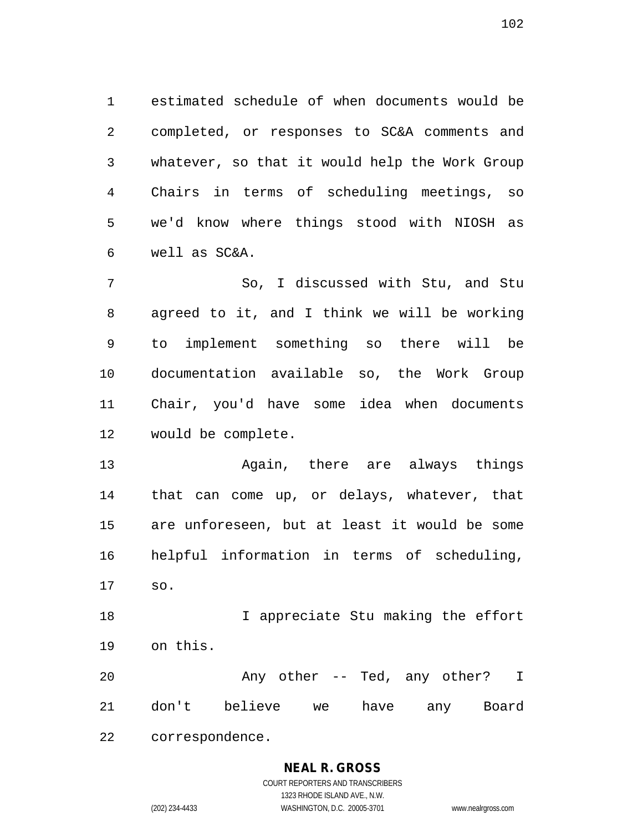estimated schedule of when documents would be completed, or responses to SC&A comments and whatever, so that it would help the Work Group Chairs in terms of scheduling meetings, so we'd know where things stood with NIOSH as well as SC&A.

 So, I discussed with Stu, and Stu agreed to it, and I think we will be working to implement something so there will be documentation available so, the Work Group Chair, you'd have some idea when documents would be complete.

 Again, there are always things that can come up, or delays, whatever, that are unforeseen, but at least it would be some helpful information in terms of scheduling, so.

18 18 I appreciate Stu making the effort on this.

20 Any other -- Ted, any other? I don't believe we have any Board correspondence.

# **NEAL R. GROSS**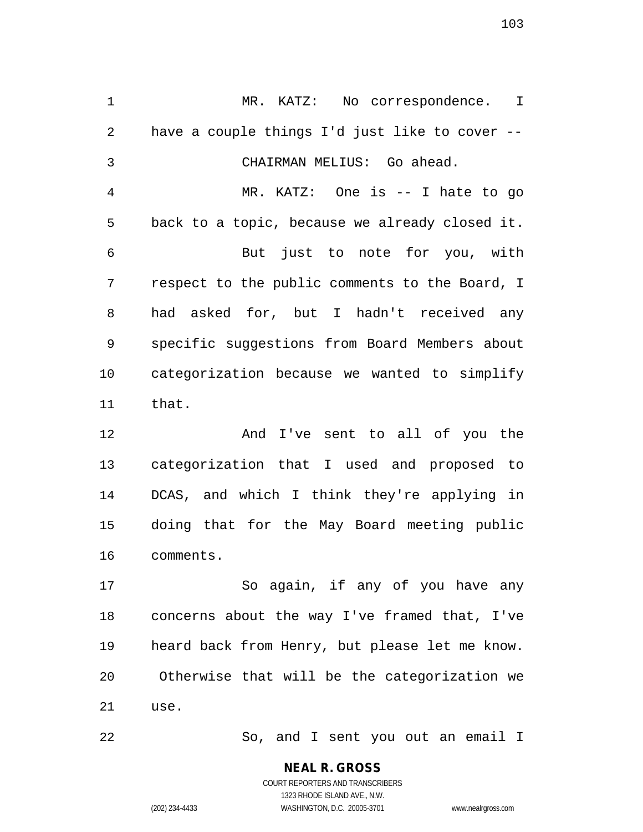MR. KATZ: No correspondence. I have a couple things I'd just like to cover -- CHAIRMAN MELIUS: Go ahead. MR. KATZ: One is -- I hate to go back to a topic, because we already closed it. But just to note for you, with respect to the public comments to the Board, I had asked for, but I hadn't received any specific suggestions from Board Members about categorization because we wanted to simplify that.

 And I've sent to all of you the categorization that I used and proposed to DCAS, and which I think they're applying in doing that for the May Board meeting public comments.

 So again, if any of you have any concerns about the way I've framed that, I've heard back from Henry, but please let me know. Otherwise that will be the categorization we use.

So, and I sent you out an email I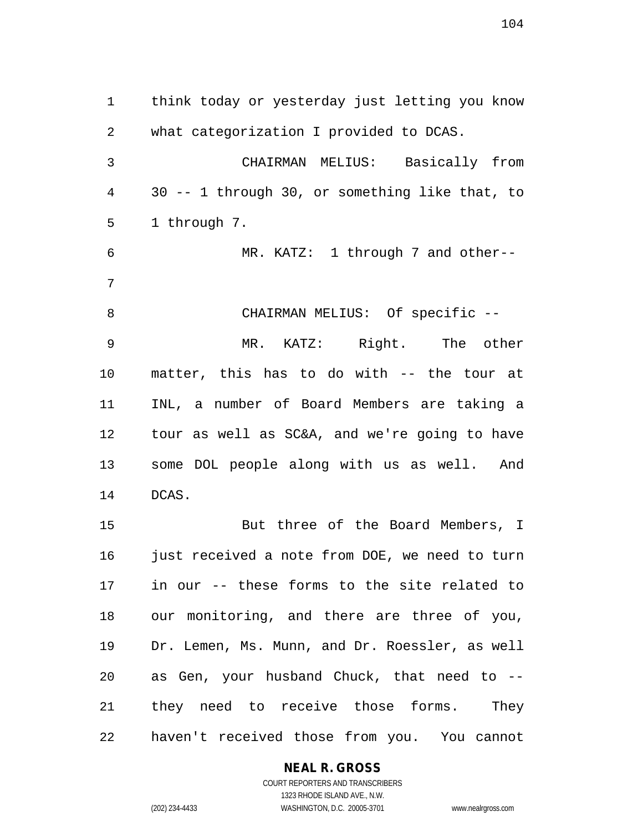think today or yesterday just letting you know what categorization I provided to DCAS. CHAIRMAN MELIUS: Basically from 30 -- 1 through 30, or something like that, to 1 through 7. MR. KATZ: 1 through 7 and other-- 8 CHAIRMAN MELIUS: Of specific -- MR. KATZ: Right. The other matter, this has to do with -- the tour at INL, a number of Board Members are taking a tour as well as SC&A, and we're going to have some DOL people along with us as well. And DCAS. But three of the Board Members, I 16 just received a note from DOE, we need to turn in our -- these forms to the site related to our monitoring, and there are three of you, Dr. Lemen, Ms. Munn, and Dr. Roessler, as well

 they need to receive those forms. They haven't received those from you. You cannot

as Gen, your husband Chuck, that need to --

# **NEAL R. GROSS**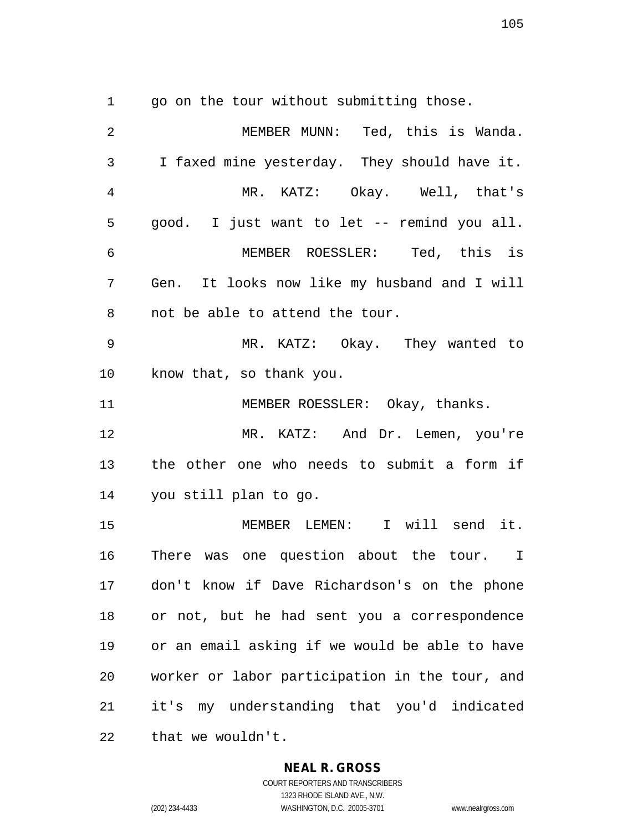go on the tour without submitting those.

| $\overline{2}$ | MEMBER MUNN: Ted, this is Wanda.               |
|----------------|------------------------------------------------|
| 3              | I faxed mine yesterday. They should have it.   |
| $\overline{4}$ | MR. KATZ: Okay. Well, that's                   |
| 5              | good. I just want to let -- remind you all.    |
| 6              | MEMBER ROESSLER: Ted, this is                  |
| 7              | Gen. It looks now like my husband and I will   |
| 8              | not be able to attend the tour.                |
| 9              | MR. KATZ: Okay. They wanted to                 |
| 10             | know that, so thank you.                       |
| 11             | MEMBER ROESSLER: Okay, thanks.                 |
| 12             | MR. KATZ: And Dr. Lemen, you're                |
| 13             | the other one who needs to submit a form if    |
| 14             | you still plan to go.                          |
| 15             | MEMBER LEMEN: I will send it.                  |
| 16             | There was one question about the tour. I       |
| 17             | don't know if Dave Richardson's on the phone   |
| 18             | or not, but he had sent you a correspondence   |
| 19             | or an email asking if we would be able to have |
| 20             | worker or labor participation in the tour, and |
| 21             | it's my understanding that you'd indicated     |
| 22             | that we wouldn't.                              |

#### **NEAL R. GROSS**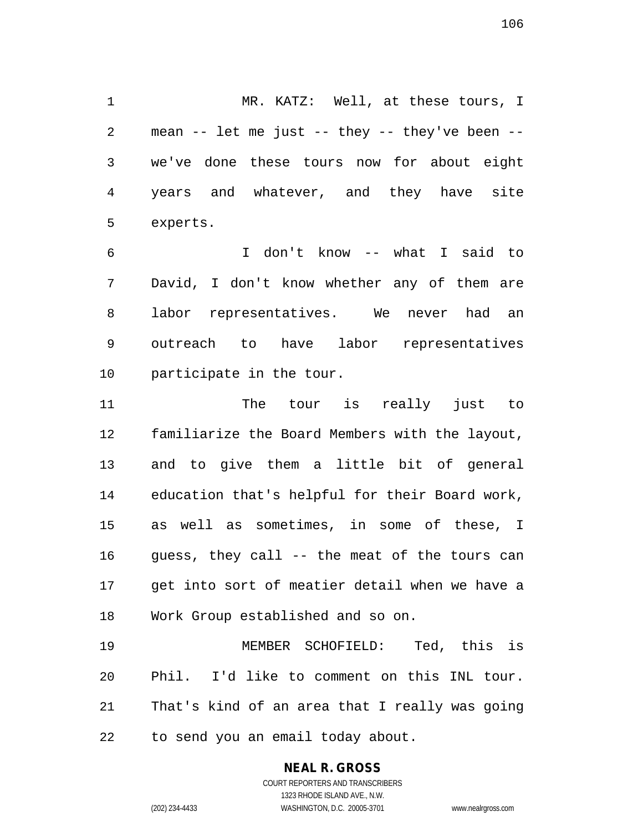MR. KATZ: Well, at these tours, I mean -- let me just -- they -- they've been -- we've done these tours now for about eight years and whatever, and they have site experts.

 I don't know -- what I said to David, I don't know whether any of them are labor representatives. We never had an outreach to have labor representatives participate in the tour.

 The tour is really just to familiarize the Board Members with the layout, and to give them a little bit of general education that's helpful for their Board work, as well as sometimes, in some of these, I guess, they call -- the meat of the tours can get into sort of meatier detail when we have a Work Group established and so on.

 MEMBER SCHOFIELD: Ted, this is Phil. I'd like to comment on this INL tour. That's kind of an area that I really was going to send you an email today about.

## **NEAL R. GROSS**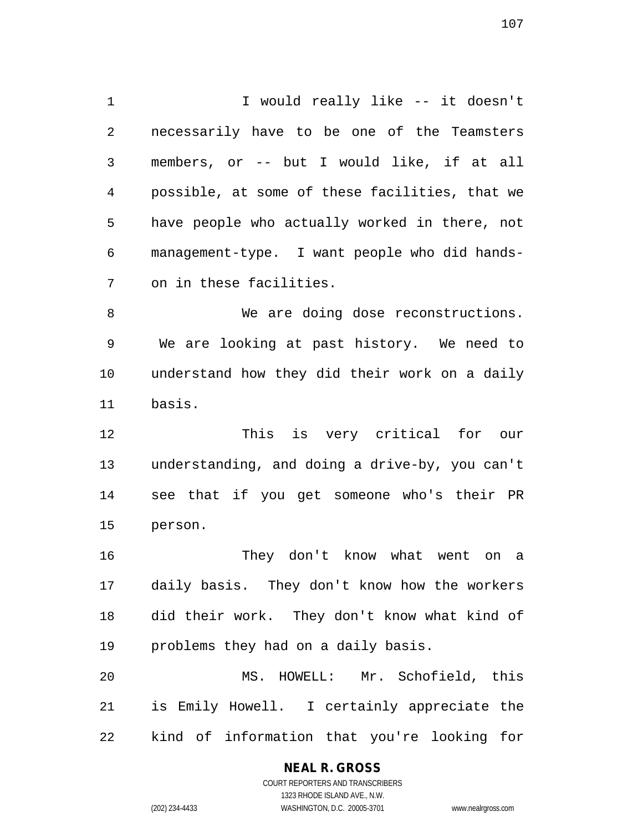I would really like -- it doesn't necessarily have to be one of the Teamsters members, or -- but I would like, if at all possible, at some of these facilities, that we have people who actually worked in there, not management-type. I want people who did hands-on in these facilities.

8 We are doing dose reconstructions. We are looking at past history. We need to understand how they did their work on a daily basis.

 This is very critical for our understanding, and doing a drive-by, you can't see that if you get someone who's their PR person.

 They don't know what went on a daily basis. They don't know how the workers did their work. They don't know what kind of problems they had on a daily basis.

 MS. HOWELL: Mr. Schofield, this is Emily Howell. I certainly appreciate the kind of information that you're looking for

## **NEAL R. GROSS**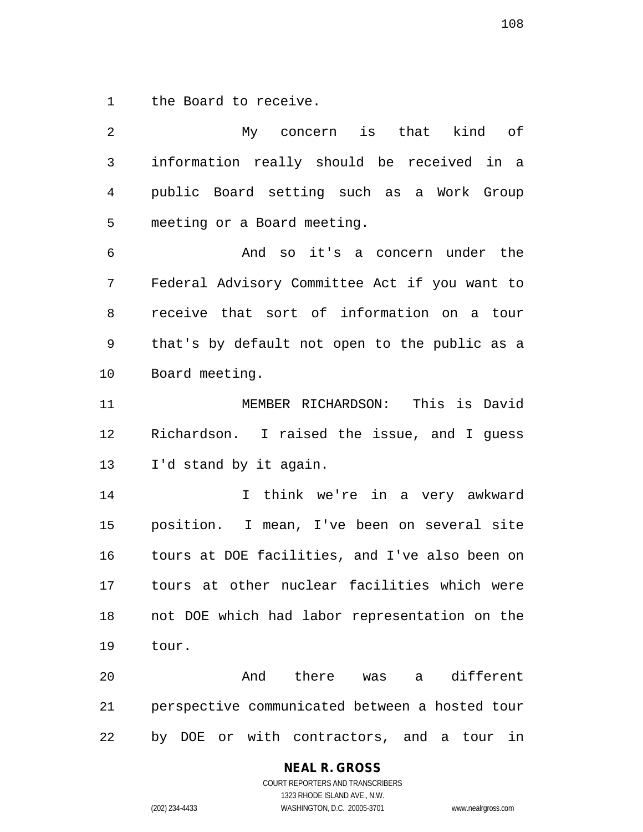the Board to receive.

 My concern is that kind of information really should be received in a public Board setting such as a Work Group meeting or a Board meeting. And so it's a concern under the Federal Advisory Committee Act if you want to receive that sort of information on a tour that's by default not open to the public as a Board meeting. MEMBER RICHARDSON: This is David Richardson. I raised the issue, and I guess I'd stand by it again. I think we're in a very awkward position. I mean, I've been on several site tours at DOE facilities, and I've also been on tours at other nuclear facilities which were not DOE which had labor representation on the tour. And there was a different perspective communicated between a hosted tour by DOE or with contractors, and a tour in

**NEAL R. GROSS**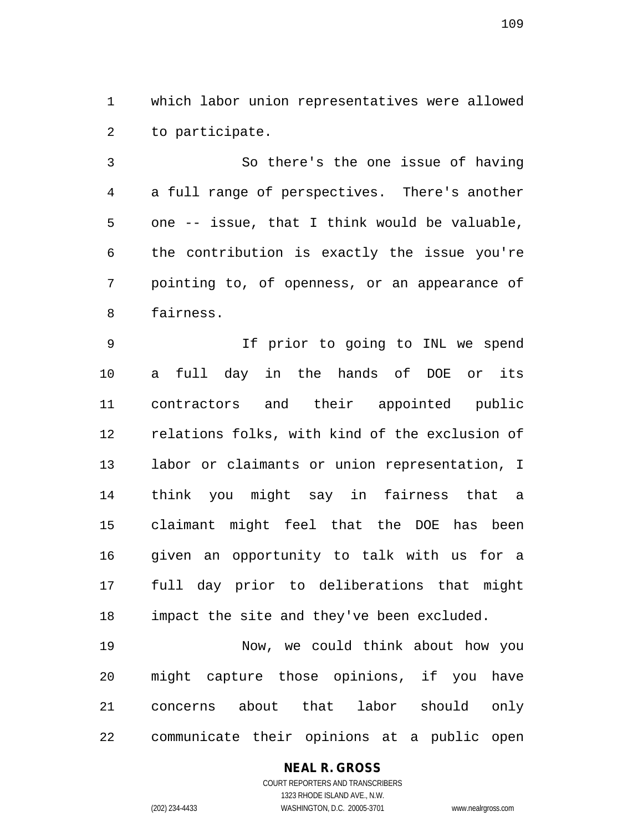which labor union representatives were allowed to participate.

 So there's the one issue of having a full range of perspectives. There's another one -- issue, that I think would be valuable, the contribution is exactly the issue you're pointing to, of openness, or an appearance of fairness.

 If prior to going to INL we spend a full day in the hands of DOE or its contractors and their appointed public relations folks, with kind of the exclusion of labor or claimants or union representation, I think you might say in fairness that a claimant might feel that the DOE has been given an opportunity to talk with us for a full day prior to deliberations that might impact the site and they've been excluded.

 Now, we could think about how you might capture those opinions, if you have concerns about that labor should only communicate their opinions at a public open

#### **NEAL R. GROSS**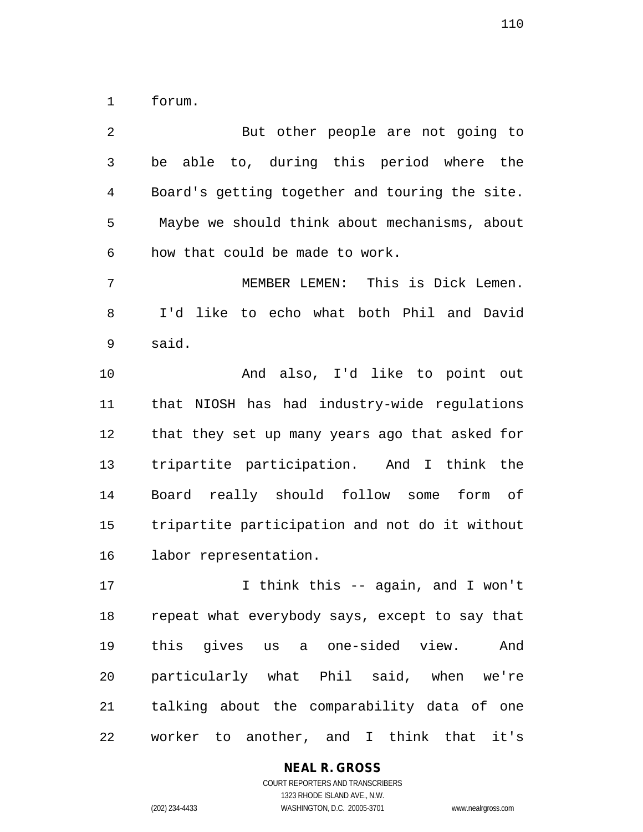forum.

 But other people are not going to be able to, during this period where the Board's getting together and touring the site. Maybe we should think about mechanisms, about how that could be made to work. MEMBER LEMEN: This is Dick Lemen. I'd like to echo what both Phil and David said. And also, I'd like to point out that NIOSH has had industry-wide regulations that they set up many years ago that asked for tripartite participation. And I think the Board really should follow some form of tripartite participation and not do it without labor representation. I think this -- again, and I won't repeat what everybody says, except to say that this gives us a one-sided view. And particularly what Phil said, when we're talking about the comparability data of one worker to another, and I think that it's

#### **NEAL R. GROSS**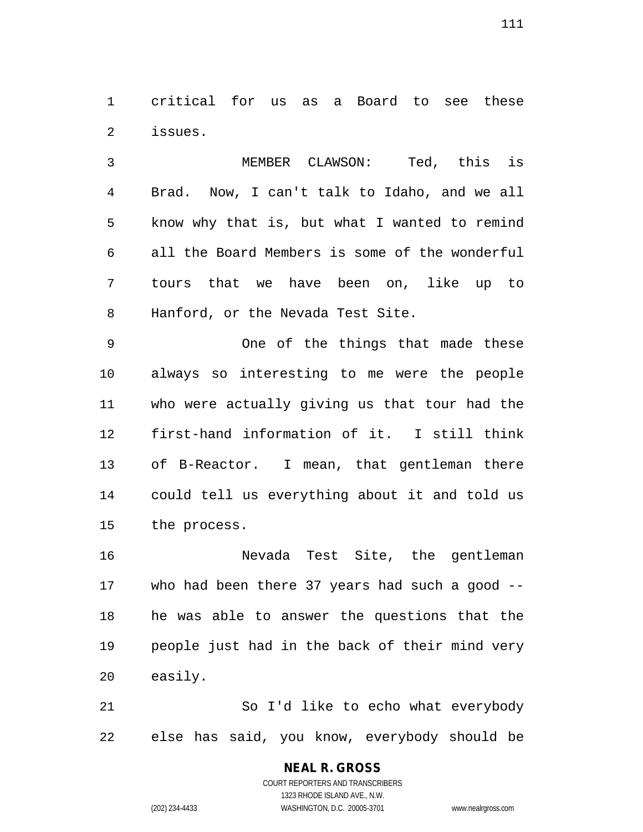critical for us as a Board to see these issues.

 MEMBER CLAWSON: Ted, this is Brad. Now, I can't talk to Idaho, and we all know why that is, but what I wanted to remind all the Board Members is some of the wonderful tours that we have been on, like up to Hanford, or the Nevada Test Site.

 One of the things that made these always so interesting to me were the people who were actually giving us that tour had the first-hand information of it. I still think of B-Reactor. I mean, that gentleman there could tell us everything about it and told us the process.

 Nevada Test Site, the gentleman who had been there 37 years had such a good -- he was able to answer the questions that the people just had in the back of their mind very easily.

 So I'd like to echo what everybody else has said, you know, everybody should be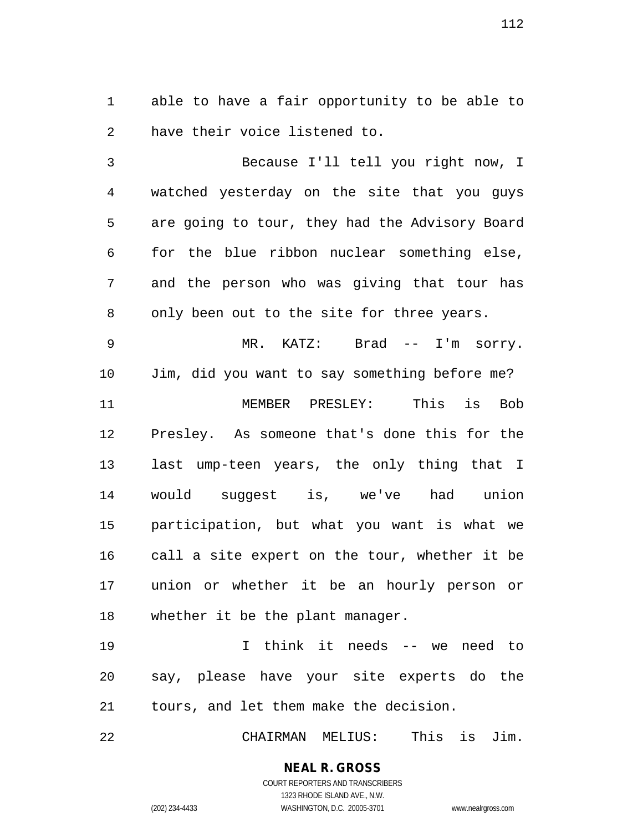able to have a fair opportunity to be able to have their voice listened to.

 Because I'll tell you right now, I watched yesterday on the site that you guys are going to tour, they had the Advisory Board for the blue ribbon nuclear something else, and the person who was giving that tour has only been out to the site for three years.

 MR. KATZ: Brad -- I'm sorry. Jim, did you want to say something before me? MEMBER PRESLEY: This is Bob Presley. As someone that's done this for the last ump-teen years, the only thing that I would suggest is, we've had union participation, but what you want is what we call a site expert on the tour, whether it be union or whether it be an hourly person or whether it be the plant manager.

 I think it needs -- we need to say, please have your site experts do the tours, and let them make the decision.

CHAIRMAN MELIUS: This is Jim.

**NEAL R. GROSS** COURT REPORTERS AND TRANSCRIBERS

1323 RHODE ISLAND AVE., N.W.

(202) 234-4433 WASHINGTON, D.C. 20005-3701 www.nealrgross.com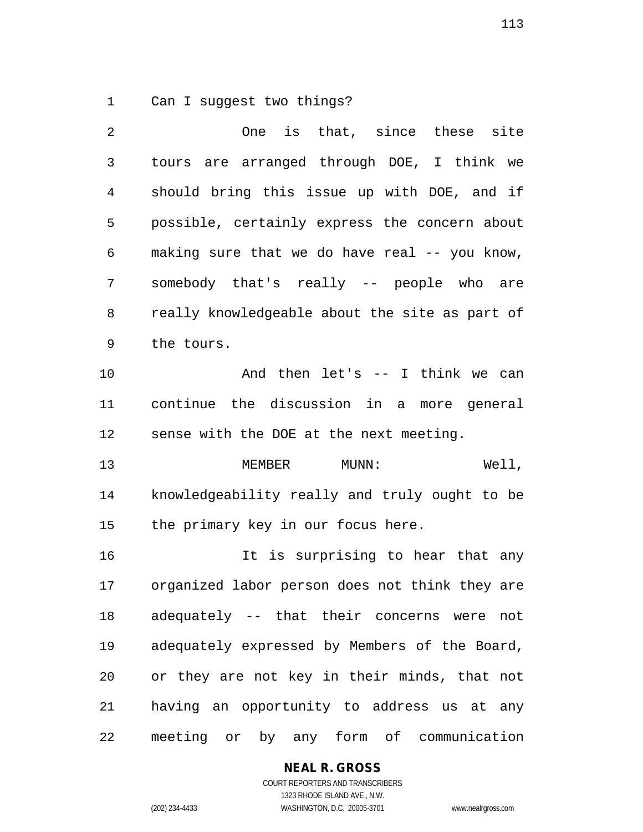Can I suggest two things?

 One is that, since these site tours are arranged through DOE, I think we should bring this issue up with DOE, and if possible, certainly express the concern about making sure that we do have real -- you know, somebody that's really -- people who are really knowledgeable about the site as part of the tours. And then let's -- I think we can continue the discussion in a more general sense with the DOE at the next meeting. 13 MEMBER MUNN: Well, knowledgeability really and truly ought to be the primary key in our focus here. It is surprising to hear that any organized labor person does not think they are adequately -- that their concerns were not adequately expressed by Members of the Board, or they are not key in their minds, that not having an opportunity to address us at any meeting or by any form of communication

## **NEAL R. GROSS**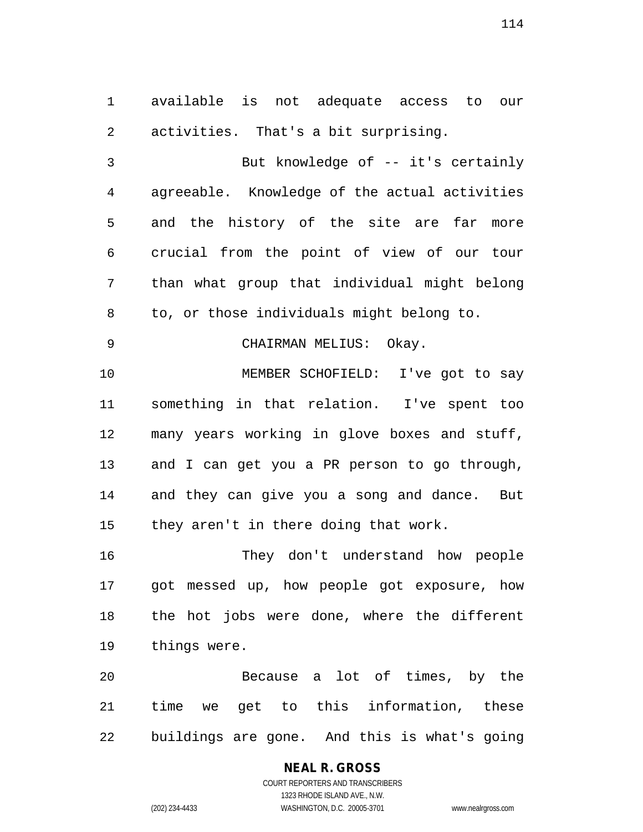available is not adequate access to our activities. That's a bit surprising.

 But knowledge of -- it's certainly agreeable. Knowledge of the actual activities and the history of the site are far more crucial from the point of view of our tour than what group that individual might belong to, or those individuals might belong to.

CHAIRMAN MELIUS: Okay.

 MEMBER SCHOFIELD: I've got to say something in that relation. I've spent too many years working in glove boxes and stuff, and I can get you a PR person to go through, and they can give you a song and dance. But they aren't in there doing that work.

 They don't understand how people got messed up, how people got exposure, how the hot jobs were done, where the different things were.

 Because a lot of times, by the time we get to this information, these buildings are gone. And this is what's going

#### **NEAL R. GROSS** COURT REPORTERS AND TRANSCRIBERS

1323 RHODE ISLAND AVE., N.W. (202) 234-4433 WASHINGTON, D.C. 20005-3701 www.nealrgross.com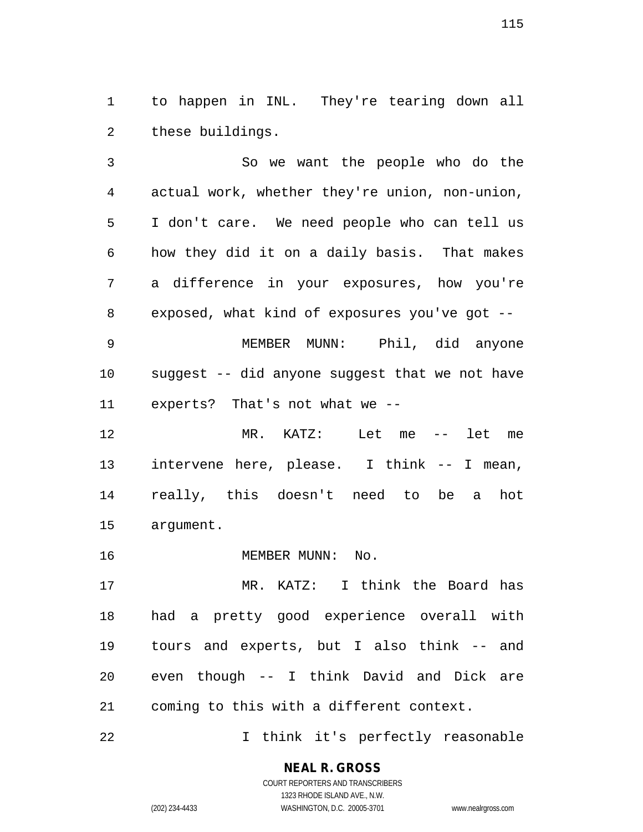to happen in INL. They're tearing down all these buildings.

 So we want the people who do the actual work, whether they're union, non-union, I don't care. We need people who can tell us how they did it on a daily basis. That makes a difference in your exposures, how you're exposed, what kind of exposures you've got --

 MEMBER MUNN: Phil, did anyone suggest -- did anyone suggest that we not have experts? That's not what we --

 MR. KATZ: Let me -- let me intervene here, please. I think -- I mean, really, this doesn't need to be a hot argument.

16 MEMBER MUNN: No.

 MR. KATZ: I think the Board has had a pretty good experience overall with tours and experts, but I also think -- and even though -- I think David and Dick are coming to this with a different context.

I think it's perfectly reasonable

**NEAL R. GROSS** COURT REPORTERS AND TRANSCRIBERS

1323 RHODE ISLAND AVE., N.W. (202) 234-4433 WASHINGTON, D.C. 20005-3701 www.nealrgross.com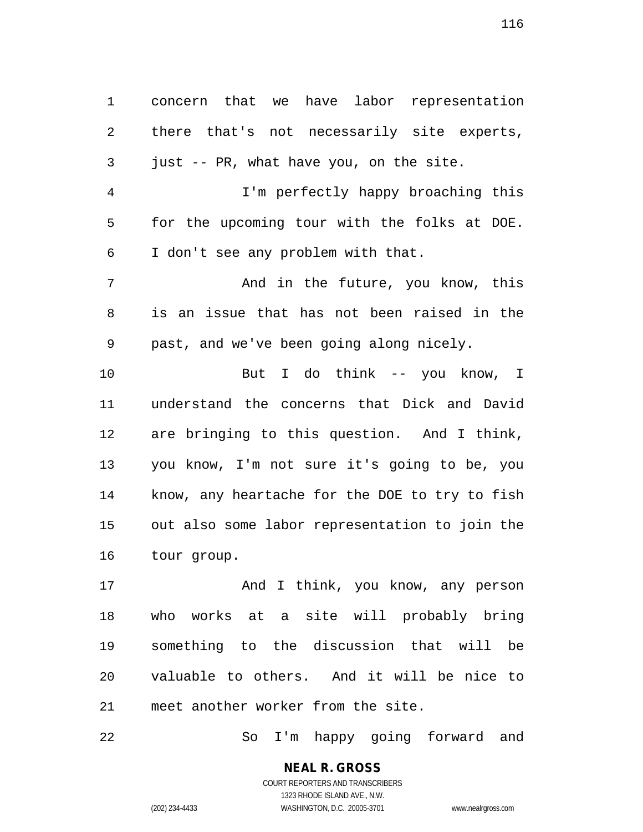concern that we have labor representation there that's not necessarily site experts, just -- PR, what have you, on the site. I'm perfectly happy broaching this for the upcoming tour with the folks at DOE. I don't see any problem with that. And in the future, you know, this is an issue that has not been raised in the past, and we've been going along nicely. But I do think -- you know, I understand the concerns that Dick and David are bringing to this question. And I think, you know, I'm not sure it's going to be, you know, any heartache for the DOE to try to fish out also some labor representation to join the tour group.

17 And I think, you know, any person who works at a site will probably bring something to the discussion that will be valuable to others. And it will be nice to meet another worker from the site.

So I'm happy going forward and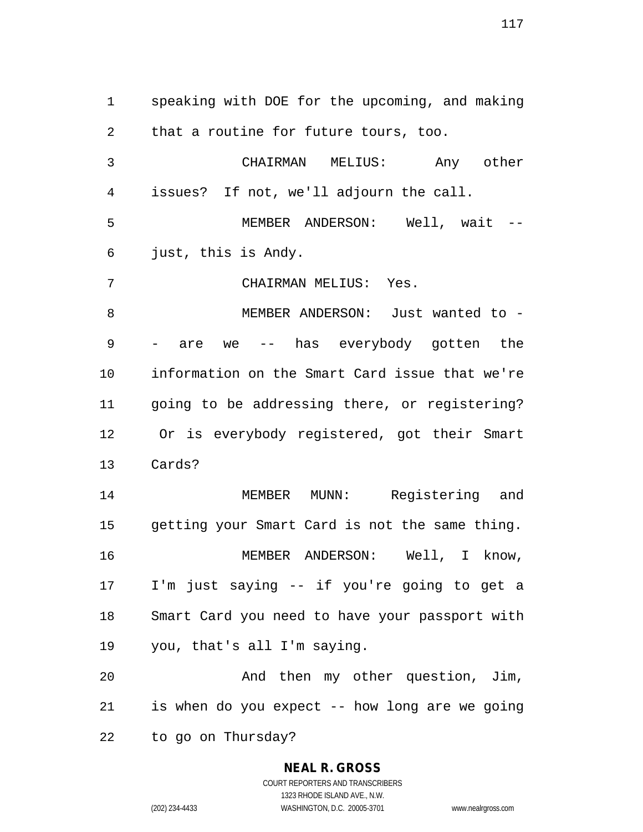speaking with DOE for the upcoming, and making that a routine for future tours, too. CHAIRMAN MELIUS: Any other issues? If not, we'll adjourn the call. MEMBER ANDERSON: Well, wait -- just, this is Andy. CHAIRMAN MELIUS: Yes. MEMBER ANDERSON: Just wanted to - - are we -- has everybody gotten the information on the Smart Card issue that we're going to be addressing there, or registering? Or is everybody registered, got their Smart Cards? MEMBER MUNN: Registering and getting your Smart Card is not the same thing. MEMBER ANDERSON: Well, I know, I'm just saying -- if you're going to get a Smart Card you need to have your passport with you, that's all I'm saying. And then my other question, Jim, is when do you expect -- how long are we going to go on Thursday?

## **NEAL R. GROSS**

COURT REPORTERS AND TRANSCRIBERS 1323 RHODE ISLAND AVE., N.W. (202) 234-4433 WASHINGTON, D.C. 20005-3701 www.nealrgross.com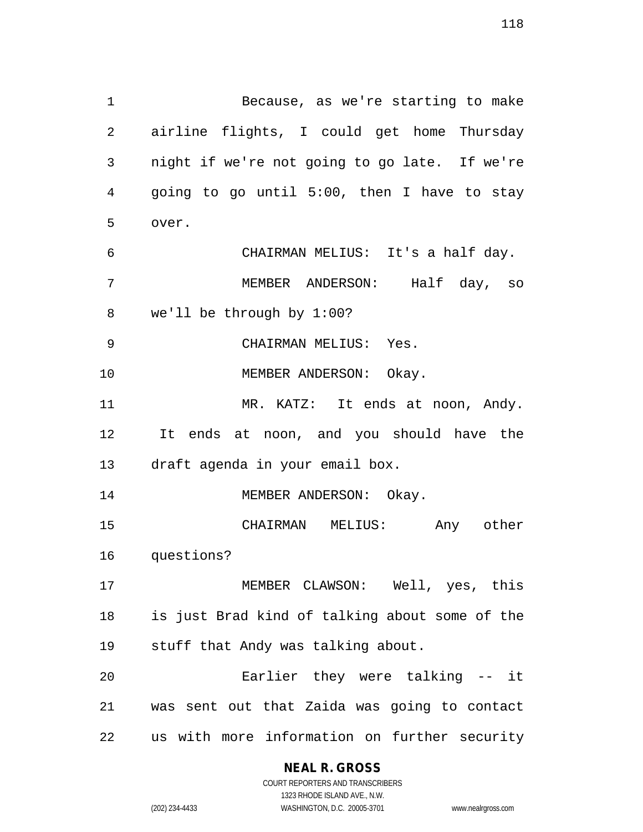Because, as we're starting to make airline flights, I could get home Thursday night if we're not going to go late. If we're going to go until 5:00, then I have to stay over. CHAIRMAN MELIUS: It's a half day. MEMBER ANDERSON: Half day, so we'll be through by 1:00? CHAIRMAN MELIUS: Yes. 10 MEMBER ANDERSON: Okay. 11 MR. KATZ: It ends at noon, Andy. It ends at noon, and you should have the draft agenda in your email box. 14 MEMBER ANDERSON: Okay. CHAIRMAN MELIUS: Any other questions? MEMBER CLAWSON: Well, yes, this is just Brad kind of talking about some of the stuff that Andy was talking about. Earlier they were talking -- it was sent out that Zaida was going to contact

us with more information on further security

**NEAL R. GROSS** COURT REPORTERS AND TRANSCRIBERS

1323 RHODE ISLAND AVE., N.W.

(202) 234-4433 WASHINGTON, D.C. 20005-3701 www.nealrgross.com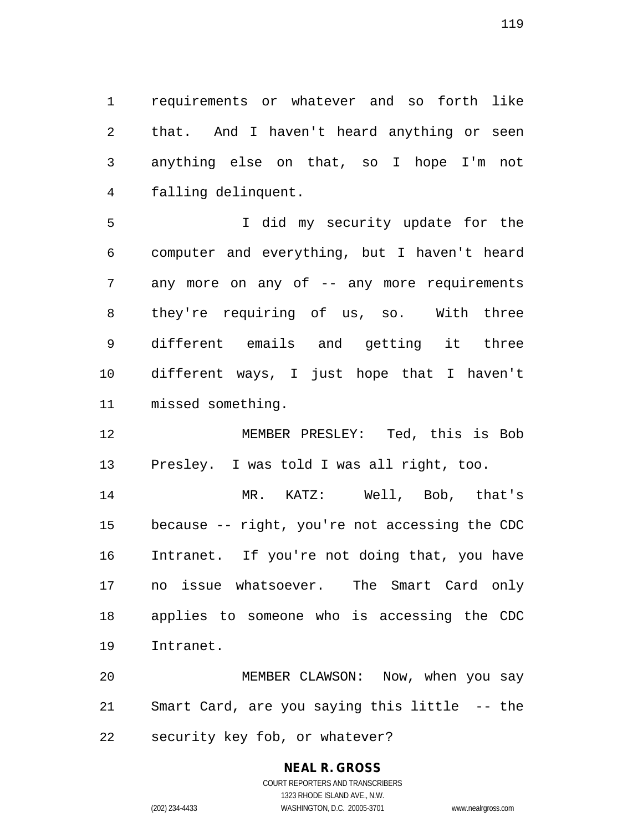requirements or whatever and so forth like that. And I haven't heard anything or seen anything else on that, so I hope I'm not falling delinquent.

 I did my security update for the computer and everything, but I haven't heard 7 any more on any of -- any more requirements they're requiring of us, so. With three different emails and getting it three different ways, I just hope that I haven't missed something.

 MEMBER PRESLEY: Ted, this is Bob Presley. I was told I was all right, too.

 MR. KATZ: Well, Bob, that's because -- right, you're not accessing the CDC Intranet. If you're not doing that, you have no issue whatsoever. The Smart Card only applies to someone who is accessing the CDC Intranet.

 MEMBER CLAWSON: Now, when you say Smart Card, are you saying this little -- the security key fob, or whatever?

## **NEAL R. GROSS**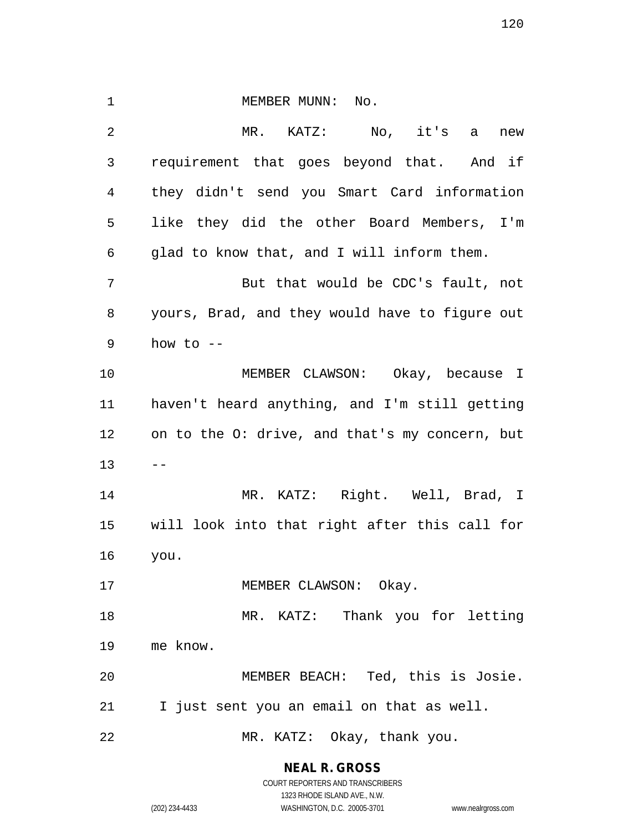1 MEMBER MUNN: No. MR. KATZ: No, it's a new requirement that goes beyond that. And if they didn't send you Smart Card information like they did the other Board Members, I'm glad to know that, and I will inform them. But that would be CDC's fault, not yours, Brad, and they would have to figure out 9 how to  $-$  MEMBER CLAWSON: Okay, because I haven't heard anything, and I'm still getting on to the O: drive, and that's my concern, but  $13 - -$  MR. KATZ: Right. Well, Brad, I will look into that right after this call for you. 17 MEMBER CLAWSON: Okay. MR. KATZ: Thank you for letting me know. MEMBER BEACH: Ted, this is Josie. I just sent you an email on that as well. MR. KATZ: Okay, thank you.

**NEAL R. GROSS**

COURT REPORTERS AND TRANSCRIBERS 1323 RHODE ISLAND AVE., N.W. (202) 234-4433 WASHINGTON, D.C. 20005-3701 www.nealrgross.com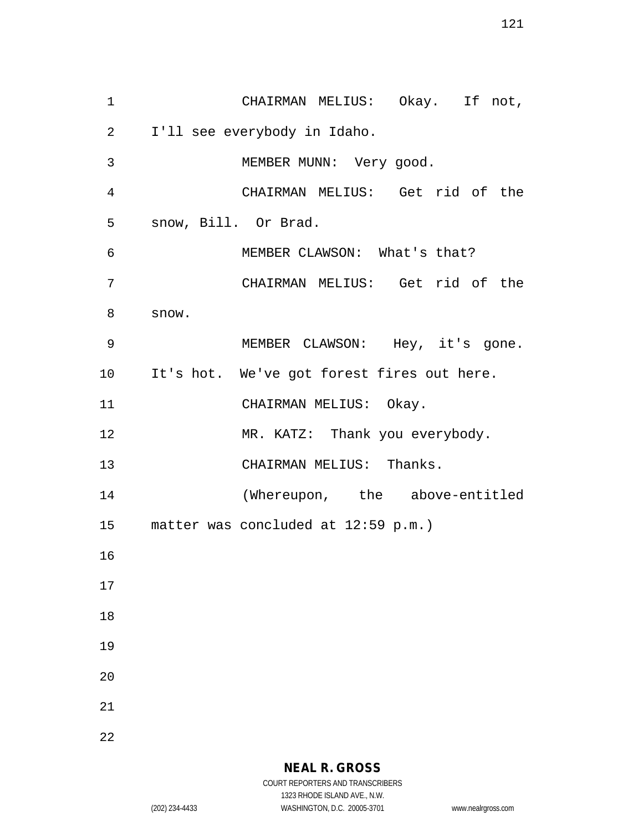CHAIRMAN MELIUS: Okay. If not, I'll see everybody in Idaho. MEMBER MUNN: Very good. CHAIRMAN MELIUS: Get rid of the snow, Bill. Or Brad. MEMBER CLAWSON: What's that? CHAIRMAN MELIUS: Get rid of the snow. MEMBER CLAWSON: Hey, it's gone. It's hot. We've got forest fires out here. 11 CHAIRMAN MELIUS: Okay. 12 MR. KATZ: Thank you everybody. 13 CHAIRMAN MELIUS: Thanks. (Whereupon, the above-entitled matter was concluded at 12:59 p.m.)